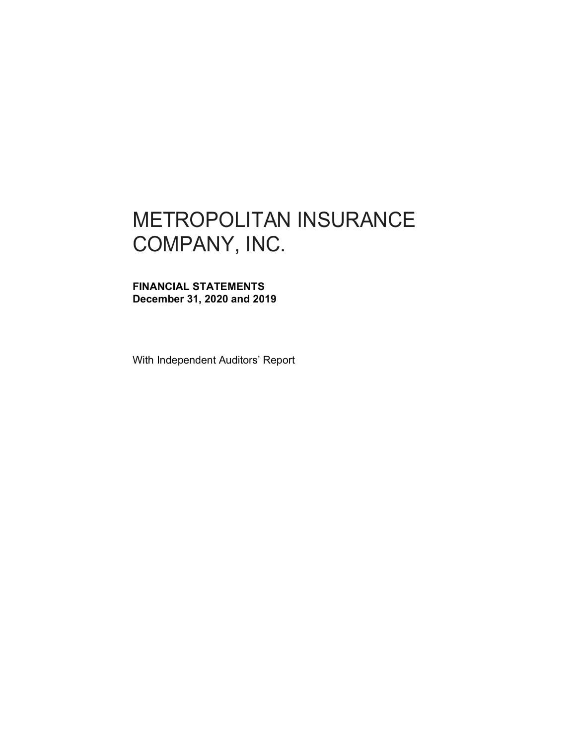# METROPOLITAN INSURANCE COMPANY, INC.

## FINANCIAL STATEMENTS December 31, 2020 and 2019

With Independent Auditors' Report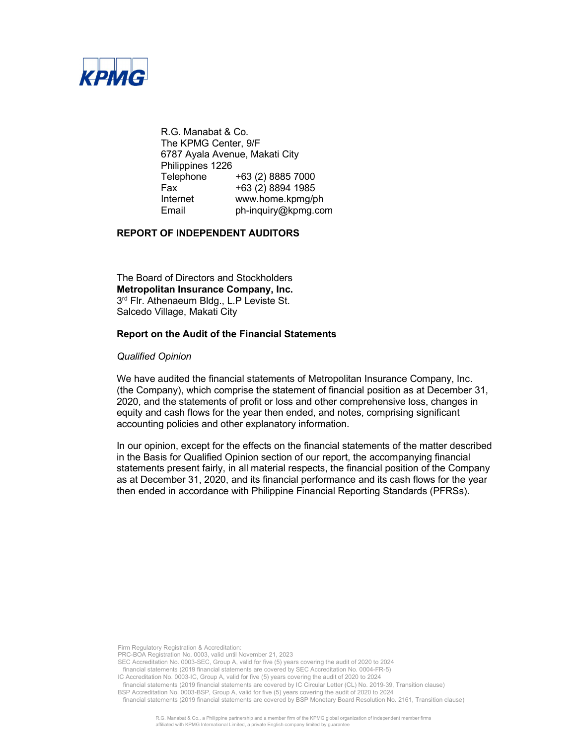

R.G. Manabat & Co. The KPMG Center, 9/F 6787 Ayala Avenue, Makati City Philippines 1226 Telephone +63 (2) 8885 7000<br>Fax +63 (2) 8894 1985 Fax +63 (2) 8894 1985 Internet www.home.kpmg/ph Email ph-inquiry@kpmg.com

## REPORT OF INDEPENDENT AUDITORS

The Board of Directors and Stockholders Metropolitan Insurance Company, Inc. 3<sup>rd</sup> Flr. Athenaeum Bldg., L.P Leviste St. Salcedo Village, Makati City

#### Report on the Audit of the Financial Statements

#### Qualified Opinion

We have audited the financial statements of Metropolitan Insurance Company, Inc. (the Company), which comprise the statement of financial position as at December 31, 2020, and the statements of profit or loss and other comprehensive loss, changes in equity and cash flows for the year then ended, and notes, comprising significant accounting policies and other explanatory information.

In our opinion, except for the effects on the financial statements of the matter described in the Basis for Qualified Opinion section of our report, the accompanying financial statements present fairly, in all material respects, the financial position of the Company as at December 31, 2020, and its financial performance and its cash flows for the year then ended in accordance with Philippine Financial Reporting Standards (PFRSs).

Firm Regulatory Registration & Accreditation:

- PRC-BOA Registration No. 0003, valid until November 21, 2023
- SEC Accreditation No. 0003-SEC, Group A, valid for five (5) years covering the audit of 2020 to 2024

 financial statements (2019 financial statements are covered by SEC Accreditation No. 0004-FR-5) IC Accreditation No. 0003-IC, Group A, valid for five (5) years covering the audit of 2020 to 2024

financial statements (2019 financial statements are covered by IC Circular Letter (CL) No. 2019-39, Transition clause)

BSP Accreditation No. 0003-BSP, Group A, valid for five (5) years covering the audit of 2020 to 2024 financial statements (2019 financial statements are covered by BSP Monetary Board Resolution No. 2161, Transition clause)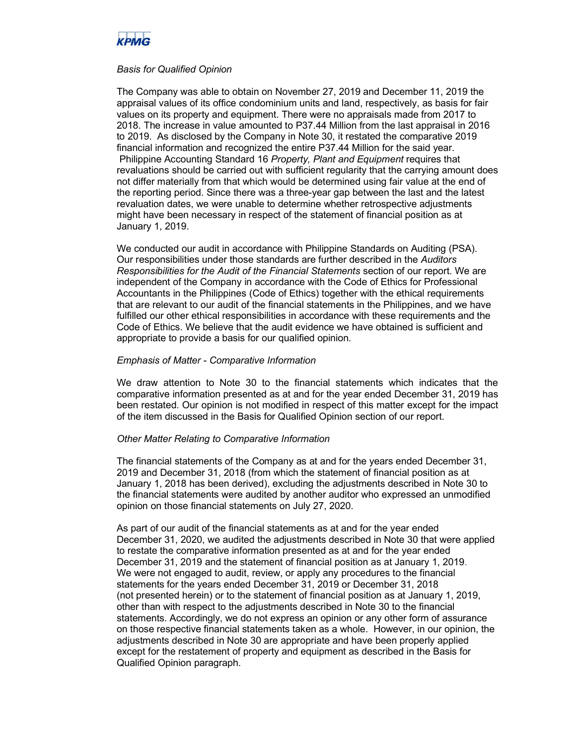

#### Basis for Qualified Opinion

The Company was able to obtain on November 27, 2019 and December 11, 2019 the appraisal values of its office condominium units and land, respectively, as basis for fair values on its property and equipment. There were no appraisals made from 2017 to 2018. The increase in value amounted to P37.44 Million from the last appraisal in 2016 to 2019. As disclosed by the Company in Note 30, it restated the comparative 2019 financial information and recognized the entire P37.44 Million for the said year. Philippine Accounting Standard 16 Property, Plant and Equipment requires that revaluations should be carried out with sufficient regularity that the carrying amount does not differ materially from that which would be determined using fair value at the end of the reporting period. Since there was a three-year gap between the last and the latest revaluation dates, we were unable to determine whether retrospective adjustments might have been necessary in respect of the statement of financial position as at January 1, 2019.

We conducted our audit in accordance with Philippine Standards on Auditing (PSA). Our responsibilities under those standards are further described in the Auditors Responsibilities for the Audit of the Financial Statements section of our report. We are independent of the Company in accordance with the Code of Ethics for Professional Accountants in the Philippines (Code of Ethics) together with the ethical requirements that are relevant to our audit of the financial statements in the Philippines, and we have fulfilled our other ethical responsibilities in accordance with these requirements and the Code of Ethics. We believe that the audit evidence we have obtained is sufficient and appropriate to provide a basis for our qualified opinion.

#### Emphasis of Matter - Comparative Information

We draw attention to Note 30 to the financial statements which indicates that the comparative information presented as at and for the year ended December 31, 2019 has been restated. Our opinion is not modified in respect of this matter except for the impact of the item discussed in the Basis for Qualified Opinion section of our report.

#### Other Matter Relating to Comparative Information

The financial statements of the Company as at and for the years ended December 31, 2019 and December 31, 2018 (from which the statement of financial position as at January 1, 2018 has been derived), excluding the adjustments described in Note 30 to the financial statements were audited by another auditor who expressed an unmodified opinion on those financial statements on July 27, 2020.

As part of our audit of the financial statements as at and for the year ended December 31, 2020, we audited the adjustments described in Note 30 that were applied to restate the comparative information presented as at and for the year ended December 31, 2019 and the statement of financial position as at January 1, 2019. We were not engaged to audit, review, or apply any procedures to the financial statements for the years ended December 31, 2019 or December 31, 2018 (not presented herein) or to the statement of financial position as at January 1, 2019, other than with respect to the adjustments described in Note 30 to the financial statements. Accordingly, we do not express an opinion or any other form of assurance on those respective financial statements taken as a whole. However, in our opinion, the adjustments described in Note 30 are appropriate and have been properly applied except for the restatement of property and equipment as described in the Basis for Qualified Opinion paragraph.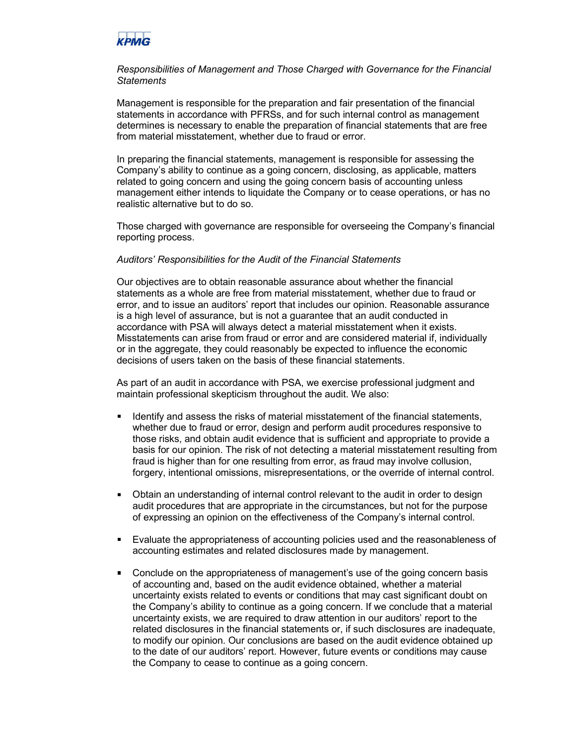

#### Responsibilities of Management and Those Charged with Governance for the Financial **Statements**

Management is responsible for the preparation and fair presentation of the financial statements in accordance with PFRSs, and for such internal control as management determines is necessary to enable the preparation of financial statements that are free from material misstatement, whether due to fraud or error.

In preparing the financial statements, management is responsible for assessing the Company's ability to continue as a going concern, disclosing, as applicable, matters related to going concern and using the going concern basis of accounting unless management either intends to liquidate the Company or to cease operations, or has no realistic alternative but to do so.

Those charged with governance are responsible for overseeing the Company's financial reporting process.

#### Auditors' Responsibilities for the Audit of the Financial Statements

Our objectives are to obtain reasonable assurance about whether the financial statements as a whole are free from material misstatement, whether due to fraud or error, and to issue an auditors' report that includes our opinion. Reasonable assurance is a high level of assurance, but is not a guarantee that an audit conducted in accordance with PSA will always detect a material misstatement when it exists. Misstatements can arise from fraud or error and are considered material if, individually or in the aggregate, they could reasonably be expected to influence the economic decisions of users taken on the basis of these financial statements.

As part of an audit in accordance with PSA, we exercise professional judgment and maintain professional skepticism throughout the audit. We also:

- Identify and assess the risks of material misstatement of the financial statements, whether due to fraud or error, design and perform audit procedures responsive to those risks, and obtain audit evidence that is sufficient and appropriate to provide a basis for our opinion. The risk of not detecting a material misstatement resulting from fraud is higher than for one resulting from error, as fraud may involve collusion, forgery, intentional omissions, misrepresentations, or the override of internal control.
- Obtain an understanding of internal control relevant to the audit in order to design audit procedures that are appropriate in the circumstances, but not for the purpose of expressing an opinion on the effectiveness of the Company's internal control.
- Evaluate the appropriateness of accounting policies used and the reasonableness of accounting estimates and related disclosures made by management.
- Conclude on the appropriateness of management's use of the going concern basis of accounting and, based on the audit evidence obtained, whether a material uncertainty exists related to events or conditions that may cast significant doubt on the Company's ability to continue as a going concern. If we conclude that a material uncertainty exists, we are required to draw attention in our auditors' report to the related disclosures in the financial statements or, if such disclosures are inadequate, to modify our opinion. Our conclusions are based on the audit evidence obtained up to the date of our auditors' report. However, future events or conditions may cause the Company to cease to continue as a going concern.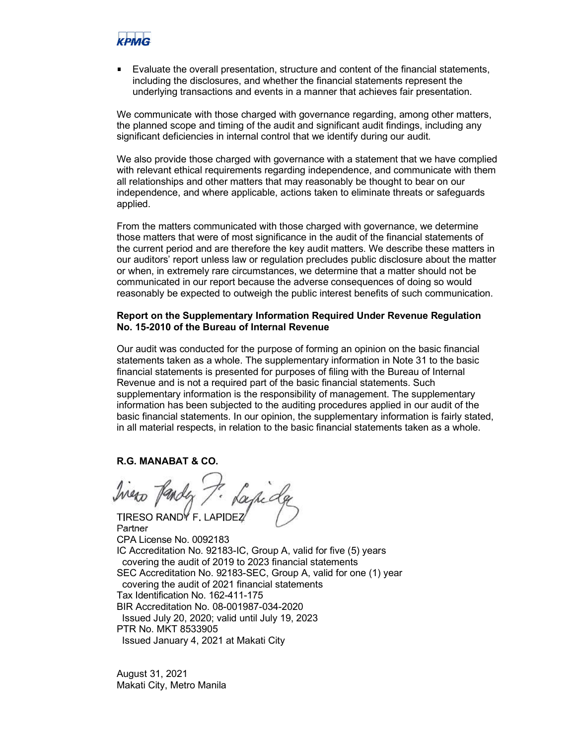

 Evaluate the overall presentation, structure and content of the financial statements, including the disclosures, and whether the financial statements represent the underlying transactions and events in a manner that achieves fair presentation.

We communicate with those charged with governance regarding, among other matters, the planned scope and timing of the audit and significant audit findings, including any significant deficiencies in internal control that we identify during our audit.

We also provide those charged with governance with a statement that we have complied with relevant ethical requirements regarding independence, and communicate with them all relationships and other matters that may reasonably be thought to bear on our independence, and where applicable, actions taken to eliminate threats or safeguards applied.

From the matters communicated with those charged with governance, we determine those matters that were of most significance in the audit of the financial statements of the current period and are therefore the key audit matters. We describe these matters in our auditors' report unless law or regulation precludes public disclosure about the matter or when, in extremely rare circumstances, we determine that a matter should not be communicated in our report because the adverse consequences of doing so would reasonably be expected to outweigh the public interest benefits of such communication.

#### Report on the Supplementary Information Required Under Revenue Regulation No. 15-2010 of the Bureau of Internal Revenue

Our audit was conducted for the purpose of forming an opinion on the basic financial statements taken as a whole. The supplementary information in Note 31 to the basic financial statements is presented for purposes of filing with the Bureau of Internal Revenue and is not a required part of the basic financial statements. Such supplementary information is the responsibility of management. The supplementary information has been subjected to the auditing procedures applied in our audit of the basic financial statements. In our opinion, the supplementary information is fairly stated, in all material respects, in relation to the basic financial statements taken as a whole.

## R.G. MANABAT & CO.

TIRESO RANDY F. LAPIDEZ **Partner** CPA License No. 0092183 IC Accreditation No. 92183-IC, Group A, valid for five (5) years covering the audit of 2019 to 2023 financial statements SEC Accreditation No. 92183-SEC, Group A, valid for one (1) year covering the audit of 2021 financial statements Tax Identification No. 162-411-175 BIR Accreditation No. 08-001987-034-2020 Issued July 20, 2020; valid until July 19, 2023 PTR No. MKT 8533905 Issued January 4, 2021 at Makati City

August 31, 2021 Makati City, Metro Manila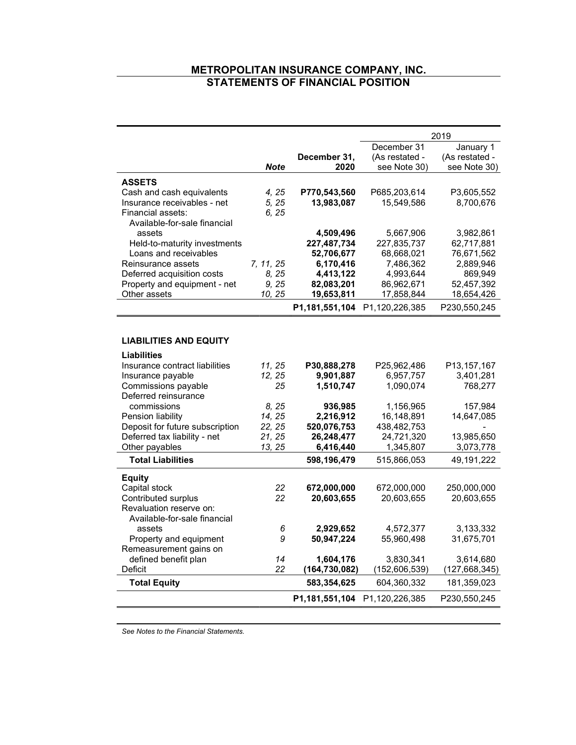## METROPOLITAN INSURANCE COMPANY, INC. STATEMENTS OF FINANCIAL POSITION

|                                                  |           |                 |                | 2019            |
|--------------------------------------------------|-----------|-----------------|----------------|-----------------|
|                                                  |           |                 | December 31    | January 1       |
|                                                  |           | December 31,    | (As restated - | (As restated -  |
|                                                  | Note      | 2020            | see Note 30)   | see Note 30)    |
| <b>ASSETS</b>                                    |           |                 |                |                 |
| Cash and cash equivalents                        | 4, 25     | P770,543,560    | P685,203,614   | P3,605,552      |
| Insurance receivables - net                      | 5, 25     | 13,983,087      | 15,549,586     | 8,700,676       |
| Financial assets:                                | 6, 25     |                 |                |                 |
| Available-for-sale financial<br>assets           |           | 4,509,496       | 5,667,906      | 3,982,861       |
| Held-to-maturity investments                     |           | 227,487,734     | 227,835,737    | 62,717,881      |
| Loans and receivables                            |           | 52,706,677      | 68,668,021     | 76,671,562      |
| Reinsurance assets                               | 7, 11, 25 | 6,170,416       | 7,486,362      | 2,889,946       |
| Deferred acquisition costs                       | 8, 25     | 4,413,122       | 4,993,644      | 869,949         |
| Property and equipment - net                     | 9, 25     | 82,083,201      | 86,962,671     | 52,457,392      |
| Other assets                                     | 10, 25    | 19,653,811      | 17,858,844     | 18,654,426      |
|                                                  |           | P1,181,551,104  | P1,120,226,385 | P230,550,245    |
|                                                  |           |                 |                |                 |
| <b>LIABILITIES AND EQUITY</b>                    |           |                 |                |                 |
| <b>Liabilities</b>                               |           |                 |                |                 |
| Insurance contract liabilities                   | 11, 25    | P30,888,278     | P25,962,486    | P13,157,167     |
| Insurance payable                                | 12, 25    | 9,901,887       | 6,957,757      | 3,401,281       |
| Commissions payable<br>Deferred reinsurance      | 25        | 1,510,747       | 1,090,074      | 768,277         |
| commissions                                      | 8, 25     | 936,985         | 1,156,965      | 157,984         |
| Pension liability                                | 14, 25    | 2,216,912       | 16,148,891     | 14,647,085      |
| Deposit for future subscription                  | 22, 25    | 520,076,753     | 438,482,753    |                 |
| Deferred tax liability - net                     | 21, 25    | 26,248,477      | 24,721,320     | 13,985,650      |
| Other payables                                   | 13, 25    | 6,416,440       | 1,345,807      | 3,073,778       |
| <b>Total Liabilities</b>                         |           | 598,196,479     | 515,866,053    | 49,191,222      |
| <b>Equity</b>                                    |           |                 |                |                 |
| Capital stock                                    | 22        | 672,000,000     | 672,000,000    | 250,000,000     |
| Contributed surplus                              | 22        | 20,603,655      | 20,603,655     | 20,603,655      |
| Revaluation reserve on:                          |           |                 |                |                 |
| Available-for-sale financial                     |           |                 |                |                 |
| assets                                           | 6<br>9    | 2,929,652       | 4,572,377      | 3,133,332       |
| Property and equipment<br>Remeasurement gains on |           | 50,947,224      | 55,960,498     | 31,675,701      |
| defined benefit plan                             | 14        | 1,604,176       | 3,830,341      | 3,614,680       |
| Deficit                                          | 22        | (164, 730, 082) | (152,606,539)  | (127, 668, 345) |
| <b>Total Equity</b>                              |           | 583,354,625     | 604,360,332    | 181,359,023     |
|                                                  |           | P1,181,551,104  | P1,120,226,385 | P230,550,245    |
|                                                  |           |                 |                |                 |

See Notes to the Financial Statements.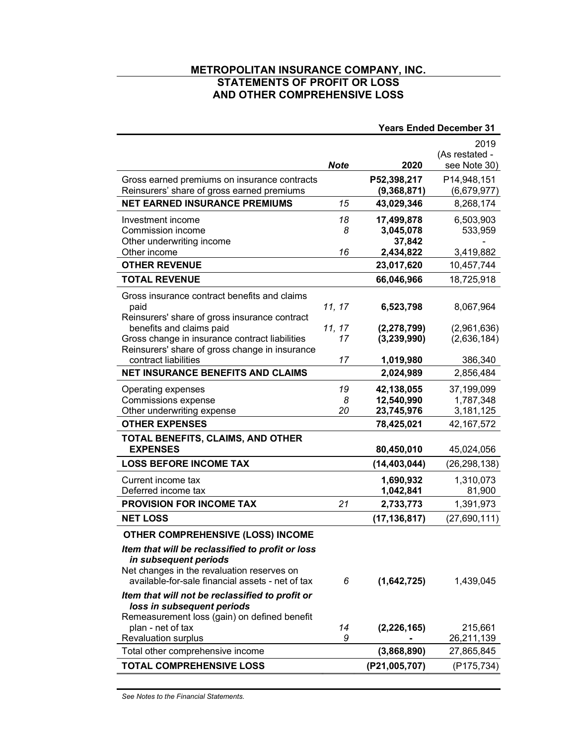# METROPOLITAN INSURANCE COMPANY, INC. STATEMENTS OF PROFIT OR LOSS AND OTHER COMPREHENSIVE LOSS

|                                                                                                  |             |                            | <b>Years Ended December 31</b> |
|--------------------------------------------------------------------------------------------------|-------------|----------------------------|--------------------------------|
|                                                                                                  |             |                            | 2019                           |
|                                                                                                  |             |                            | (As restated -                 |
|                                                                                                  | <b>Note</b> | 2020                       | see Note 30)                   |
| Gross earned premiums on insurance contracts<br>Reinsurers' share of gross earned premiums       |             | P52,398,217<br>(9,368,871) | P14,948,151<br>(6,679,977)     |
| <b>NET EARNED INSURANCE PREMIUMS</b>                                                             | 15          | 43,029,346                 | 8,268,174                      |
|                                                                                                  |             |                            |                                |
| Investment income<br>Commission income                                                           | 18<br>8     | 17,499,878<br>3,045,078    | 6,503,903                      |
| Other underwriting income                                                                        |             | 37,842                     | 533,959                        |
| Other income                                                                                     | 16          | 2,434,822                  | 3,419,882                      |
| <b>OTHER REVENUE</b>                                                                             |             | 23,017,620                 | 10,457,744                     |
| <b>TOTAL REVENUE</b>                                                                             |             | 66,046,966                 | 18,725,918                     |
| Gross insurance contract benefits and claims                                                     |             |                            |                                |
| paid                                                                                             | 11, 17      | 6,523,798                  | 8,067,964                      |
| Reinsurers' share of gross insurance contract                                                    |             |                            |                                |
| benefits and claims paid                                                                         | 11, 17      | (2, 278, 799)              | (2,961,636)                    |
| Gross change in insurance contract liabilities<br>Reinsurers' share of gross change in insurance | 17          | (3,239,990)                | (2,636,184)                    |
| contract liabilities                                                                             | 17          | 1,019,980                  | 386,340                        |
| <b>NET INSURANCE BENEFITS AND CLAIMS</b>                                                         |             | 2,024,989                  | 2,856,484                      |
| Operating expenses                                                                               | 19          | 42,138,055                 | 37,199,099                     |
| Commissions expense                                                                              | 8           | 12,540,990                 | 1,787,348                      |
| Other underwriting expense                                                                       | 20          | 23,745,976                 | 3,181,125                      |
| <b>OTHER EXPENSES</b>                                                                            |             | 78,425,021                 | 42, 167, 572                   |
| TOTAL BENEFITS, CLAIMS, AND OTHER                                                                |             |                            |                                |
| <b>EXPENSES</b>                                                                                  |             | 80,450,010                 | 45,024,056                     |
| <b>LOSS BEFORE INCOME TAX</b>                                                                    |             | (14, 403, 044)             | (26,298,138)                   |
| Current income tax                                                                               |             | 1,690,932                  | 1,310,073                      |
| Deferred income tax                                                                              |             | 1,042,841                  | 81,900                         |
| <b>PROVISION FOR INCOME TAX</b>                                                                  | 21          | 2,733,773                  | 1,391,973                      |
| <b>NET LOSS</b>                                                                                  |             | (17, 136, 817)             | (27,690,111)                   |
| <b>OTHER COMPREHENSIVE (LOSS) INCOME</b>                                                         |             |                            |                                |
| Item that will be reclassified to profit or loss                                                 |             |                            |                                |
| in subsequent periods                                                                            |             |                            |                                |
| Net changes in the revaluation reserves on<br>available-for-sale financial assets - net of tax   | 6           | (1,642,725)                | 1,439,045                      |
| Item that will not be reclassified to profit or                                                  |             |                            |                                |
| loss in subsequent periods                                                                       |             |                            |                                |
| Remeasurement loss (gain) on defined benefit                                                     |             |                            |                                |
| plan - net of tax                                                                                | 14          | (2, 226, 165)              | 215,661                        |
| <b>Revaluation surplus</b>                                                                       | 9           |                            | 26,211,139                     |
| Total other comprehensive income                                                                 |             | (3,868,890)                | 27,865,845                     |
| <b>TOTAL COMPREHENSIVE LOSS</b>                                                                  |             | (P21,005,707)              | (P175,734)                     |

See Notes to the Financial Statements.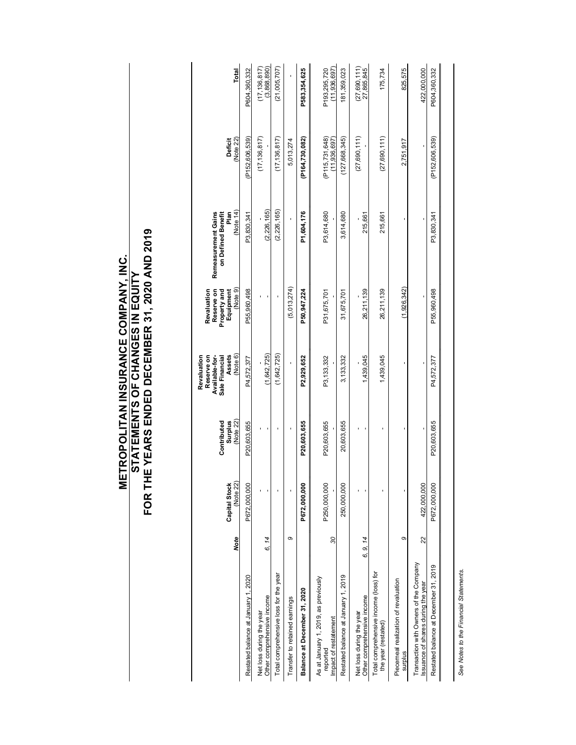| METROPOLITAN INSURANCE COMPANY, INC.<br><b>NUDIOU ZU SUONQUO LO SUNUNINTATS</b> |
|---------------------------------------------------------------------------------|
|                                                                                 |

|                                                                                                               | Revaluation                                                          |                                                                    |                                                                |                                |                                   |
|---------------------------------------------------------------------------------------------------------------|----------------------------------------------------------------------|--------------------------------------------------------------------|----------------------------------------------------------------|--------------------------------|-----------------------------------|
| (Note 22)<br>Contributed<br>Surplus<br>(Note 22)<br>Capital Stock<br>Note                                     | (Note 6)<br>Available-for-<br>Sale Financial<br>Assets<br>Reserve on | (Note 9)<br>Revaluation<br>Reserve on<br>Property and<br>Equipment | (Note 14)<br>Plan<br>on Defined Benefit<br>Remeasurement Gains | Deficit<br>(Note 22)           | Total                             |
| P20,603,655<br>P672,000,000<br>Restated balance at January 1, 2020                                            | P4,572,377                                                           | P55,960,498                                                        | P3,830,341                                                     | (P152,606,539)                 | P604,360,332                      |
| $\mathbf{r}=\mathbf{r}$<br>6, 14<br>Other comprehensive income<br>Net loss during the year                    | (1, 642, 725)                                                        |                                                                    | (2,226,165)                                                    | (17, 136, 817)                 | $(17, 136, 817)$<br>$(3,868,890)$ |
| Total comprehensive loss for the year                                                                         | (1, 642, 725)                                                        |                                                                    | (2,226,165)                                                    | (17, 136, 817)                 | (21,005,707)                      |
| თ<br>Transfer to retained earnings                                                                            |                                                                      | (5,013,274)                                                        |                                                                | 5,013,274                      |                                   |
| P20,603,655<br>P672,000,000<br>Balance at December 31, 2020                                                   | P2,929,652                                                           | P50,947,224                                                        | P1,604,176                                                     | (P164,730,082)                 | P583,354,625                      |
| P20,603,655<br>P250,000,000<br>೫<br>As at January 1, 2019, as previously<br>Impact of restatement<br>reported | P3,133,332                                                           | P31,675,701                                                        | P3,614,680                                                     | (P115,731,648)<br>(11,936,697) | (11,936,697)<br>P193,295,720      |
| 20,603,655<br>250,000,000<br>Restated balance at January 1, 2019                                              | 3,133,332                                                            | 31,675,701                                                         | 3,614,680                                                      | (127, 668, 345)                | 181,359,023                       |
| ٠<br>6.9.14<br>Other comprehensive income<br>Net loss during the year                                         | 1,439,045                                                            | 26,211,139                                                         | 215,661                                                        | (27,690,111)                   | $(27,690,111)$<br>$27,865,845$    |
| ٠<br>$\blacksquare$<br>Total comprehensive income (loss) for<br>the year (restated)                           | 1,439,045                                                            | 26,211,139                                                         | 215,661                                                        | (27,690,111)                   | 175,734                           |
| ×<br>o<br>Piecemeal realization of revaluation<br>surplus                                                     |                                                                      | (1,926,342)                                                        |                                                                | 2,751,917                      | 825,575                           |
| 422,000,000<br>22<br>Transaction with Owners of the Company<br>Issuance of shares during the year             |                                                                      |                                                                    |                                                                |                                | 422,000,000                       |
| P20,603,655<br>P672,000,000<br>Restated balance at December 31, 2019                                          | P4,572,377                                                           | P55,960,498                                                        | P3,830,341                                                     | (P152,606,539)                 | P604,360,332                      |
|                                                                                                               |                                                                      |                                                                    |                                                                |                                |                                   |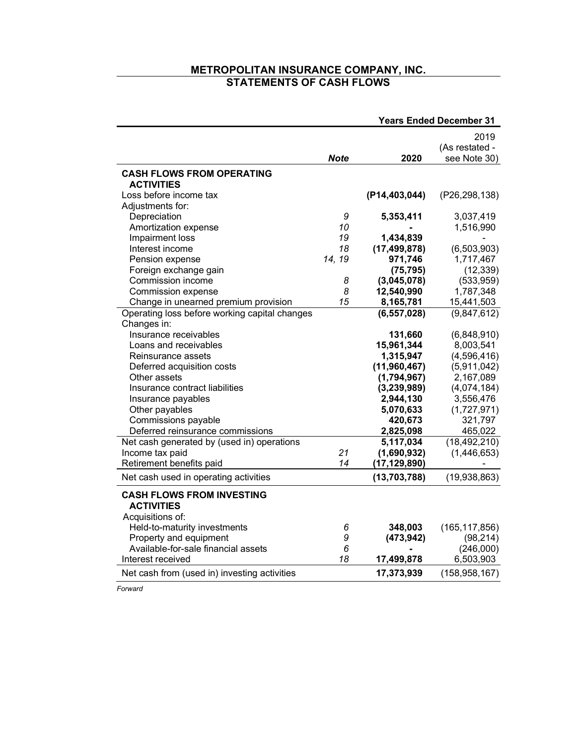# METROPOLITAN INSURANCE COMPANY, INC. STATEMENTS OF CASH FLOWS

|                                                       | <b>Years Ended December 31</b> |
|-------------------------------------------------------|--------------------------------|
|                                                       | 2019                           |
|                                                       | (As restated -                 |
| <b>Note</b>                                           | 2020<br>see Note 30)           |
|                                                       |                                |
| <b>CASH FLOWS FROM OPERATING</b><br><b>ACTIVITIES</b> |                                |
| Loss before income tax                                | (P14,403,044)<br>(P26,298,138) |
|                                                       |                                |
| Adjustments for:                                      |                                |
| Depreciation<br>9<br>10                               | 5,353,411<br>3,037,419         |
| Amortization expense<br>19                            | 1,516,990                      |
| Impairment loss                                       | 1,434,839                      |
| Interest income<br>18                                 | (17, 499, 878)<br>(6,503,903)  |
| 14, 19<br>Pension expense                             | 971,746<br>1,717,467           |
| Foreign exchange gain                                 | (75, 795)<br>(12, 339)         |
| Commission income<br>8                                | (3,045,078)<br>(533, 959)      |
| Commission expense<br>8                               | 12,540,990<br>1,787,348        |
| 15<br>Change in unearned premium provision            | 8,165,781<br>15,441,503        |
| Operating loss before working capital changes         | (6, 557, 028)<br>(9,847,612)   |
| Changes in:                                           |                                |
| Insurance receivables                                 | 131,660<br>(6,848,910)         |
| Loans and receivables                                 | 15,961,344<br>8,003,541        |
| Reinsurance assets                                    | 1,315,947<br>(4,596,416)       |
| Deferred acquisition costs                            | (11,960,467)<br>(5,911,042)    |
| Other assets                                          | (1,794,967)<br>2,167,089       |
| Insurance contract liabilities                        | (3, 239, 989)<br>(4,074,184)   |
| Insurance payables                                    | 2,944,130<br>3,556,476         |
| Other payables                                        | 5,070,633<br>(1,727,971)       |
| Commissions payable                                   | 420,673<br>321,797             |
| Deferred reinsurance commissions                      | 2,825,098<br>465,022           |
| Net cash generated by (used in) operations            | 5,117,034<br>(18, 492, 210)    |
| 21<br>Income tax paid                                 | (1,690,932)<br>(1,446,653)     |
| 14<br>Retirement benefits paid                        | (17, 129, 890)                 |
| Net cash used in operating activities                 | (13, 703, 788)<br>(19,938,863) |
| <b>CASH FLOWS FROM INVESTING</b>                      |                                |
| <b>ACTIVITIES</b>                                     |                                |
| Acquisitions of:                                      |                                |
| Held-to-maturity investments<br>6                     | 348,003<br>(165, 117, 856)     |
| Property and equipment<br>9                           | (473, 942)<br>(98, 214)        |
| Available-for-sale financial assets<br>6              | (246,000)                      |
| 18<br>Interest received                               | 17,499,878<br>6,503,903        |
| Net cash from (used in) investing activities          | 17,373,939<br>(158, 958, 167)  |

Forward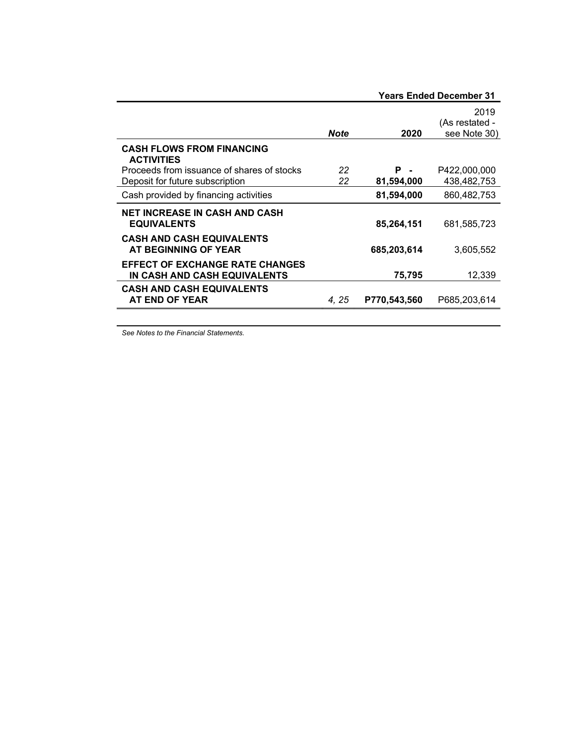|                                                                        |             |              | <b>Years Ended December 31</b>         |
|------------------------------------------------------------------------|-------------|--------------|----------------------------------------|
|                                                                        | <b>Note</b> | 2020         | 2019<br>(As restated -<br>see Note 30) |
| <b>CASH FLOWS FROM FINANCING</b><br><b>ACTIVITIES</b>                  |             |              |                                        |
| Proceeds from issuance of shares of stocks                             | 22          | Р.           | P422,000,000                           |
| Deposit for future subscription                                        | 22          | 81,594,000   | 438.482.753                            |
| Cash provided by financing activities                                  |             | 81,594,000   | 860,482,753                            |
| <b>NET INCREASE IN CASH AND CASH</b><br><b>EQUIVALENTS</b>             |             | 85,264,151   | 681,585,723                            |
| <b>CASH AND CASH EQUIVALENTS</b><br>AT BEGINNING OF YEAR               |             | 685,203,614  | 3,605,552                              |
| <b>EFFECT OF EXCHANGE RATE CHANGES</b><br>IN CASH AND CASH EQUIVALENTS |             | 75,795       | 12,339                                 |
| <b>CASH AND CASH EQUIVALENTS</b><br>AT END OF YEAR                     | 4. 25       | P770,543,560 | P685,203,614                           |

See Notes to the Financial Statements.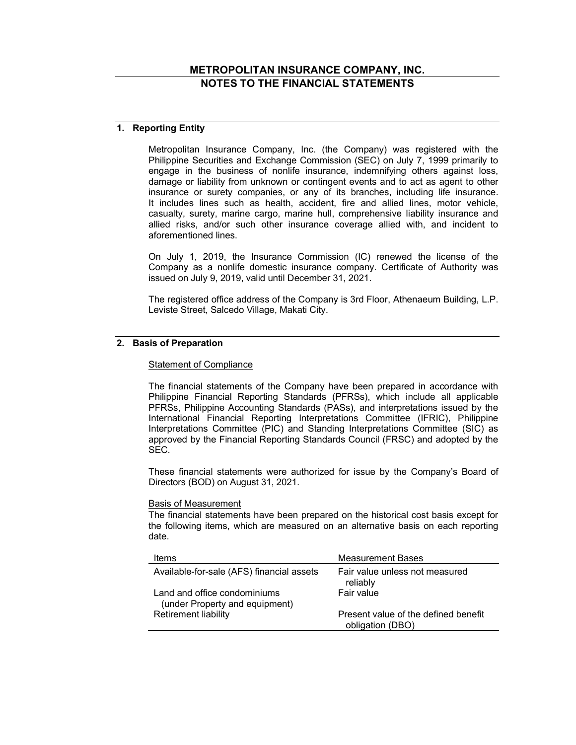# METROPOLITAN INSURANCE COMPANY, INC. NOTES TO THE FINANCIAL STATEMENTS

#### 1. Reporting Entity

Metropolitan Insurance Company, Inc. (the Company) was registered with the Philippine Securities and Exchange Commission (SEC) on July 7, 1999 primarily to engage in the business of nonlife insurance, indemnifying others against loss, damage or liability from unknown or contingent events and to act as agent to other insurance or surety companies, or any of its branches, including life insurance. It includes lines such as health, accident, fire and allied lines, motor vehicle, casualty, surety, marine cargo, marine hull, comprehensive liability insurance and allied risks, and/or such other insurance coverage allied with, and incident to aforementioned lines.

On July 1, 2019, the Insurance Commission (IC) renewed the license of the Company as a nonlife domestic insurance company. Certificate of Authority was issued on July 9, 2019, valid until December 31, 2021.

The registered office address of the Company is 3rd Floor, Athenaeum Building, L.P. Leviste Street, Salcedo Village, Makati City.

## 2. Basis of Preparation

#### Statement of Compliance

The financial statements of the Company have been prepared in accordance with Philippine Financial Reporting Standards (PFRSs), which include all applicable PFRSs, Philippine Accounting Standards (PASs), and interpretations issued by the International Financial Reporting Interpretations Committee (IFRIC), Philippine Interpretations Committee (PIC) and Standing Interpretations Committee (SIC) as approved by the Financial Reporting Standards Council (FRSC) and adopted by the SEC.

These financial statements were authorized for issue by the Company's Board of Directors (BOD) on August 31, 2021.

#### Basis of Measurement

The financial statements have been prepared on the historical cost basis except for the following items, which are measured on an alternative basis on each reporting date.

| Items                                                          | Measurement Bases                                        |
|----------------------------------------------------------------|----------------------------------------------------------|
| Available-for-sale (AFS) financial assets                      | Fair value unless not measured<br>reliably               |
| Land and office condominiums<br>(under Property and equipment) | Fair value                                               |
| <b>Retirement liability</b>                                    | Present value of the defined benefit<br>obligation (DBO) |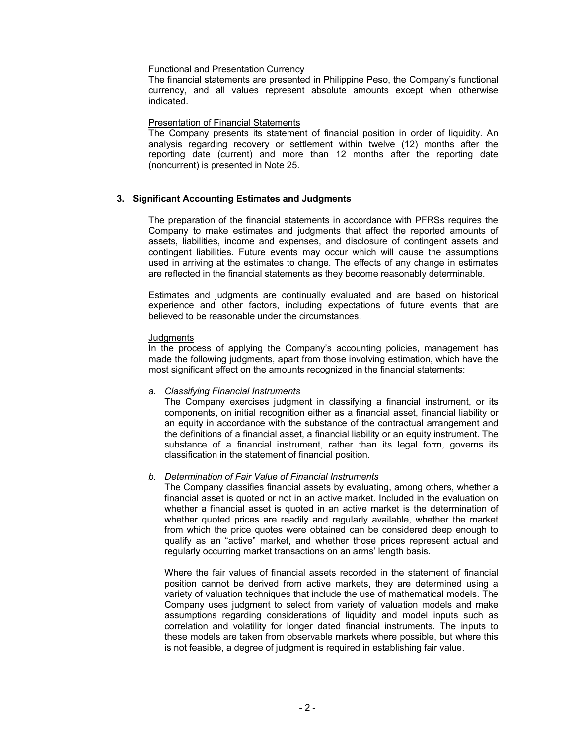#### Functional and Presentation Currency

The financial statements are presented in Philippine Peso, the Company's functional currency, and all values represent absolute amounts except when otherwise indicated.

#### Presentation of Financial Statements

The Company presents its statement of financial position in order of liquidity. An analysis regarding recovery or settlement within twelve (12) months after the reporting date (current) and more than 12 months after the reporting date (noncurrent) is presented in Note 25.

#### 3. Significant Accounting Estimates and Judgments

The preparation of the financial statements in accordance with PFRSs requires the Company to make estimates and judgments that affect the reported amounts of assets, liabilities, income and expenses, and disclosure of contingent assets and contingent liabilities. Future events may occur which will cause the assumptions used in arriving at the estimates to change. The effects of any change in estimates are reflected in the financial statements as they become reasonably determinable.

Estimates and judgments are continually evaluated and are based on historical experience and other factors, including expectations of future events that are believed to be reasonable under the circumstances.

#### **Judgments**

In the process of applying the Company's accounting policies, management has made the following judgments, apart from those involving estimation, which have the most significant effect on the amounts recognized in the financial statements:

#### a. Classifying Financial Instruments

The Company exercises judgment in classifying a financial instrument, or its components, on initial recognition either as a financial asset, financial liability or an equity in accordance with the substance of the contractual arrangement and the definitions of a financial asset, a financial liability or an equity instrument. The substance of a financial instrument, rather than its legal form, governs its classification in the statement of financial position.

#### b. Determination of Fair Value of Financial Instruments

The Company classifies financial assets by evaluating, among others, whether a financial asset is quoted or not in an active market. Included in the evaluation on whether a financial asset is quoted in an active market is the determination of whether quoted prices are readily and regularly available, whether the market from which the price quotes were obtained can be considered deep enough to qualify as an "active" market, and whether those prices represent actual and regularly occurring market transactions on an arms' length basis.

Where the fair values of financial assets recorded in the statement of financial position cannot be derived from active markets, they are determined using a variety of valuation techniques that include the use of mathematical models. The Company uses judgment to select from variety of valuation models and make assumptions regarding considerations of liquidity and model inputs such as correlation and volatility for longer dated financial instruments. The inputs to these models are taken from observable markets where possible, but where this is not feasible, a degree of judgment is required in establishing fair value.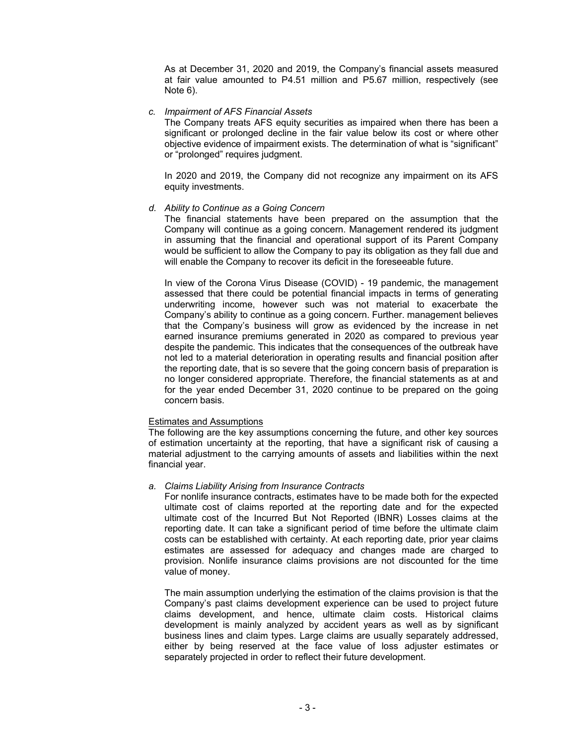As at December 31, 2020 and 2019, the Company's financial assets measured at fair value amounted to P4.51 million and P5.67 million, respectively (see Note 6).

#### c. Impairment of AFS Financial Assets

The Company treats AFS equity securities as impaired when there has been a significant or prolonged decline in the fair value below its cost or where other objective evidence of impairment exists. The determination of what is "significant" or "prolonged" requires judgment.

In 2020 and 2019, the Company did not recognize any impairment on its AFS equity investments.

#### d. Ability to Continue as a Going Concern

The financial statements have been prepared on the assumption that the Company will continue as a going concern. Management rendered its judgment in assuming that the financial and operational support of its Parent Company would be sufficient to allow the Company to pay its obligation as they fall due and will enable the Company to recover its deficit in the foreseeable future.

In view of the Corona Virus Disease (COVID) - 19 pandemic, the management assessed that there could be potential financial impacts in terms of generating underwriting income, however such was not material to exacerbate the Company's ability to continue as a going concern. Further. management believes that the Company's business will grow as evidenced by the increase in net earned insurance premiums generated in 2020 as compared to previous year despite the pandemic. This indicates that the consequences of the outbreak have not led to a material deterioration in operating results and financial position after the reporting date, that is so severe that the going concern basis of preparation is no longer considered appropriate. Therefore, the financial statements as at and for the year ended December 31, 2020 continue to be prepared on the going concern basis.

#### Estimates and Assumptions

The following are the key assumptions concerning the future, and other key sources of estimation uncertainty at the reporting, that have a significant risk of causing a material adjustment to the carrying amounts of assets and liabilities within the next financial year.

#### a. Claims Liability Arising from Insurance Contracts

For nonlife insurance contracts, estimates have to be made both for the expected ultimate cost of claims reported at the reporting date and for the expected ultimate cost of the Incurred But Not Reported (IBNR) Losses claims at the reporting date. It can take a significant period of time before the ultimate claim costs can be established with certainty. At each reporting date, prior year claims estimates are assessed for adequacy and changes made are charged to provision. Nonlife insurance claims provisions are not discounted for the time value of money.

The main assumption underlying the estimation of the claims provision is that the Company's past claims development experience can be used to project future claims development, and hence, ultimate claim costs. Historical claims development is mainly analyzed by accident years as well as by significant business lines and claim types. Large claims are usually separately addressed, either by being reserved at the face value of loss adjuster estimates or separately projected in order to reflect their future development.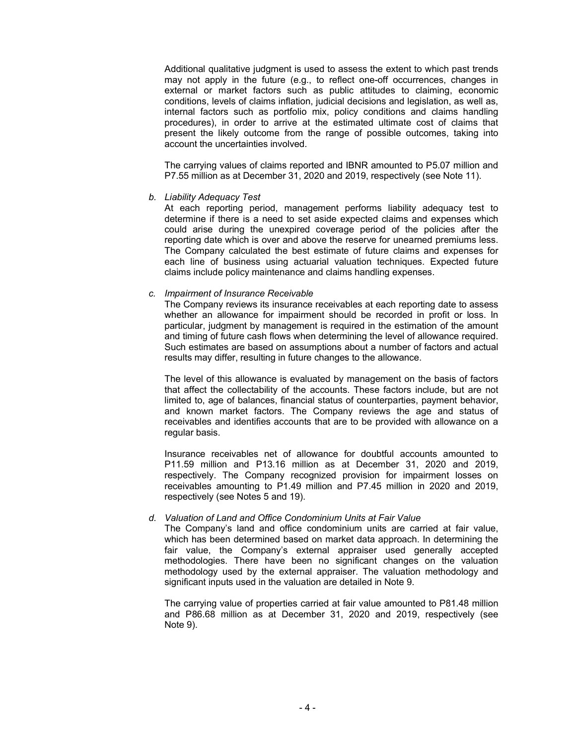Additional qualitative judgment is used to assess the extent to which past trends may not apply in the future (e.g., to reflect one-off occurrences, changes in external or market factors such as public attitudes to claiming, economic conditions, levels of claims inflation, judicial decisions and legislation, as well as, internal factors such as portfolio mix, policy conditions and claims handling procedures), in order to arrive at the estimated ultimate cost of claims that present the likely outcome from the range of possible outcomes, taking into account the uncertainties involved.

The carrying values of claims reported and IBNR amounted to P5.07 million and P7.55 million as at December 31, 2020 and 2019, respectively (see Note 11).

#### b. Liability Adequacy Test

At each reporting period, management performs liability adequacy test to determine if there is a need to set aside expected claims and expenses which could arise during the unexpired coverage period of the policies after the reporting date which is over and above the reserve for unearned premiums less. The Company calculated the best estimate of future claims and expenses for each line of business using actuarial valuation techniques. Expected future claims include policy maintenance and claims handling expenses.

#### c. Impairment of Insurance Receivable

The Company reviews its insurance receivables at each reporting date to assess whether an allowance for impairment should be recorded in profit or loss. In particular, judgment by management is required in the estimation of the amount and timing of future cash flows when determining the level of allowance required. Such estimates are based on assumptions about a number of factors and actual results may differ, resulting in future changes to the allowance.

The level of this allowance is evaluated by management on the basis of factors that affect the collectability of the accounts. These factors include, but are not limited to, age of balances, financial status of counterparties, payment behavior, and known market factors. The Company reviews the age and status of receivables and identifies accounts that are to be provided with allowance on a regular basis.

Insurance receivables net of allowance for doubtful accounts amounted to P11.59 million and P13.16 million as at December 31, 2020 and 2019, respectively. The Company recognized provision for impairment losses on receivables amounting to P1.49 million and P7.45 million in 2020 and 2019, respectively (see Notes 5 and 19).

#### d. Valuation of Land and Office Condominium Units at Fair Value

The Company's land and office condominium units are carried at fair value, which has been determined based on market data approach. In determining the fair value, the Company's external appraiser used generally accepted methodologies. There have been no significant changes on the valuation methodology used by the external appraiser. The valuation methodology and significant inputs used in the valuation are detailed in Note 9.

The carrying value of properties carried at fair value amounted to P81.48 million and P86.68 million as at December 31, 2020 and 2019, respectively (see Note 9).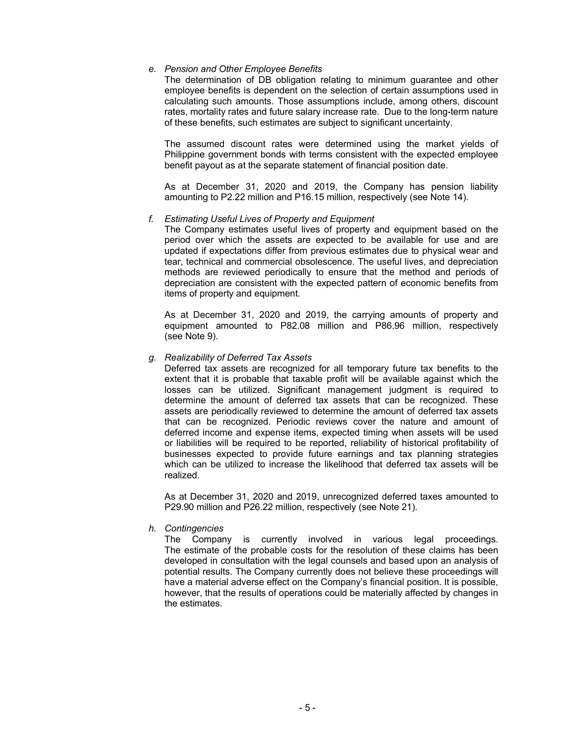#### e. Pension and Other Employee Benefits

The determination of DB obligation relating to minimum guarantee and other employee benefits is dependent on the selection of certain assumptions used in calculating such amounts. Those assumptions include, among others, discount rates, mortality rates and future salary increase rate. Due to the long-term nature of these benefits, such estimates are subject to significant uncertainty.

The assumed discount rates were determined using the market yields of Philippine government bonds with terms consistent with the expected employee benefit payout as at the separate statement of financial position date.

As at December 31, 2020 and 2019, the Company has pension liability amounting to P2.22 million and P16.15 million, respectively (see Note 14).

#### f. Estimating Useful Lives of Property and Equipment

The Company estimates useful lives of property and equipment based on the period over which the assets are expected to be available for use and are updated if expectations differ from previous estimates due to physical wear and tear, technical and commercial obsolescence. The useful lives, and depreciation methods are reviewed periodically to ensure that the method and periods of depreciation are consistent with the expected pattern of economic benefits from items of property and equipment.

As at December 31, 2020 and 2019, the carrying amounts of property and equipment amounted to P82.08 million and P86.96 million, respectively (see Note 9).

#### g. Realizability of Deferred Tax Assets

Deferred tax assets are recognized for all temporary future tax benefits to the extent that it is probable that taxable profit will be available against which the losses can be utilized. Significant management judgment is required to determine the amount of deferred tax assets that can be recognized. These assets are periodically reviewed to determine the amount of deferred tax assets that can be recognized. Periodic reviews cover the nature and amount of deferred income and expense items, expected timing when assets will be used or liabilities will be required to be reported, reliability of historical profitability of businesses expected to provide future earnings and tax planning strategies which can be utilized to increase the likelihood that deferred tax assets will be realized.

As at December 31, 2020 and 2019, unrecognized deferred taxes amounted to P29.90 million and P26.22 million, respectively (see Note 21).

#### h. Contingencies

The Company is currently involved in various legal proceedings. The estimate of the probable costs for the resolution of these claims has been developed in consultation with the legal counsels and based upon an analysis of potential results. The Company currently does not believe these proceedings will have a material adverse effect on the Company's financial position. It is possible, however, that the results of operations could be materially affected by changes in the estimates.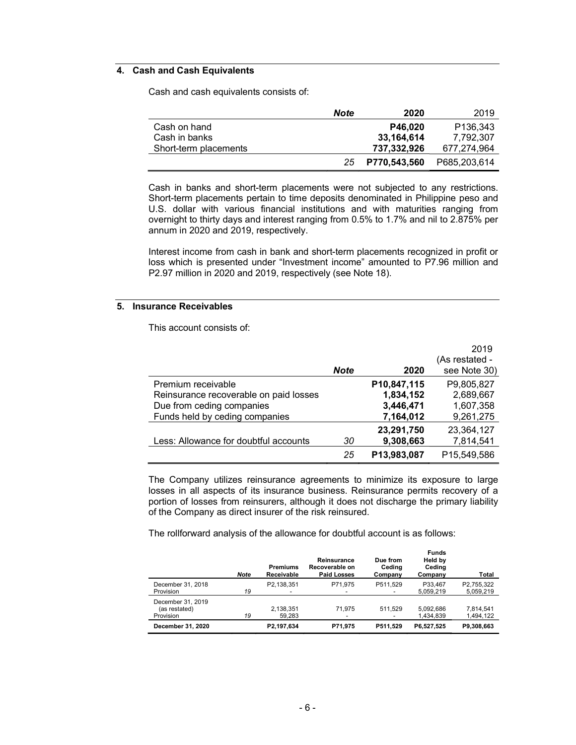#### 4. Cash and Cash Equivalents

Cash and cash equivalents consists of:

|                       | <b>Note</b> | 2020         | 2019         |
|-----------------------|-------------|--------------|--------------|
| Cash on hand          |             | P46.020      | P136.343     |
| Cash in banks         |             | 33,164,614   | 7.792.307    |
| Short-term placements |             | 737,332,926  | 677,274,964  |
|                       | 25          | P770,543,560 | P685,203,614 |

Cash in banks and short-term placements were not subjected to any restrictions. Short-term placements pertain to time deposits denominated in Philippine peso and U.S. dollar with various financial institutions and with maturities ranging from overnight to thirty days and interest ranging from 0.5% to 1.7% and nil to 2.875% per annum in 2020 and 2019, respectively.

Interest income from cash in bank and short-term placements recognized in profit or loss which is presented under "Investment income" amounted to P7.96 million and P2.97 million in 2020 and 2019, respectively (see Note 18).

#### 5. Insurance Receivables

This account consists of:

|                                        |             |             | 2019<br>(As restated - |
|----------------------------------------|-------------|-------------|------------------------|
|                                        | <b>Note</b> | 2020        | see Note 30)           |
| Premium receivable                     |             | P10,847,115 | P9,805,827             |
| Reinsurance recoverable on paid losses |             | 1,834,152   | 2,689,667              |
| Due from ceding companies              |             | 3,446,471   | 1,607,358              |
| Funds held by ceding companies         |             | 7,164,012   | 9,261,275              |
|                                        |             | 23,291,750  | 23,364,127             |
| Less: Allowance for doubtful accounts  | 30          | 9,308,663   | 7,814,541              |
|                                        | 25          | P13,983,087 | P15,549,586            |

The Company utilizes reinsurance agreements to minimize its exposure to large losses in all aspects of its insurance business. Reinsurance permits recovery of a portion of losses from reinsurers, although it does not discharge the primary liability of the Company as direct insurer of the risk reinsured.

The rollforward analysis of the allowance for doubtful account is as follows:

|                                                 | <b>Note</b> | <b>Premiums</b><br>Receivable          | Reinsurance<br>Recoverable on<br><b>Paid Losses</b> | Due from<br>Ceding<br>Company        | <b>Funds</b><br>Held by<br>Ceding<br>Company | Total                   |
|-------------------------------------------------|-------------|----------------------------------------|-----------------------------------------------------|--------------------------------------|----------------------------------------------|-------------------------|
| December 31, 2018<br>Provision                  | 19          | P2,138,351<br>$\overline{\phantom{a}}$ | P71.975<br>$\overline{\phantom{a}}$                 | P511.529<br>$\overline{\phantom{a}}$ | P33.467<br>5.059.219                         | P2.755.322<br>5,059,219 |
| December 31, 2019<br>(as restated)<br>Provision | 19          | 2.138.351<br>59.283                    | 71.975<br>$\overline{\phantom{a}}$                  | 511.529                              | 5.092.686<br>1,434,839                       | 7.814.541<br>1,494,122  |
| December 31, 2020                               |             | P2,197,634                             | P71.975                                             | P511.529                             | P6,527,525                                   | P9,308,663              |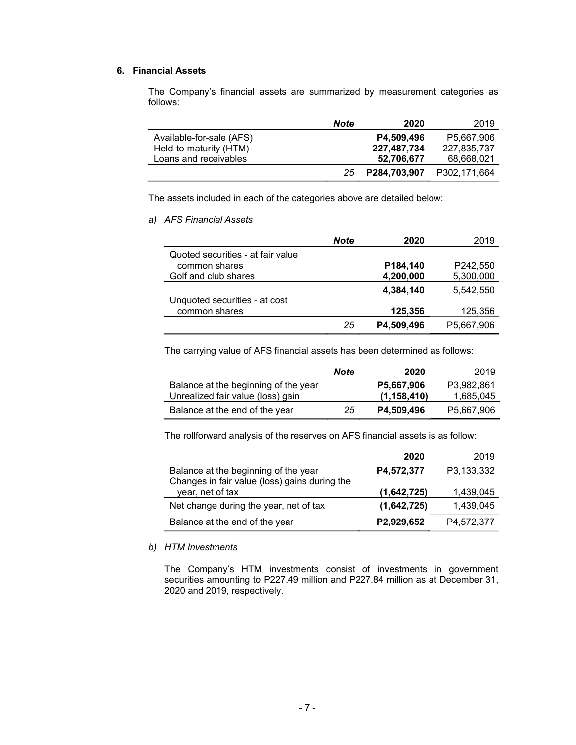## 6. Financial Assets

The Company's financial assets are summarized by measurement categories as follows:

|                          | <b>Note</b> | 2020         | 2019         |
|--------------------------|-------------|--------------|--------------|
| Available-for-sale (AFS) |             | P4.509.496   | P5.667.906   |
| Held-to-maturity (HTM)   |             | 227,487,734  | 227,835,737  |
| Loans and receivables    |             | 52,706,677   | 68,668,021   |
|                          | 25          | P284.703.907 | P302.171.664 |

The assets included in each of the categories above are detailed below:

#### a) AFS Financial Assets

|                                   | <b>Note</b> | 2020       | 2019       |
|-----------------------------------|-------------|------------|------------|
| Quoted securities - at fair value |             |            |            |
| common shares                     |             | P184,140   | P242,550   |
| Golf and club shares              |             | 4,200,000  | 5,300,000  |
|                                   |             | 4,384,140  | 5,542,550  |
| Unquoted securities - at cost     |             |            |            |
| common shares                     |             | 125,356    | 125,356    |
|                                   | 25          | P4,509,496 | P5,667,906 |

The carrying value of AFS financial assets has been determined as follows:

|                                                                           | <b>Note</b> | 2020                        | 2019                    |
|---------------------------------------------------------------------------|-------------|-----------------------------|-------------------------|
| Balance at the beginning of the year<br>Unrealized fair value (loss) gain |             | P5,667,906<br>(1, 158, 410) | P3,982,861<br>1,685,045 |
| Balance at the end of the year                                            | 25          | P4,509,496                  | P5,667,906              |

The rollforward analysis of the reserves on AFS financial assets is as follow:

|                                                                                       | 2020        | 2019       |
|---------------------------------------------------------------------------------------|-------------|------------|
| Balance at the beginning of the year<br>Changes in fair value (loss) gains during the | P4,572,377  | P3,133,332 |
| year, net of tax                                                                      | (1,642,725) | 1,439,045  |
| Net change during the year, net of tax                                                | (1,642,725) | 1,439,045  |
| Balance at the end of the year                                                        | P2,929,652  | P4,572,377 |

#### b) HTM Investments

The Company's HTM investments consist of investments in government securities amounting to P227.49 million and P227.84 million as at December 31, 2020 and 2019, respectively.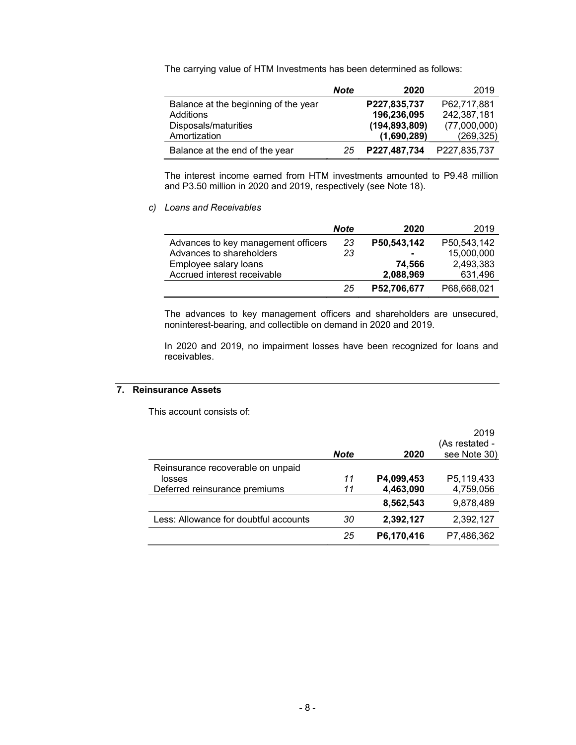The carrying value of HTM Investments has been determined as follows:

|                                      | <b>Note</b> | 2020            | 2019         |
|--------------------------------------|-------------|-----------------|--------------|
| Balance at the beginning of the year |             | P227,835,737    | P62.717.881  |
| Additions                            |             | 196,236,095     | 242,387,181  |
| Disposals/maturities                 |             | (194, 893, 809) | (77,000,000) |
| Amortization                         |             | (1,690,289)     | (269, 325)   |
| Balance at the end of the year       | 25          | P227,487,734    | P227,835,737 |

The interest income earned from HTM investments amounted to P9.48 million and P3.50 million in 2020 and 2019, respectively (see Note 18).

#### c) Loans and Receivables

|                                     | <b>Note</b> | 2020           | 2019        |
|-------------------------------------|-------------|----------------|-------------|
| Advances to key management officers | 23          | P50,543,142    | P50,543,142 |
| Advances to shareholders            | 23          | $\blacksquare$ | 15,000,000  |
| Employee salary loans               |             | 74.566         | 2,493,383   |
| Accrued interest receivable         |             | 2,088,969      | 631,496     |
|                                     | 25          | P52,706,677    | P68,668,021 |

The advances to key management officers and shareholders are unsecured, noninterest-bearing, and collectible on demand in 2020 and 2019.

In 2020 and 2019, no impairment losses have been recognized for loans and receivables.

## 7. Reinsurance Assets

This account consists of:

|                                       |             |            | 2019           |
|---------------------------------------|-------------|------------|----------------|
|                                       |             |            | (As restated - |
|                                       | <b>Note</b> | 2020       | see Note 30)   |
| Reinsurance recoverable on unpaid     |             |            |                |
| losses                                | 11          | P4,099,453 | P5,119,433     |
| Deferred reinsurance premiums         | 11          | 4,463,090  | 4,759,056      |
|                                       |             | 8,562,543  | 9,878,489      |
| Less: Allowance for doubtful accounts | 30          | 2,392,127  | 2,392,127      |
|                                       | 25          | P6,170,416 | P7,486,362     |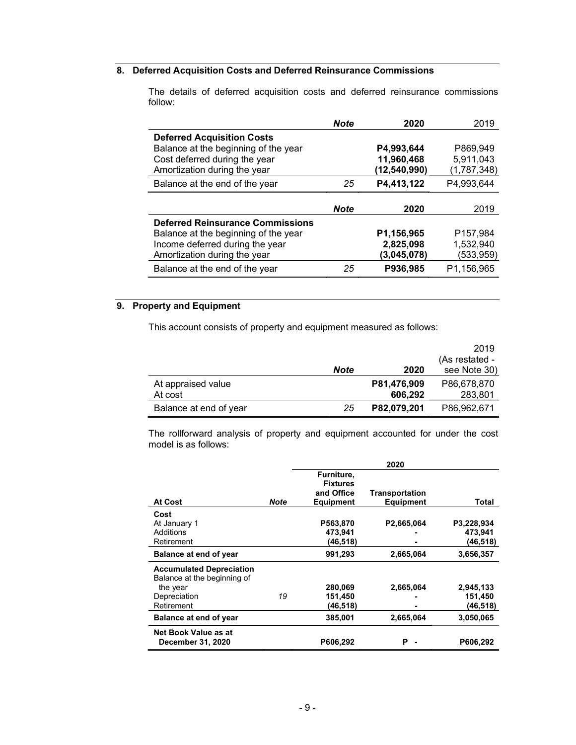## 8. Deferred Acquisition Costs and Deferred Reinsurance Commissions

|                                                                                                                                                    | <b>Note</b> | 2020                                       | 2019                                           |
|----------------------------------------------------------------------------------------------------------------------------------------------------|-------------|--------------------------------------------|------------------------------------------------|
| <b>Deferred Acquisition Costs</b><br>Balance at the beginning of the year<br>Cost deferred during the year<br>Amortization during the year         |             | P4,993,644<br>11,960,468<br>(12, 540, 990) | P869.949<br>5,911,043<br>(1,787,348)           |
| Balance at the end of the year                                                                                                                     | 25          | P4,413,122                                 | P4,993,644                                     |
|                                                                                                                                                    | <b>Note</b> | 2020                                       | 2019                                           |
| <b>Deferred Reinsurance Commissions</b><br>Balance at the beginning of the year<br>Income deferred during the year<br>Amortization during the year |             | P1,156,965<br>2,825,098<br>(3,045,078)     | P <sub>157,984</sub><br>1,532,940<br>(533,959) |
| Balance at the end of the year                                                                                                                     | 25          | P936,985                                   | P1,156,965                                     |

The details of deferred acquisition costs and deferred reinsurance commissions follow:

## 9. Property and Equipment

This account consists of property and equipment measured as follows:

|                        |             |             | 2019<br>(As restated - |
|------------------------|-------------|-------------|------------------------|
|                        | <b>Note</b> | 2020        | see Note 30)           |
| At appraised value     |             | P81,476,909 | P86,678,870            |
| At cost                |             | 606,292     | 283,801                |
| Balance at end of year | 25          | P82,079,201 | P86,962,671            |

The rollforward analysis of property and equipment accounted for under the cost model is as follows:

|                                 |      |                 | 2020             |            |
|---------------------------------|------|-----------------|------------------|------------|
|                                 |      | Furniture,      |                  |            |
|                                 |      | <b>Fixtures</b> |                  |            |
|                                 |      | and Office      | Transportation   |            |
| At Cost                         | Note | Equipment       | <b>Equipment</b> | Total      |
| Cost                            |      |                 |                  |            |
| At January 1                    |      | P563,870        | P2,665,064       | P3,228,934 |
| Additions                       |      | 473,941         |                  | 473,941    |
| Retirement                      |      | (46,518)        |                  | (46,518)   |
| <b>Balance at end of year</b>   |      | 991,293         | 2,665,064        | 3,656,357  |
| <b>Accumulated Depreciation</b> |      |                 |                  |            |
| Balance at the beginning of     |      |                 |                  |            |
| the year                        |      | 280,069         | 2,665,064        | 2,945,133  |
| Depreciation                    | 19   | 151,450         |                  | 151,450    |
| Retirement                      |      | (46,518)        |                  | (46,518)   |
| Balance at end of year          |      | 385,001         | 2,665,064        | 3,050,065  |
| Net Book Value as at            |      |                 |                  |            |
| December 31, 2020               |      | P606,292        | P                | P606,292   |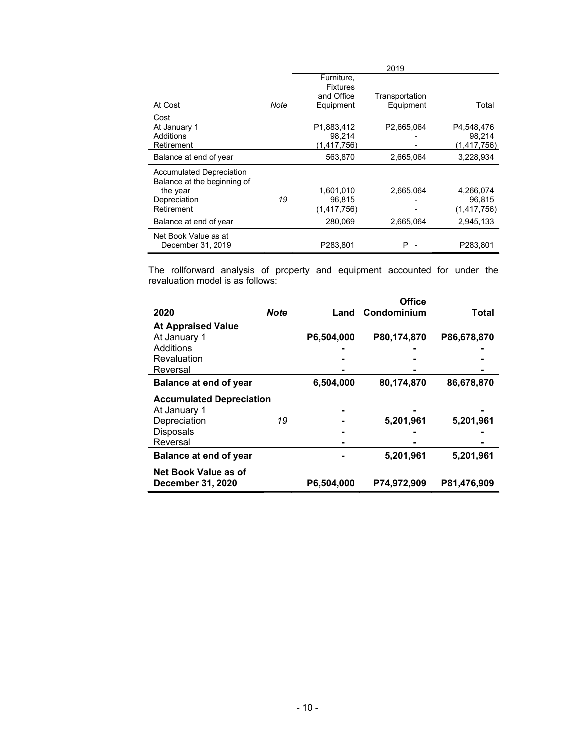|                                 |      |                 | 2019                    |               |
|---------------------------------|------|-----------------|-------------------------|---------------|
|                                 |      | Furniture,      |                         |               |
|                                 |      | <b>Fixtures</b> |                         |               |
|                                 |      | and Office      | Transportation          |               |
| At Cost                         | Note | Equipment       | Equipment               | Total         |
| Cost                            |      |                 |                         |               |
| At January 1                    |      | P1,883,412      | P <sub>2</sub> ,665,064 | P4,548,476    |
| Additions                       |      | 98,214          |                         | 98,214        |
| Retirement                      |      | (1,417,756)     |                         | (1,417,756)   |
| Balance at end of year          |      | 563,870         | 2,665,064               | 3,228,934     |
| <b>Accumulated Depreciation</b> |      |                 |                         |               |
| Balance at the beginning of     |      |                 |                         |               |
| the year                        |      | 1,601,010       | 2,665,064               | 4,266,074     |
| Depreciation                    | 19   | 96,815          |                         | 96.815        |
| Retirement                      |      | (1,417,756)     |                         | (1, 417, 756) |
| Balance at end of year          |      | 280,069         | 2,665,064               | 2.945.133     |
| Net Book Value as at            |      |                 |                         |               |
| December 31, 2019               |      | P283,801        | P                       | P283,801      |

The rollforward analysis of property and equipment accounted for under the revaluation model is as follows:

|                                                         |             |            | <b>Office</b> |             |
|---------------------------------------------------------|-------------|------------|---------------|-------------|
| 2020                                                    | <b>Note</b> | Land       | Condominium   | Total       |
| <b>At Appraised Value</b>                               |             |            |               |             |
| At January 1                                            |             | P6,504,000 | P80,174,870   | P86,678,870 |
| Additions                                               |             |            |               |             |
| Revaluation                                             |             |            |               |             |
| Reversal                                                |             |            |               |             |
| Balance at end of year                                  |             | 6,504,000  | 80,174,870    | 86,678,870  |
| <b>Accumulated Depreciation</b>                         |             |            |               |             |
| At January 1                                            |             |            |               |             |
| Depreciation                                            | 19          |            | 5,201,961     | 5,201,961   |
| <b>Disposals</b>                                        |             |            |               |             |
| Reversal                                                |             |            |               |             |
| Balance at end of year                                  |             |            | 5,201,961     | 5,201,961   |
| <b>Net Book Value as of</b><br><b>December 31, 2020</b> |             | P6,504,000 | P74,972,909   | P81,476,909 |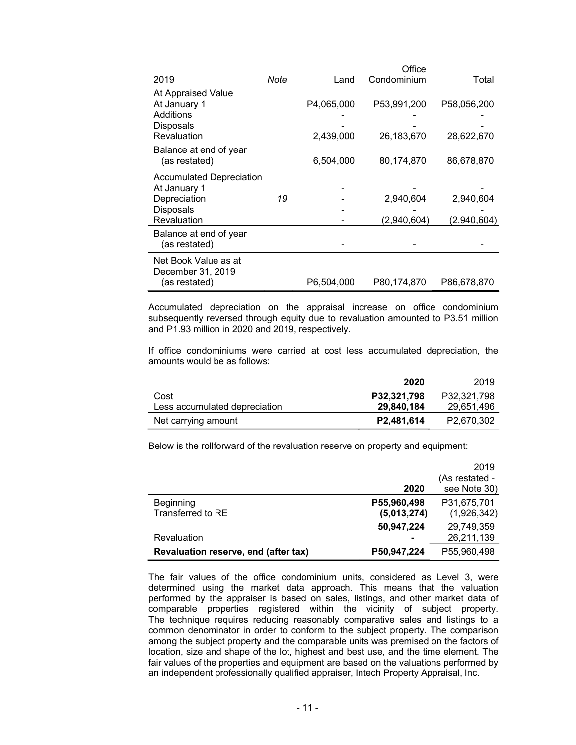|                                           |      |            | Office      |             |
|-------------------------------------------|------|------------|-------------|-------------|
| 2019                                      | Note | Land       | Condominium | Total       |
| At Appraised Value                        |      |            |             |             |
| At January 1                              |      | P4,065,000 | P53,991,200 | P58,056,200 |
| Additions                                 |      |            |             |             |
| <b>Disposals</b>                          |      |            |             |             |
| Revaluation                               |      | 2,439,000  | 26,183,670  | 28,622,670  |
| Balance at end of year                    |      |            |             |             |
| (as restated)                             |      | 6,504,000  | 80,174,870  | 86,678,870  |
| <b>Accumulated Depreciation</b>           |      |            |             |             |
| At January 1                              |      |            |             |             |
| Depreciation                              | 19   |            | 2,940,604   | 2,940,604   |
| <b>Disposals</b>                          |      |            |             |             |
| Revaluation                               |      |            | (2,940,604) | (2,940,604) |
| Balance at end of year<br>(as restated)   |      |            |             |             |
| Net Book Value as at<br>December 31, 2019 |      |            |             |             |
| (as restated)                             |      | P6,504,000 | P80,174,870 | P86,678,870 |

Accumulated depreciation on the appraisal increase on office condominium subsequently reversed through equity due to revaluation amounted to P3.51 million and P1.93 million in 2020 and 2019, respectively.

If office condominiums were carried at cost less accumulated depreciation, the amounts would be as follows:

|                               | 2020                    | 2019                    |
|-------------------------------|-------------------------|-------------------------|
| Cost                          | P32,321,798             | P32,321,798             |
| Less accumulated depreciation | 29,840,184              | 29,651,496              |
| Net carrying amount           | P <sub>2</sub> ,481,614 | P <sub>2</sub> ,670,302 |

Below is the rollforward of the revaluation reserve on property and equipment:

|                                      |             | 2019           |
|--------------------------------------|-------------|----------------|
|                                      |             | (As restated - |
|                                      | 2020        | see Note 30)   |
| <b>Beginning</b>                     | P55,960,498 | P31,675,701    |
| Transferred to RE                    | (5,013,274) | (1,926,342)    |
|                                      | 50,947,224  | 29,749,359     |
| <b>Revaluation</b>                   |             | 26,211,139     |
| Revaluation reserve, end (after tax) | P50,947,224 | P55,960,498    |

The fair values of the office condominium units, considered as Level 3, were determined using the market data approach. This means that the valuation performed by the appraiser is based on sales, listings, and other market data of comparable properties registered within the vicinity of subject property. The technique requires reducing reasonably comparative sales and listings to a common denominator in order to conform to the subject property. The comparison among the subject property and the comparable units was premised on the factors of location, size and shape of the lot, highest and best use, and the time element. The fair values of the properties and equipment are based on the valuations performed by an independent professionally qualified appraiser, Intech Property Appraisal, Inc.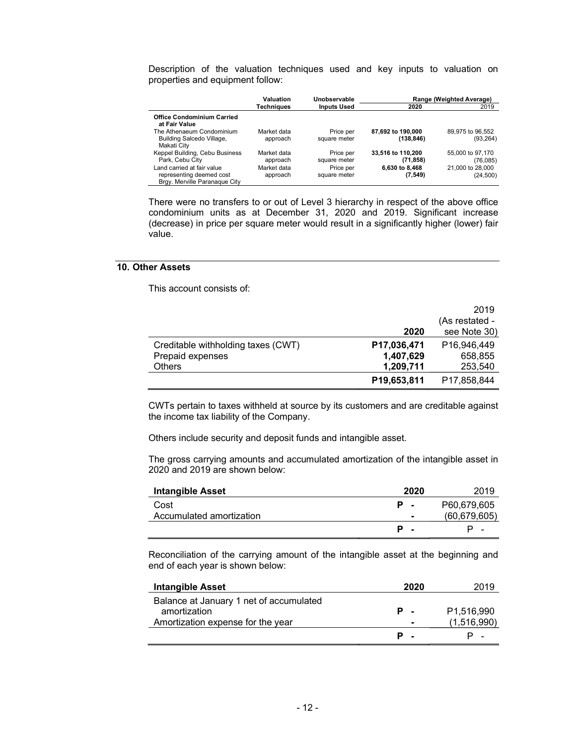Description of the valuation techniques used and key inputs to valuation on properties and equipment follow:

|                                                                                         | Valuation               | Unobservable              |                                 | Range (Weighted Average)      |
|-----------------------------------------------------------------------------------------|-------------------------|---------------------------|---------------------------------|-------------------------------|
|                                                                                         | Techniaues              | <b>Inputs Used</b>        | 2020                            | 2019                          |
| <b>Office Condominium Carried</b><br>at Fair Value                                      |                         |                           |                                 |                               |
| The Athenaeum Condominium<br>Building Salcedo Village,<br>Makati City                   | Market data<br>approach | Price per<br>square meter | 87.692 to 190.000<br>(138, 846) | 89.975 to 96.552<br>(93, 264) |
| Keppel Building, Cebu Business<br>Park, Cebu City                                       | Market data<br>approach | Price per<br>square meter | 33,516 to 110,200<br>(71,858)   | 55,000 to 97,170<br>(76,085)  |
| Land carried at fair value<br>representing deemed cost<br>Brgy. Merville Paranaque City | Market data<br>approach | Price per<br>square meter | 6,630 to 8,468<br>(7, 549)      | 21,000 to 28,000<br>(24, 500) |

There were no transfers to or out of Level 3 hierarchy in respect of the above office condominium units as at December 31, 2020 and 2019. Significant increase (decrease) in price per square meter would result in a significantly higher (lower) fair value.

#### 10. Other Assets

This account consists of:

|                                    |             | 2019           |
|------------------------------------|-------------|----------------|
|                                    |             | (As restated - |
|                                    | 2020        | see Note 30)   |
| Creditable withholding taxes (CWT) | P17,036,471 | P16,946,449    |
| Prepaid expenses                   | 1,407,629   | 658,855        |
| <b>Others</b>                      | 1,209,711   | 253,540        |
|                                    | P19,653,811 | P17,858,844    |

CWTs pertain to taxes withheld at source by its customers and are creditable against the income tax liability of the Company.

Others include security and deposit funds and intangible asset.

The gross carrying amounts and accumulated amortization of the intangible asset in 2020 and 2019 are shown below:

| <b>Intangible Asset</b>  | 2020           | 2019                     |
|--------------------------|----------------|--------------------------|
| Cost                     | <b>P</b> -     | P60.679.605              |
| Accumulated amortization | $\blacksquare$ | (60, 679, 605)           |
|                          |                | $\overline{\phantom{0}}$ |

Reconciliation of the carrying amount of the intangible asset at the beginning and end of each year is shown below:

| <b>Intangible Asset</b>                 | 2020           | 2019                    |
|-----------------------------------------|----------------|-------------------------|
| Balance at January 1 net of accumulated |                |                         |
| amortization                            | <b>P</b> -     | P <sub>1</sub> ,516,990 |
| Amortization expense for the year       | $\blacksquare$ | (1,516,990)             |
|                                         | Р.             |                         |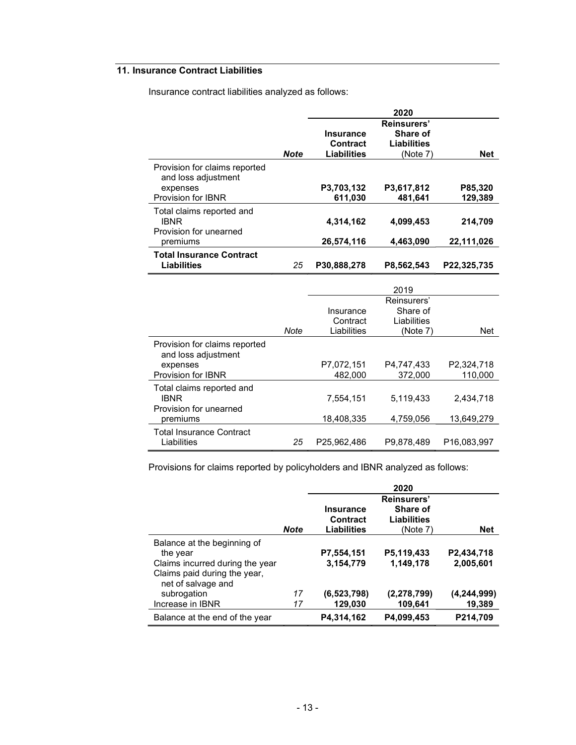# 11. Insurance Contract Liabilities

|                                                      |      |                  | 2020               |             |
|------------------------------------------------------|------|------------------|--------------------|-------------|
|                                                      |      |                  | Reinsurers'        |             |
|                                                      |      | <b>Insurance</b> | Share of           |             |
|                                                      |      | <b>Contract</b>  | <b>Liabilities</b> |             |
|                                                      | Note | Liabilities      | (Note 7)           | Net         |
| Provision for claims reported<br>and loss adjustment |      |                  |                    |             |
| expenses                                             |      | P3,703,132       | P3,617,812         | P85,320     |
| Provision for IBNR                                   |      | 611,030          | 481,641            | 129,389     |
| Total claims reported and                            |      |                  |                    |             |
| <b>IBNR</b>                                          |      | 4,314,162        | 4,099,453          | 214,709     |
| Provision for unearned                               |      |                  |                    |             |
| premiums                                             |      | 26,574,116       | 4,463,090          | 22,111,026  |
| <b>Total Insurance Contract</b>                      |      |                  |                    |             |
| Liabilities                                          | 25   | P30,888,278      | P8,562,543         | P22,325,735 |
|                                                      |      |                  |                    |             |
|                                                      |      |                  | 2019               |             |
|                                                      |      |                  | Reinsurers'        |             |
|                                                      |      | Insurance        | Share of           |             |
|                                                      |      | Contract         | Liabilities        |             |
|                                                      | Note | Liabilities      | (Note 7)           | Net         |
| Provision for claims reported<br>and loss adjustment |      |                  |                    |             |
| expenses                                             |      | P7,072,151       | P4,747,433         | P2,324,718  |
| <b>Provision for IBNR</b>                            |      | 482.000          | 372.000            | 110.000     |

Insurance contract liabilities analyzed as follows:

Provision for IBNR 482,000 372,000 110,000 Total claims reported and IBNR 7,554,151 5,119,433 2,434,718 Provision for unearned premiums 18,408,335 4,759,056 13,649,279 Total Insurance Contract Liabilities 25 P25,962,486 P9,878,489 P16,083,997

Provisions for claims reported by policyholders and IBNR analyzed as follows:

|                                                    |             |                              | 2020                    |             |
|----------------------------------------------------|-------------|------------------------------|-------------------------|-------------|
|                                                    |             |                              | Reinsurers'             |             |
|                                                    |             | <b>Insurance</b><br>Contract | Share of<br>Liabilities |             |
|                                                    | <b>Note</b> | Liabilities                  | (Note 7)                | <b>Net</b>  |
| Balance at the beginning of                        |             |                              |                         |             |
| the year                                           |             | P7,554,151                   | P5,119,433              | P2,434,718  |
| Claims incurred during the year                    |             | 3,154,779                    | 1,149,178               | 2,005,601   |
| Claims paid during the year,<br>net of salvage and |             |                              |                         |             |
| subrogation                                        | 17          | (6, 523, 798)                | (2, 278, 799)           | (4,244,999) |
| Increase in IBNR                                   | 17          | 129,030                      | 109,641                 | 19,389      |
| Balance at the end of the year                     |             | P4.314.162                   | P4,099,453              | P214,709    |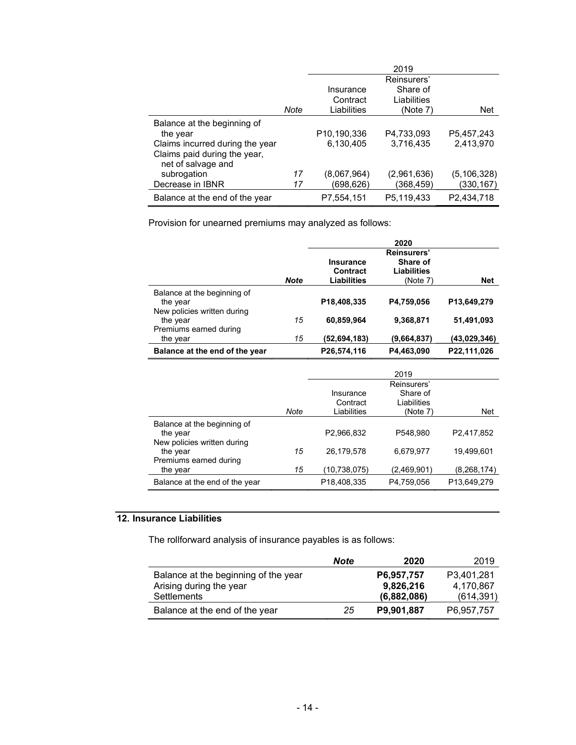|                                 |      |                            | 2019        |             |
|---------------------------------|------|----------------------------|-------------|-------------|
|                                 |      |                            | Reinsurers' |             |
|                                 |      | Insurance                  | Share of    |             |
|                                 |      | Contract                   | Liabilities |             |
|                                 | Note | Liabilities                | (Note 7)    | Net         |
| Balance at the beginning of     |      |                            |             |             |
| the year                        |      | P <sub>10</sub> , 190, 336 | P4,733,093  | P5,457,243  |
| Claims incurred during the year |      | 6,130,405                  | 3,716,435   | 2,413,970   |
| Claims paid during the year,    |      |                            |             |             |
| net of salvage and              |      |                            |             |             |
| subrogation                     | 17   | (8,067,964)                | (2,961,636) | (5,106,328) |
| Decrease in IBNR                | 17   | (698,626)                  | (368,459)   | (330,167)   |
| Balance at the end of the year  |      | P7,554,151                 | P5,119,433  | P2,434,718  |

Provision for unearned premiums may analyzed as follows:

|                                |             |                    | 2020               |              |
|--------------------------------|-------------|--------------------|--------------------|--------------|
|                                |             |                    | Reinsurers'        |              |
|                                |             | Insurance          | Share of           |              |
|                                |             | Contract           | <b>Liabilities</b> |              |
|                                | <b>Note</b> | <b>Liabilities</b> | (Note 7)           | Net          |
| Balance at the beginning of    |             |                    |                    |              |
| the year                       |             | P18,408,335        | P4,759,056         | P13,649,279  |
| New policies written during    |             |                    |                    |              |
| the year                       | 15          | 60,859,964         | 9,368,871          | 51,491,093   |
| Premiums earned during         |             |                    |                    |              |
| the year                       | 15          | (52,694,183)       | (9.664.837)        | (43,029,346) |
| Balance at the end of the year |             | P26,574,116        | P4,463,090         | P22,111,026  |

|                                |      |              | 2019         |                         |
|--------------------------------|------|--------------|--------------|-------------------------|
|                                |      |              | Reinsurers'  |                         |
|                                |      | Insurance    | Share of     |                         |
|                                |      | Contract     | I jabilities |                         |
|                                | Note | Liabilities  | (Note 7)     | Net                     |
| Balance at the beginning of    |      |              |              |                         |
| the year                       |      | P2,966,832   | P548.980     | P <sub>2</sub> ,417,852 |
| New policies written during    |      |              |              |                         |
| the year                       | 15   | 26.179.578   | 6,679,977    | 19,499,601              |
| Premiums earned during         |      |              |              |                         |
| the year                       | 15   | (10,738,075) | (2,469,901)  | (8,268,174)             |
| Balance at the end of the year |      | P18,408,335  | P4,759,056   | P13,649,279             |

## 12. Insurance Liabilities

The rollforward analysis of insurance payables is as follows:

|                                                                                       | <b>Note</b> | 2020                                   | 2019                                  |
|---------------------------------------------------------------------------------------|-------------|----------------------------------------|---------------------------------------|
| Balance at the beginning of the year<br>Arising during the year<br><b>Settlements</b> |             | P6,957,757<br>9,826,216<br>(6,882,086) | P3.401.281<br>4,170,867<br>(614, 391) |
| Balance at the end of the year                                                        | 25          | P9,901,887                             | P6.957.757                            |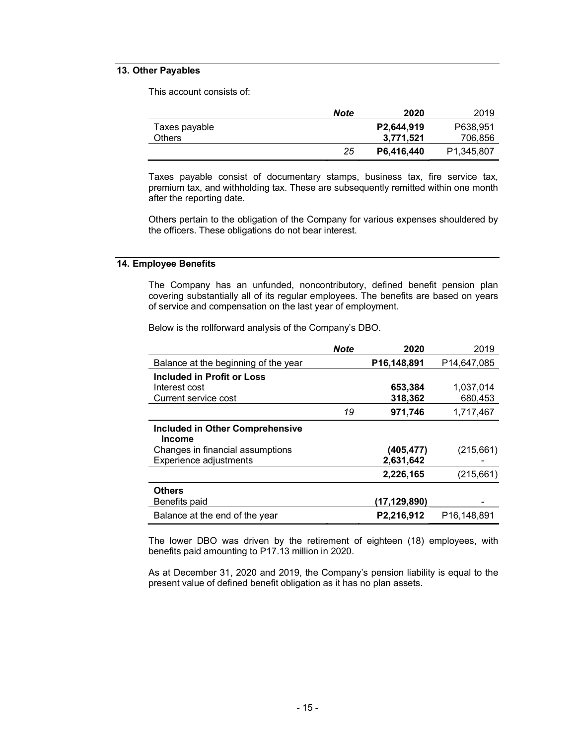#### 13. Other Payables

This account consists of:

|               | <b>Note</b> | 2020       | 2019                    |
|---------------|-------------|------------|-------------------------|
| Taxes payable |             | P2,644,919 | P638,951                |
| <b>Others</b> |             | 3.771.521  | 706,856                 |
|               | 25          | P6,416,440 | P <sub>1</sub> ,345,807 |

Taxes payable consist of documentary stamps, business tax, fire service tax, premium tax, and withholding tax. These are subsequently remitted within one month after the reporting date.

Others pertain to the obligation of the Company for various expenses shouldered by the officers. These obligations do not bear interest.

#### 14. Employee Benefits

The Company has an unfunded, noncontributory, defined benefit pension plan covering substantially all of its regular employees. The benefits are based on years of service and compensation on the last year of employment.

Below is the rollforward analysis of the Company's DBO.

|                                                         | <b>Note</b> | 2020                       | 2019                       |
|---------------------------------------------------------|-------------|----------------------------|----------------------------|
| Balance at the beginning of the year                    |             | P <sub>16</sub> , 148, 891 | P <sub>14</sub> , 647, 085 |
| Included in Profit or Loss                              |             |                            |                            |
| Interest cost                                           |             | 653,384                    | 1.037.014                  |
| Current service cost                                    |             | 318,362                    | 680,453                    |
|                                                         | 19          | 971,746                    | 1,717,467                  |
| <b>Included in Other Comprehensive</b><br><b>Income</b> |             |                            |                            |
| Changes in financial assumptions                        |             | (405, 477)                 | (215, 661)                 |
| Experience adjustments                                  |             | 2,631,642                  |                            |
|                                                         |             | 2,226,165                  | (215, 661)                 |
| <b>Others</b>                                           |             |                            |                            |
| Benefits paid                                           |             | (17,129,890)               |                            |
| Balance at the end of the year                          |             | P2,216,912                 | P <sub>16</sub> , 148, 891 |

The lower DBO was driven by the retirement of eighteen (18) employees, with benefits paid amounting to P17.13 million in 2020.

As at December 31, 2020 and 2019, the Company's pension liability is equal to the present value of defined benefit obligation as it has no plan assets.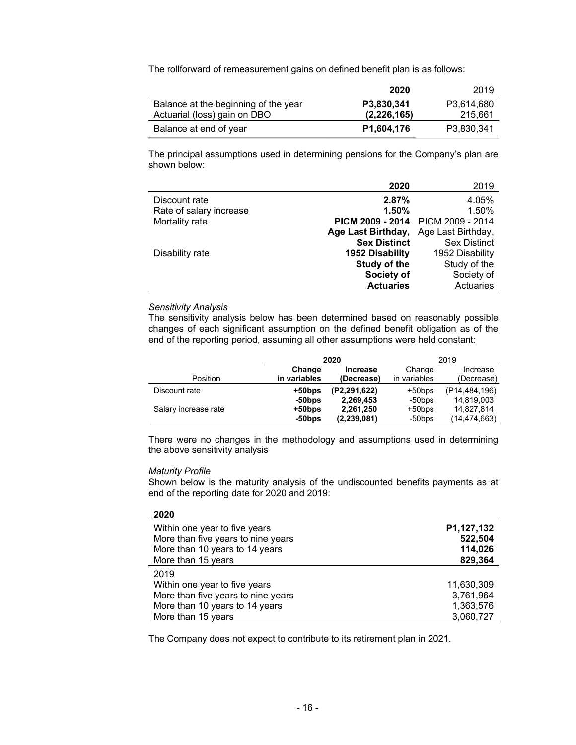The rollforward of remeasurement gains on defined benefit plan is as follows:

|                                      | 2020          | 2019       |
|--------------------------------------|---------------|------------|
| Balance at the beginning of the year | P3,830,341    | P3.614.680 |
| Actuarial (loss) gain on DBO         | (2, 226, 165) | 215,661    |
| Balance at end of year               | P1,604,176    | P3,830,341 |

The principal assumptions used in determining pensions for the Company's plan are shown below:

|                         | 2020                   | 2019                              |
|-------------------------|------------------------|-----------------------------------|
| Discount rate           | 2.87%                  | 4.05%                             |
| Rate of salary increase | 1.50%                  | 1.50%                             |
| Mortality rate          |                        | PICM 2009 - 2014 PICM 2009 - 2014 |
|                         | Age Last Birthday,     | Age Last Birthday,                |
|                         | <b>Sex Distinct</b>    | <b>Sex Distinct</b>               |
| Disability rate         | <b>1952 Disability</b> | 1952 Disability                   |
|                         | <b>Study of the</b>    | Study of the                      |
|                         | Society of             | Society of                        |
|                         | <b>Actuaries</b>       | Actuaries                         |

#### Sensitivity Analysis

The sensitivity analysis below has been determined based on reasonably possible changes of each significant assumption on the defined benefit obligation as of the end of the reporting period, assuming all other assumptions were held constant:

|                      | 2020         |                 | 2019         |               |
|----------------------|--------------|-----------------|--------------|---------------|
|                      | Change       | <b>Increase</b> | Change       | Increase      |
| Position             | in variables | (Decrease)      | in variables | (Decrease)    |
| Discount rate        | $+50$ bps    | (P2,291,622)    | $+50$ bps    | (P14,484,196) |
|                      | $-50$ bps    | 2,269,453       | $-50$ bps    | 14,819,003    |
| Salary increase rate | $+50$ bps    | 2,261,250       | $+50$ bps    | 14,827,814    |
|                      | $-50$ bps    | (2, 239, 081)   | $-50$ bps    | (14,474,663)  |

There were no changes in the methodology and assumptions used in determining the above sensitivity analysis

#### Maturity Profile

Shown below is the maturity analysis of the undiscounted benefits payments as at end of the reporting date for 2020 and 2019:

#### 2020

| Within one year to five years<br>More than five years to nine years<br>More than 10 years to 14 years<br>More than 15 years | P1,127,132<br>522,504<br>114,026<br>829,364 |
|-----------------------------------------------------------------------------------------------------------------------------|---------------------------------------------|
| 2019                                                                                                                        |                                             |
| Within one year to five years                                                                                               | 11,630,309                                  |
| More than five years to nine years                                                                                          | 3,761,964                                   |
| More than 10 years to 14 years                                                                                              | 1,363,576                                   |
| More than 15 years                                                                                                          | 3,060,727                                   |

The Company does not expect to contribute to its retirement plan in 2021.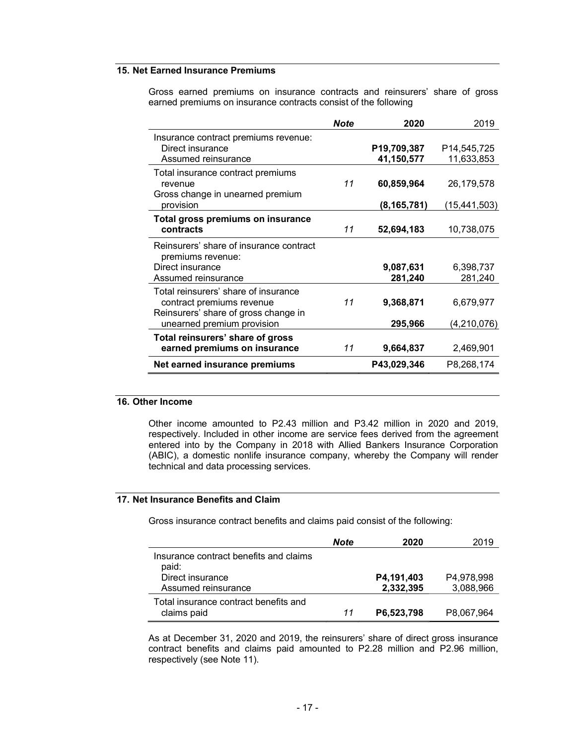## 15. Net Earned Insurance Premiums

Gross earned premiums on insurance contracts and reinsurers' share of gross earned premiums on insurance contracts consist of the following

|                                                                                                                                         | <b>Note</b> | 2020                      | 2019                                     |
|-----------------------------------------------------------------------------------------------------------------------------------------|-------------|---------------------------|------------------------------------------|
| Insurance contract premiums revenue:<br>Direct insurance<br>Assumed reinsurance                                                         |             | P19,709,387<br>41,150,577 | P <sub>14</sub> , 545, 725<br>11,633,853 |
| Total insurance contract premiums<br>revenue<br>Gross change in unearned premium                                                        | 11          | 60,859,964                | 26,179,578                               |
| provision                                                                                                                               |             | (8,165,781)               | (15, 441, 503)                           |
| Total gross premiums on insurance<br>contracts                                                                                          | 11          | 52,694,183                | 10,738,075                               |
| Reinsurers' share of insurance contract<br>premiums revenue:                                                                            |             |                           |                                          |
| Direct insurance<br>Assumed reinsurance                                                                                                 |             | 9,087,631<br>281,240      | 6,398,737<br>281,240                     |
| Total reinsurers' share of insurance<br>contract premiums revenue<br>Reinsurers' share of gross change in<br>unearned premium provision | 11          | 9,368,871<br>295,966      | 6,679,977<br>(4,210,076)                 |
| Total reinsurers' share of gross<br>earned premiums on insurance                                                                        | 11          | 9,664,837                 | 2,469,901                                |
| Net earned insurance premiums                                                                                                           |             | P43,029,346               | P8,268,174                               |

## 16. Other Income

Other income amounted to P2.43 million and P3.42 million in 2020 and 2019, respectively. Included in other income are service fees derived from the agreement entered into by the Company in 2018 with Allied Bankers Insurance Corporation (ABIC), a domestic nonlife insurance company, whereby the Company will render technical and data processing services.

#### 17. Net Insurance Benefits and Claim

Gross insurance contract benefits and claims paid consist of the following:

|                                                                     | <b>Note</b> | 2020       | 2019       |
|---------------------------------------------------------------------|-------------|------------|------------|
| Insurance contract benefits and claims<br>paid:<br>Direct insurance |             | P4,191,403 | P4,978,998 |
| Assumed reinsurance                                                 |             | 2,332,395  | 3,088,966  |
| Total insurance contract benefits and                               |             |            |            |
| claims paid                                                         | 11          | P6,523,798 | P8,067,964 |

As at December 31, 2020 and 2019, the reinsurers' share of direct gross insurance contract benefits and claims paid amounted to P2.28 million and P2.96 million, respectively (see Note 11).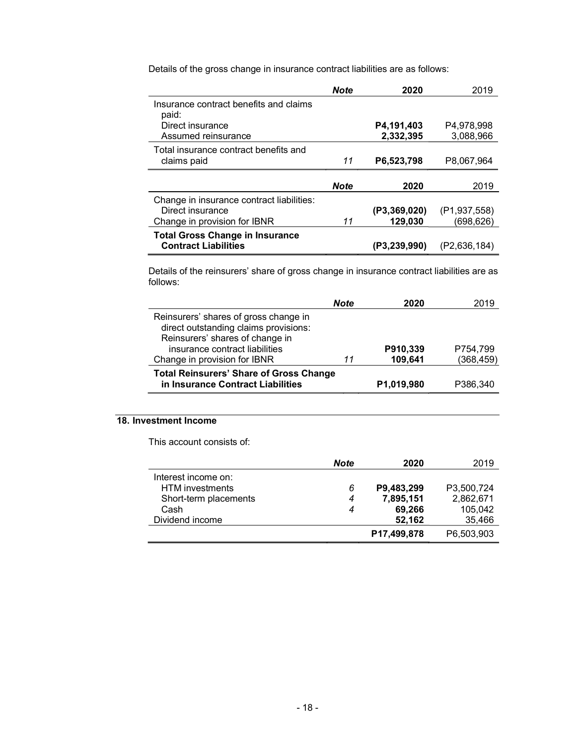Details of the gross change in insurance contract liabilities are as follows:

|                                                                       | <b>Note</b> | 2020           | 2019           |
|-----------------------------------------------------------------------|-------------|----------------|----------------|
| Insurance contract benefits and claims<br>paid:                       |             |                |                |
| Direct insurance                                                      |             | P4,191,403     | P4,978,998     |
| Assumed reinsurance                                                   |             | 2,332,395      | 3.088.966      |
| Total insurance contract benefits and<br>claims paid                  | 11          | P6,523,798     | P8,067,964     |
|                                                                       |             |                |                |
|                                                                       | <b>Note</b> | 2020           | 2019           |
| Change in insurance contract liabilities:                             |             |                |                |
| Direct insurance                                                      |             | (P3, 369, 020) | (P1, 937, 558) |
| Change in provision for IBNR                                          | 11          | 129.030        | (698,626)      |
| <b>Total Gross Change in Insurance</b><br><b>Contract Liabilities</b> |             | (P3,239,990)   | (P2,636,184)   |
|                                                                       |             |                |                |

Details of the reinsurers' share of gross change in insurance contract liabilities are as follows:

|                                                                                                                   | <b>Note</b> | 2020                    | 2019       |
|-------------------------------------------------------------------------------------------------------------------|-------------|-------------------------|------------|
| Reinsurers' shares of gross change in<br>direct outstanding claims provisions:<br>Reinsurers' shares of change in |             |                         |            |
| insurance contract liabilities                                                                                    |             | P910,339                | P754,799   |
| Change in provision for IBNR                                                                                      | 11          | 109,641                 | (368, 459) |
| <b>Total Reinsurers' Share of Gross Change</b>                                                                    |             |                         |            |
| in Insurance Contract Liabilities                                                                                 |             | P <sub>1</sub> ,019,980 | P386,340   |

# 18. Investment Income

This account consists of:

|                       | <b>Note</b> | 2020        | 2019       |
|-----------------------|-------------|-------------|------------|
| Interest income on:   |             |             |            |
| HTM investments       | 6           | P9,483,299  | P3,500,724 |
| Short-term placements | 4           | 7,895,151   | 2,862,671  |
| Cash                  |             | 69,266      | 105,042    |
| Dividend income       |             | 52,162      | 35,466     |
|                       |             | P17,499,878 | P6,503,903 |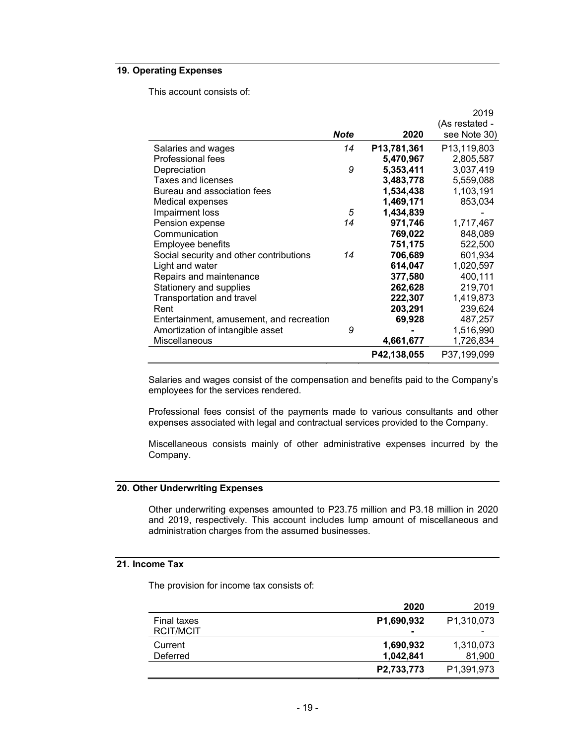## 19. Operating Expenses

This account consists of:

|                                          |             |             | 2019           |
|------------------------------------------|-------------|-------------|----------------|
|                                          |             |             | (As restated - |
|                                          | <b>Note</b> | 2020        | see Note 30)   |
| Salaries and wages                       | 14          | P13,781,361 | P13,119,803    |
| Professional fees                        |             | 5,470,967   | 2,805,587      |
| Depreciation                             | 9           | 5,353,411   | 3,037,419      |
| <b>Taxes and licenses</b>                |             | 3,483,778   | 5,559,088      |
| Bureau and association fees              |             | 1,534,438   | 1,103,191      |
| Medical expenses                         |             | 1,469,171   | 853,034        |
| Impairment loss                          | 5           | 1,434,839   |                |
| Pension expense                          | 14          | 971,746     | 1,717,467      |
| Communication                            |             | 769,022     | 848,089        |
| Employee benefits                        |             | 751,175     | 522,500        |
| Social security and other contributions  | 14          | 706,689     | 601,934        |
| Light and water                          |             | 614,047     | 1,020,597      |
| Repairs and maintenance                  |             | 377,580     | 400,111        |
| Stationery and supplies                  |             | 262,628     | 219,701        |
| Transportation and travel                |             | 222,307     | 1,419,873      |
| Rent                                     |             | 203,291     | 239,624        |
| Entertainment, amusement, and recreation |             | 69,928      | 487,257        |
| Amortization of intangible asset         | 9           |             | 1,516,990      |
| Miscellaneous                            |             | 4,661,677   | 1,726,834      |
|                                          |             | P42,138,055 | P37,199,099    |

Salaries and wages consist of the compensation and benefits paid to the Company's employees for the services rendered.

Professional fees consist of the payments made to various consultants and other expenses associated with legal and contractual services provided to the Company.

Miscellaneous consists mainly of other administrative expenses incurred by the Company.

## 20. Other Underwriting Expenses

Other underwriting expenses amounted to P23.75 million and P3.18 million in 2020 and 2019, respectively. This account includes lump amount of miscellaneous and administration charges from the assumed businesses.

#### 21. Income Tax

The provision for income tax consists of:

|             | 2020           | 2019                    |
|-------------|----------------|-------------------------|
| Final taxes | P1,690,932     | P <sub>1</sub> ,310,073 |
| RCIT/MCIT   | $\blacksquare$ | -                       |
| Current     | 1,690,932      | 1,310,073               |
| Deferred    | 1,042,841      | 81,900                  |
|             | P2,733,773     | P <sub>1</sub> ,391,973 |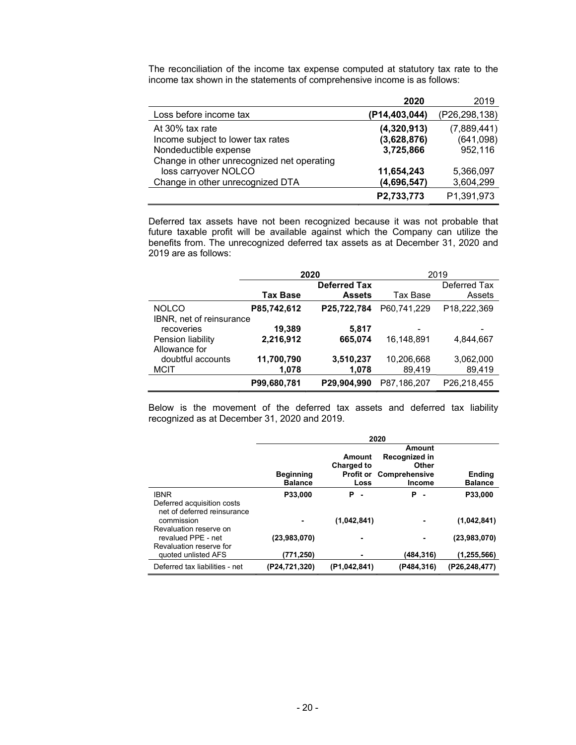The reconciliation of the income tax expense computed at statutory tax rate to the income tax shown in the statements of comprehensive income is as follows:

|                                            | 2020          | 2019          |
|--------------------------------------------|---------------|---------------|
| Loss before income tax                     | (P14,403,044) | (P26,298,138) |
| At 30% tax rate                            | (4,320,913)   | (7,889,441)   |
| Income subject to lower tax rates          | (3,628,876)   | (641,098)     |
| Nondeductible expense                      | 3,725,866     | 952,116       |
| Change in other unrecognized net operating |               |               |
| loss carryover NOLCO                       | 11,654,243    | 5,366,097     |
| Change in other unrecognized DTA           | (4,696,547)   | 3,604,299     |
|                                            | P2,733,773    | P1,391,973    |

Deferred tax assets have not been recognized because it was not probable that future taxable profit will be available against which the Company can utilize the benefits from. The unrecognized deferred tax assets as at December 31, 2020 and 2019 are as follows:

|                          |                 | 2020                |             | 2019         |
|--------------------------|-----------------|---------------------|-------------|--------------|
|                          |                 | <b>Deferred Tax</b> |             | Deferred Tax |
|                          | <b>Tax Base</b> | <b>Assets</b>       | Tax Base    | Assets       |
| <b>NOLCO</b>             | P85,742,612     | P25,722,784         | P60.741.229 | P18,222,369  |
| IBNR, net of reinsurance |                 |                     |             |              |
| recoveries               | 19,389          | 5,817               |             |              |
| Pension liability        | 2,216,912       | 665,074             | 16,148,891  | 4,844,667    |
| Allowance for            |                 |                     |             |              |
| doubtful accounts        | 11,700,790      | 3,510,237           | 10,206,668  | 3,062,000    |
| <b>MCIT</b>              | 1,078           | 1,078               | 89,419      | 89,419       |
|                          | P99,680,781     | P29,904,990         | P87,186,207 | P26,218,455  |

Below is the movement of the deferred tax assets and deferred tax liability recognized as at December 31, 2020 and 2019.

|                                                                         |                                    |                                                         | 2020                                                               |                                 |
|-------------------------------------------------------------------------|------------------------------------|---------------------------------------------------------|--------------------------------------------------------------------|---------------------------------|
|                                                                         | <b>Beginning</b><br><b>Balance</b> | Amount<br><b>Charged to</b><br><b>Profit or</b><br>Loss | Amount<br>Recognized in<br>Other<br>Comprehensive<br><b>Income</b> | <b>Ending</b><br><b>Balance</b> |
| <b>IBNR</b>                                                             | P33,000                            | P<br>$\overline{a}$                                     | Р<br>$\overline{\phantom{a}}$                                      | P33,000                         |
| Deferred acquisition costs<br>net of deferred reinsurance<br>commission |                                    | (1,042,841)                                             |                                                                    | (1,042,841)                     |
| Revaluation reserve on<br>revalued PPE - net                            | (23,983,070)                       | ۰                                                       |                                                                    | (23,983,070)                    |
| Revaluation reserve for<br>quoted unlisted AFS                          | (771,250)                          |                                                         | (484,316)                                                          | (1, 255, 566)                   |
| Deferred tax liabilities - net                                          | (P24,721,320)                      | (P1,042,841)                                            | (P484,316)                                                         | (P26,248,477)                   |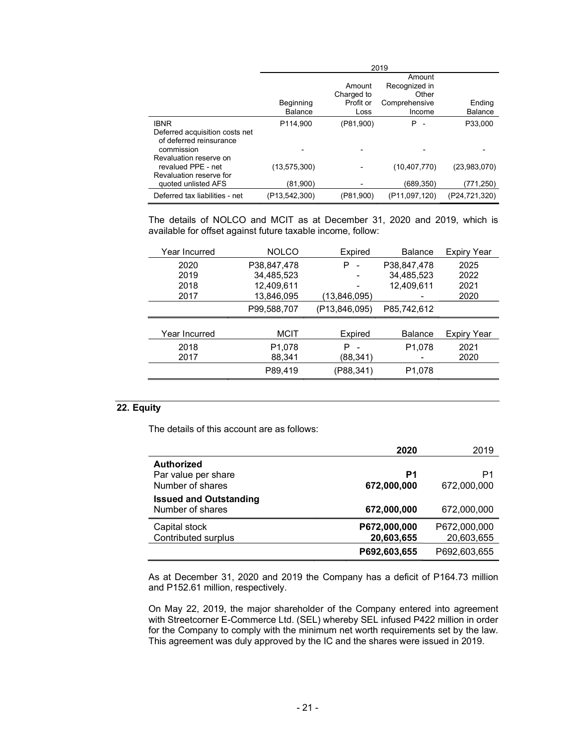|                                                                         |                      |                                           | 2019                                                        |                          |
|-------------------------------------------------------------------------|----------------------|-------------------------------------------|-------------------------------------------------------------|--------------------------|
|                                                                         | Beginning<br>Balance | Amount<br>Charged to<br>Profit or<br>Loss | Amount<br>Recognized in<br>Other<br>Comprehensive<br>Income | Ending<br><b>Balance</b> |
| <b>IBNR</b>                                                             | P114,900             | (P81,900)                                 | Р                                                           | P33,000                  |
| Deferred acquisition costs net<br>of deferred reinsurance<br>commission |                      | $\overline{\phantom{0}}$                  |                                                             |                          |
| Revaluation reserve on                                                  |                      |                                           |                                                             |                          |
| revalued PPE - net                                                      | (13, 575, 300)       |                                           | (10, 407, 770)                                              | (23,983,070)             |
| Revaluation reserve for<br>quoted unlisted AFS                          | (81,900)             |                                           | (689,350)                                                   | (771,250)                |
| Deferred tax liabilities - net                                          | (P13,542,300)        | (P81,900)                                 | (P11,097,120)                                               | (P24,721,320)            |

The details of NOLCO and MCIT as at December 31, 2020 and 2019, which is available for offset against future taxable income, follow:

| Year Incurred | <b>NOLCO</b>        | <b>Expired</b>                | <b>Balance</b>      | Expiry Year |
|---------------|---------------------|-------------------------------|---------------------|-------------|
| 2020          | P38.847.478         | P<br>$\overline{\phantom{a}}$ | P38,847,478         | 2025        |
| 2019          | 34,485,523          |                               | 34,485,523          | 2022        |
| 2018          | 12,409,611          |                               | 12.409.611          | 2021        |
| 2017          | 13,846,095          | (13,846,095)                  |                     | 2020        |
|               | P99,588,707         | (P13,846,095)                 | P85,742,612         |             |
|               |                     |                               |                     |             |
| Year Incurred | <b>MCIT</b>         | Expired                       | <b>Balance</b>      | Expiry Year |
| 2018          | P <sub>1</sub> ,078 | P<br>٠.                       | P <sub>1.078</sub>  | 2021        |
| 2017          | 88,341              | (88,341)                      |                     | 2020        |
|               | P89,419             | (P88,341)                     | P <sub>1</sub> ,078 |             |
|               |                     |                               |                     |             |

#### 22. Equity

The details of this account are as follows:

|                               | 2020         | 2019         |
|-------------------------------|--------------|--------------|
| <b>Authorized</b>             |              |              |
| Par value per share           | P1           | P1           |
| Number of shares              | 672,000,000  | 672,000,000  |
| <b>Issued and Outstanding</b> |              |              |
| Number of shares              | 672,000,000  | 672,000,000  |
| Capital stock                 | P672,000,000 | P672,000,000 |
| Contributed surplus           | 20,603,655   | 20,603,655   |
|                               | P692,603,655 | P692,603,655 |

As at December 31, 2020 and 2019 the Company has a deficit of P164.73 million and P152.61 million, respectively.

On May 22, 2019, the major shareholder of the Company entered into agreement with Streetcorner E-Commerce Ltd. (SEL) whereby SEL infused P422 million in order for the Company to comply with the minimum net worth requirements set by the law. This agreement was duly approved by the IC and the shares were issued in 2019.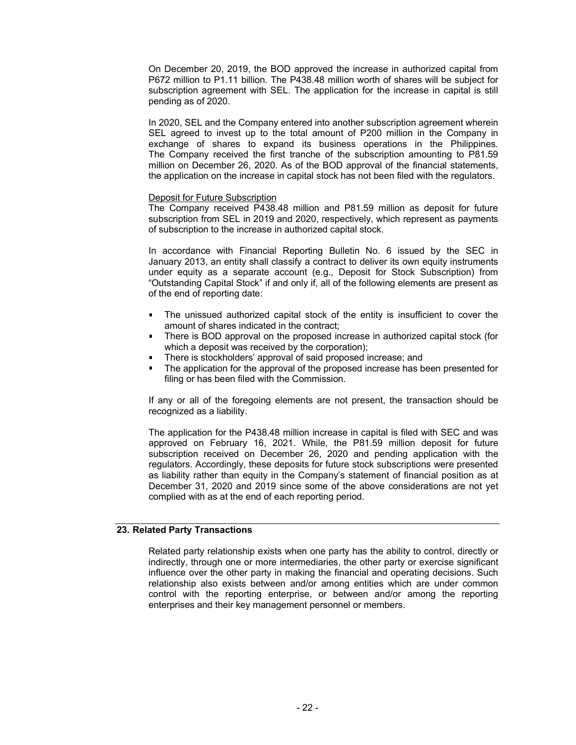On December 20, 2019, the BOD approved the increase in authorized capital from P672 million to P1.11 billion. The P438.48 million worth of shares will be subject for subscription agreement with SEL. The application for the increase in capital is still pending as of 2020.

In 2020, SEL and the Company entered into another subscription agreement wherein SEL agreed to invest up to the total amount of P200 million in the Company in exchange of shares to expand its business operations in the Philippines. The Company received the first tranche of the subscription amounting to P81.59 million on December 26, 2020. As of the BOD approval of the financial statements, the application on the increase in capital stock has not been filed with the regulators.

#### Deposit for Future Subscription

The Company received P438.48 million and P81.59 million as deposit for future subscription from SEL in 2019 and 2020, respectively, which represent as payments of subscription to the increase in authorized capital stock.

In accordance with Financial Reporting Bulletin No. 6 issued by the SEC in January 2013, an entity shall classify a contract to deliver its own equity instruments under equity as a separate account (e.g., Deposit for Stock Subscription) from "Outstanding Capital Stock" if and only if, all of the following elements are present as of the end of reporting date:

- The unissued authorized capital stock of the entity is insufficient to cover the amount of shares indicated in the contract;
- **There is BOD approval on the proposed increase in authorized capital stock (for** which a deposit was received by the corporation);
- There is stockholders' approval of said proposed increase; and
- **The application for the approval of the proposed increase has been presented for** filing or has been filed with the Commission.

If any or all of the foregoing elements are not present, the transaction should be recognized as a liability.

The application for the P438.48 million increase in capital is filed with SEC and was approved on February 16, 2021. While, the P81.59 million deposit for future subscription received on December 26, 2020 and pending application with the regulators. Accordingly, these deposits for future stock subscriptions were presented as liability rather than equity in the Company's statement of financial position as at December 31, 2020 and 2019 since some of the above considerations are not yet complied with as at the end of each reporting period.

#### 23. Related Party Transactions

Related party relationship exists when one party has the ability to control, directly or indirectly, through one or more intermediaries, the other party or exercise significant influence over the other party in making the financial and operating decisions. Such relationship also exists between and/or among entities which are under common control with the reporting enterprise, or between and/or among the reporting enterprises and their key management personnel or members.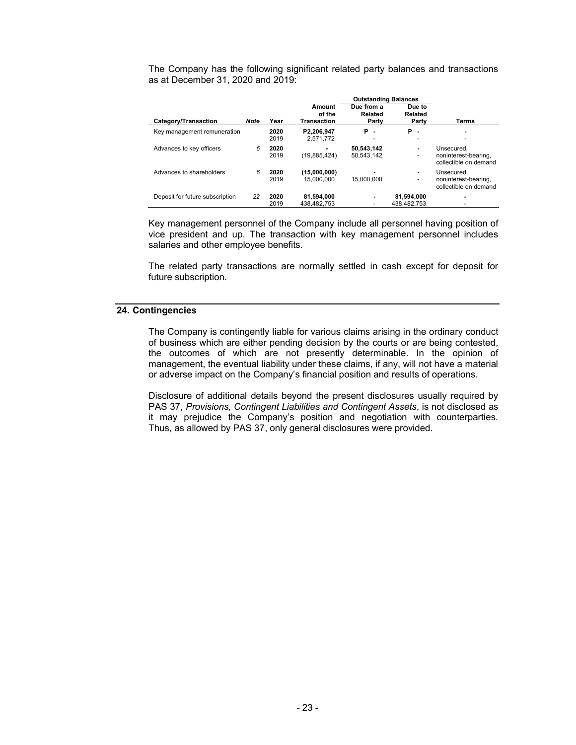The Company has the following significant related party balances and transactions as at December 31, 2020 and 2019:

|                                 |             |              |                                 | <b>Outstanding Balances</b>    |                                            |                                                             |
|---------------------------------|-------------|--------------|---------------------------------|--------------------------------|--------------------------------------------|-------------------------------------------------------------|
| Category/Transaction            | <b>Note</b> | Year         | Amount<br>of the<br>Transaction | Due from a<br>Related<br>Party | Due to<br>Related<br>Party                 | Terms                                                       |
| Key management remuneration     |             | 2020<br>2019 | P2.206.947<br>2.571.772         | <b>P</b> -                     | P<br>$\blacksquare$                        | ۰                                                           |
| Advances to key officers        | 6           | 2020<br>2019 | (19,885,424)                    | 50.543.142<br>50.543.142       | $\blacksquare$<br>$\overline{\phantom{0}}$ | Unsecured.<br>noninterest-bearing,<br>collectible on demand |
| Advances to shareholders        | 6           | 2020<br>2019 | (15,000,000)<br>15.000.000      | 15.000.000                     | $\blacksquare$<br>$\overline{\phantom{0}}$ | Unsecured.<br>noninterest-bearing,<br>collectible on demand |
| Deposit for future subscription | 22          | 2020<br>2019 | 81.594.000<br>438.482.753       |                                | 81.594.000<br>438.482.753                  | ۰                                                           |

Key management personnel of the Company include all personnel having position of vice president and up. The transaction with key management personnel includes salaries and other employee benefits.

The related party transactions are normally settled in cash except for deposit for future subscription.

#### 24. Contingencies

The Company is contingently liable for various claims arising in the ordinary conduct of business which are either pending decision by the courts or are being contested, the outcomes of which are not presently determinable. In the opinion of management, the eventual liability under these claims, if any, will not have a material or adverse impact on the Company's financial position and results of operations.

Disclosure of additional details beyond the present disclosures usually required by PAS 37, Provisions, Contingent Liabilities and Contingent Assets, is not disclosed as it may prejudice the Company's position and negotiation with counterparties. Thus, as allowed by PAS 37, only general disclosures were provided.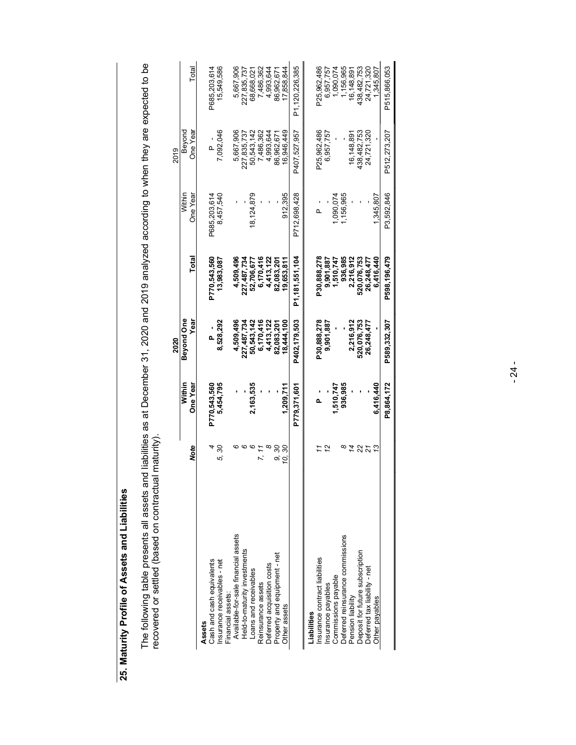| I<br>I<br>í        |
|--------------------|
| ı<br>i<br>l        |
| l                  |
| ֠                  |
| l<br>֘֝֬<br>í<br>ı |
| ١<br>I             |
| Í<br>İ<br>֚֡֡      |

|                                                          |                        |                    | 2020                     |                           |                    | 2019                     |                           |
|----------------------------------------------------------|------------------------|--------------------|--------------------------|---------------------------|--------------------|--------------------------|---------------------------|
|                                                          | Note                   | Within<br>One Year | Beyond One<br>Year       | <b>Total</b>              | Within<br>One Year | Beyond<br>One Year       | Total                     |
| Assets                                                   |                        |                    |                          |                           |                    |                          |                           |
| Cash and cash equivalents                                | 4                      | P770,543,560       | Δ.                       | P770,543,560              | P685,203,614       | Δ                        | P685,203,614              |
| Insurance receivables - net                              | $\mathcal{S}$<br>5     | 5,454,795          | 8,528,292                | 13,983,087                | 8,457,540          | 7,092,046                | 15,549,586                |
| Available-for-sale financial assets<br>Financial assets: | ဖ                      |                    | 4,509,496                | 4,509,496                 |                    | 5,667,906                | 5,667,906                 |
| Held-to-maturity investments                             | 6                      |                    | 227,487,734              |                           |                    | 227,835,737              |                           |
| Loans and receivables                                    | 6                      | 2,163,535          | 50,543,142               | 227,487,734<br>52,706,677 | 18,124,879         | 50,543,142               | 227,835,737<br>68,668,021 |
| Reinsurance assets                                       | 7, 11                  |                    | 6,170,416                | 6,170,416                 |                    | 7,486,362                | 7,486,362                 |
| Deferred acquisition costs                               | ∞                      | p                  | 4,413,122                | 4,413,122                 |                    | 4,993,644                | 4,993,644                 |
| Property and equipment - net<br>Other assets             | <b>98</b><br>ŗ0.<br>ω, | 1,209,711          | 82,083,201<br>18,444,100 | 82,083,201<br>19,653,811  | 912.395            | 16,946,449<br>86,962,671 | 17,858,844<br>86,962,671  |
|                                                          |                        | P779,371,601       | P402,179,503             | P1,181,551,104            | P712,698,428       | P407,527,957             | P1,120,226,385            |
| Liabilities                                              |                        |                    |                          |                           |                    |                          |                           |
| Insurance contract liabilities                           | 71                     | $\sim$             | P30,888,278              | P30,888,278               | L                  | P25,962,486              | P25,962,486               |
| Insurance payables                                       | 12                     |                    | 9,901,887                | 9,901,887                 |                    | 6,957,757                | 6,957,757                 |
| Commissions payable                                      |                        | 1,510,747          |                          | 1,510,747                 | 1,090,074          |                          | 1,090,074                 |
| Deferred reinsurance commissions                         | ∞                      | 936,985            |                          | 936,985                   | 1,156,965          |                          | 1,156,965                 |
| Pension liability                                        | 14                     |                    | 2,216,912                | 2,216,912                 |                    | 16,148,891               | 16,148,891                |
| Deposit for future subscription                          |                        |                    | 520,076,753              | 520,076,753               |                    | 438,482,753              | 438,482,753               |
| Deferred tax liability - net                             | $\frac{2}{3}$          |                    | 26,248,477               | 26,248,477                |                    | 24,721,320               | 24,721,320                |
| Other payables                                           | 13                     | 6.416.440          |                          | 6.416.440                 | 1,345,807          |                          | 1,345,807                 |
|                                                          |                        | P8,864,172         | P589,332,307             | P598,196,479              | P3,592,846         | P512,273,207             | P515,866,053              |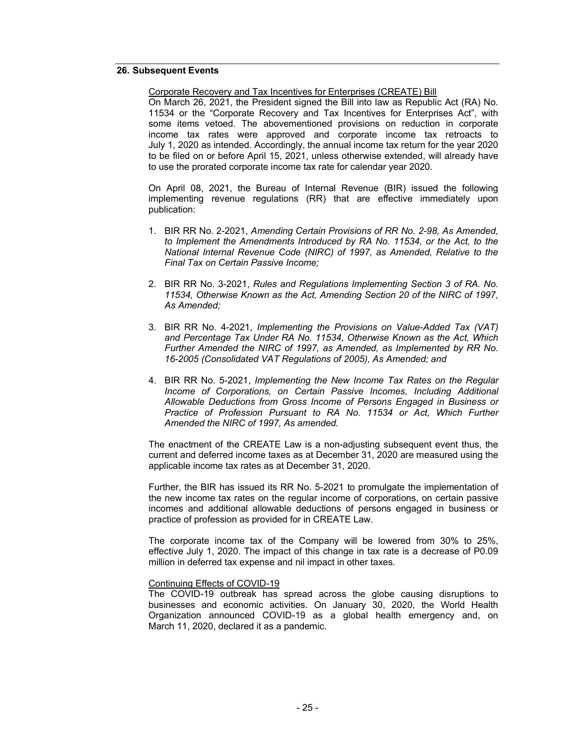#### 26. Subsequent Events

Corporate Recovery and Tax Incentives for Enterprises (CREATE) Bill

On March 26, 2021, the President signed the Bill into law as Republic Act (RA) No. 11534 or the "Corporate Recovery and Tax Incentives for Enterprises Act", with some items vetoed. The abovementioned provisions on reduction in corporate income tax rates were approved and corporate income tax retroacts to July 1, 2020 as intended. Accordingly, the annual income tax return for the year 2020 to be filed on or before April 15, 2021, unless otherwise extended, will already have to use the prorated corporate income tax rate for calendar year 2020.

On April 08, 2021, the Bureau of Internal Revenue (BIR) issued the following implementing revenue regulations (RR) that are effective immediately upon publication:

- 1. BIR RR No. 2-2021, Amending Certain Provisions of RR No. 2-98, As Amended, to Implement the Amendments Introduced by RA No. 11534, or the Act, to the National Internal Revenue Code (NIRC) of 1997, as Amended, Relative to the Final Tax on Certain Passive Income;
- 2. BIR RR No. 3-2021, Rules and Regulations Implementing Section 3 of RA. No. 11534, Otherwise Known as the Act, Amending Section 20 of the NIRC of 1997, As Amended;
- 3. BIR RR No. 4-2021, Implementing the Provisions on Value-Added Tax (VAT) and Percentage Tax Under RA No. 11534, Otherwise Known as the Act, Which Further Amended the NIRC of 1997, as Amended, as Implemented by RR No. 16-2005 (Consolidated VAT Regulations of 2005), As Amended; and
- 4. BIR RR No. 5-2021, Implementing the New Income Tax Rates on the Regular Income of Corporations, on Certain Passive Incomes, Including Additional Allowable Deductions from Gross Income of Persons Engaged in Business or Practice of Profession Pursuant to RA No. 11534 or Act, Which Further Amended the NIRC of 1997, As amended.

The enactment of the CREATE Law is a non-adjusting subsequent event thus, the current and deferred income taxes as at December 31, 2020 are measured using the applicable income tax rates as at December 31, 2020.

Further, the BIR has issued its RR No. 5-2021 to promulgate the implementation of the new income tax rates on the regular income of corporations, on certain passive incomes and additional allowable deductions of persons engaged in business or practice of profession as provided for in CREATE Law.

The corporate income tax of the Company will be lowered from 30% to 25%, effective July 1, 2020. The impact of this change in tax rate is a decrease of P0.09 million in deferred tax expense and nil impact in other taxes.

#### Continuing Effects of COVID-19

The COVID-19 outbreak has spread across the globe causing disruptions to businesses and economic activities. On January 30, 2020, the World Health Organization announced COVID-19 as a global health emergency and, on March 11, 2020, declared it as a pandemic.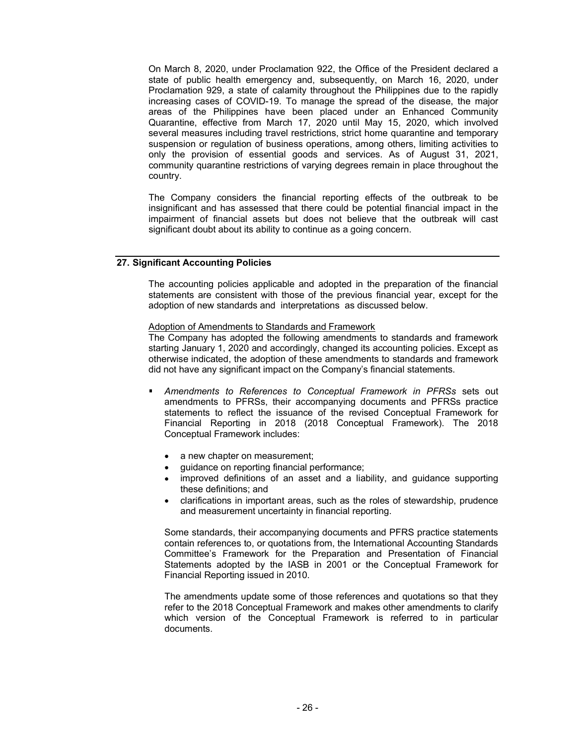On March 8, 2020, under Proclamation 922, the Office of the President declared a state of public health emergency and, subsequently, on March 16, 2020, under Proclamation 929, a state of calamity throughout the Philippines due to the rapidly increasing cases of COVID-19. To manage the spread of the disease, the major areas of the Philippines have been placed under an Enhanced Community Quarantine, effective from March 17, 2020 until May 15, 2020, which involved several measures including travel restrictions, strict home quarantine and temporary suspension or regulation of business operations, among others, limiting activities to only the provision of essential goods and services. As of August 31, 2021, community quarantine restrictions of varying degrees remain in place throughout the country.

The Company considers the financial reporting effects of the outbreak to be insignificant and has assessed that there could be potential financial impact in the impairment of financial assets but does not believe that the outbreak will cast significant doubt about its ability to continue as a going concern.

#### 27. Significant Accounting Policies

The accounting policies applicable and adopted in the preparation of the financial statements are consistent with those of the previous financial year, except for the adoption of new standards and interpretations as discussed below.

#### Adoption of Amendments to Standards and Framework

The Company has adopted the following amendments to standards and framework starting January 1, 2020 and accordingly, changed its accounting policies. Except as otherwise indicated, the adoption of these amendments to standards and framework did not have any significant impact on the Company's financial statements.

- **Amendments to References to Conceptual Framework in PFRSs sets out** amendments to PFRSs, their accompanying documents and PFRSs practice statements to reflect the issuance of the revised Conceptual Framework for Financial Reporting in 2018 (2018 Conceptual Framework). The 2018 Conceptual Framework includes:
	- a new chapter on measurement;
	- guidance on reporting financial performance;
	- improved definitions of an asset and a liability, and guidance supporting these definitions; and
	- clarifications in important areas, such as the roles of stewardship, prudence and measurement uncertainty in financial reporting.

Some standards, their accompanying documents and PFRS practice statements contain references to, or quotations from, the International Accounting Standards Committee's Framework for the Preparation and Presentation of Financial Statements adopted by the IASB in 2001 or the Conceptual Framework for Financial Reporting issued in 2010.

The amendments update some of those references and quotations so that they refer to the 2018 Conceptual Framework and makes other amendments to clarify which version of the Conceptual Framework is referred to in particular documents.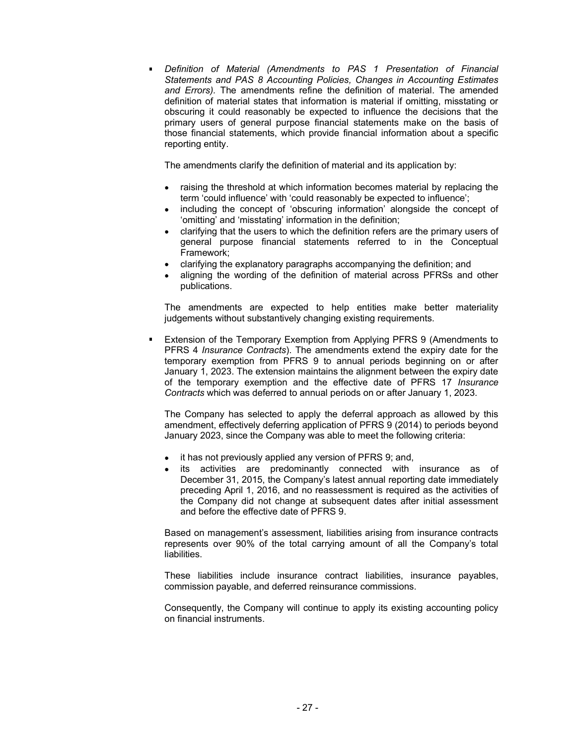**Definition of Material (Amendments to PAS 1 Presentation of Financial** Statements and PAS 8 Accounting Policies, Changes in Accounting Estimates and Errors). The amendments refine the definition of material. The amended definition of material states that information is material if omitting, misstating or obscuring it could reasonably be expected to influence the decisions that the primary users of general purpose financial statements make on the basis of those financial statements, which provide financial information about a specific reporting entity.

The amendments clarify the definition of material and its application by:

- raising the threshold at which information becomes material by replacing the term 'could influence' with 'could reasonably be expected to influence';
- including the concept of 'obscuring information' alongside the concept of 'omitting' and 'misstating' information in the definition;
- clarifying that the users to which the definition refers are the primary users of general purpose financial statements referred to in the Conceptual Framework;
- clarifying the explanatory paragraphs accompanying the definition; and
- aligning the wording of the definition of material across PFRSs and other publications.

The amendments are expected to help entities make better materiality judgements without substantively changing existing requirements.

**Extension of the Temporary Exemption from Applying PFRS 9 (Amendments to** PFRS 4 Insurance Contracts). The amendments extend the expiry date for the temporary exemption from PFRS 9 to annual periods beginning on or after January 1, 2023. The extension maintains the alignment between the expiry date of the temporary exemption and the effective date of PFRS 17 Insurance Contracts which was deferred to annual periods on or after January 1, 2023.

The Company has selected to apply the deferral approach as allowed by this amendment, effectively deferring application of PFRS 9 (2014) to periods beyond January 2023, since the Company was able to meet the following criteria:

- it has not previously applied any version of PFRS 9; and,
- its activities are predominantly connected with insurance as of December 31, 2015, the Company's latest annual reporting date immediately preceding April 1, 2016, and no reassessment is required as the activities of the Company did not change at subsequent dates after initial assessment and before the effective date of PFRS 9.

Based on management's assessment, liabilities arising from insurance contracts represents over 90% of the total carrying amount of all the Company's total liabilities.

These liabilities include insurance contract liabilities, insurance payables, commission payable, and deferred reinsurance commissions.

Consequently, the Company will continue to apply its existing accounting policy on financial instruments.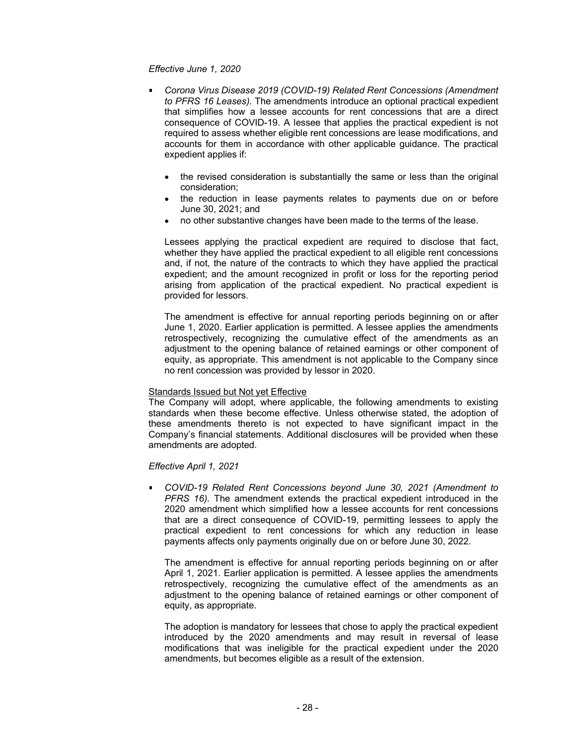## Effective June 1, 2020

- Corona Virus Disease 2019 (COVID-19) Related Rent Concessions (Amendment to PFRS 16 Leases). The amendments introduce an optional practical expedient that simplifies how a lessee accounts for rent concessions that are a direct consequence of COVID-19. A lessee that applies the practical expedient is not required to assess whether eligible rent concessions are lease modifications, and accounts for them in accordance with other applicable guidance. The practical expedient applies if:
	- the revised consideration is substantially the same or less than the original consideration;
	- the reduction in lease payments relates to payments due on or before June 30, 2021; and
	- no other substantive changes have been made to the terms of the lease.

Lessees applying the practical expedient are required to disclose that fact, whether they have applied the practical expedient to all eligible rent concessions and, if not, the nature of the contracts to which they have applied the practical expedient; and the amount recognized in profit or loss for the reporting period arising from application of the practical expedient. No practical expedient is provided for lessors.

The amendment is effective for annual reporting periods beginning on or after June 1, 2020. Earlier application is permitted. A lessee applies the amendments retrospectively, recognizing the cumulative effect of the amendments as an adjustment to the opening balance of retained earnings or other component of equity, as appropriate. This amendment is not applicable to the Company since no rent concession was provided by lessor in 2020.

#### Standards Issued but Not yet Effective

The Company will adopt, where applicable, the following amendments to existing standards when these become effective. Unless otherwise stated, the adoption of these amendments thereto is not expected to have significant impact in the Company's financial statements. Additional disclosures will be provided when these amendments are adopted.

## Effective April 1, 2021

COVID-19 Related Rent Concessions beyond June 30, 2021 (Amendment to  $\blacksquare$ PFRS 16). The amendment extends the practical expedient introduced in the 2020 amendment which simplified how a lessee accounts for rent concessions that are a direct consequence of COVID-19, permitting lessees to apply the practical expedient to rent concessions for which any reduction in lease payments affects only payments originally due on or before June 30, 2022.

The amendment is effective for annual reporting periods beginning on or after April 1, 2021. Earlier application is permitted. A lessee applies the amendments retrospectively, recognizing the cumulative effect of the amendments as an adjustment to the opening balance of retained earnings or other component of equity, as appropriate.

The adoption is mandatory for lessees that chose to apply the practical expedient introduced by the 2020 amendments and may result in reversal of lease modifications that was ineligible for the practical expedient under the 2020 amendments, but becomes eligible as a result of the extension.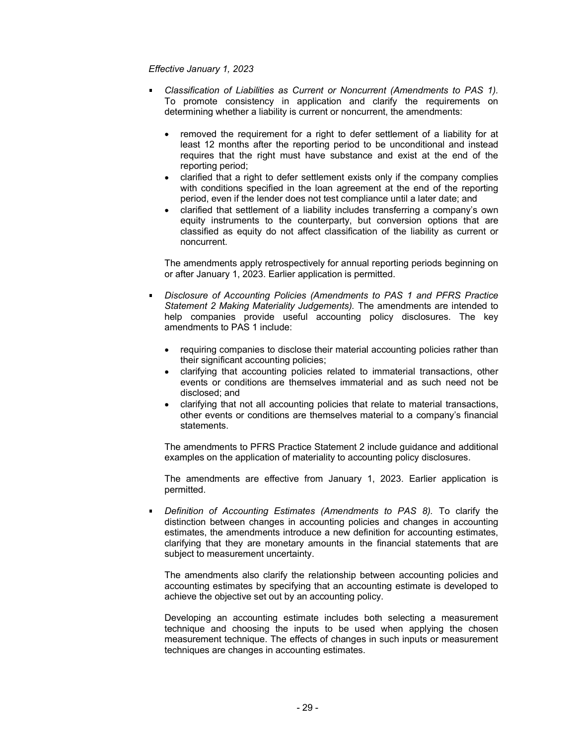## Effective January 1, 2023

- Classification of Liabilities as Current or Noncurrent (Amendments to PAS 1). To promote consistency in application and clarify the requirements on determining whether a liability is current or noncurrent, the amendments:
	- removed the requirement for a right to defer settlement of a liability for at least 12 months after the reporting period to be unconditional and instead requires that the right must have substance and exist at the end of the reporting period;
	- clarified that a right to defer settlement exists only if the company complies with conditions specified in the loan agreement at the end of the reporting period, even if the lender does not test compliance until a later date; and
	- clarified that settlement of a liability includes transferring a company's own equity instruments to the counterparty, but conversion options that are classified as equity do not affect classification of the liability as current or noncurrent.

The amendments apply retrospectively for annual reporting periods beginning on or after January 1, 2023. Earlier application is permitted.

- Disclosure of Accounting Policies (Amendments to PAS 1 and PFRS Practice Statement 2 Making Materiality Judgements). The amendments are intended to help companies provide useful accounting policy disclosures. The key amendments to PAS 1 include:
	- requiring companies to disclose their material accounting policies rather than their significant accounting policies;
	- clarifying that accounting policies related to immaterial transactions, other events or conditions are themselves immaterial and as such need not be disclosed; and
	- clarifying that not all accounting policies that relate to material transactions, other events or conditions are themselves material to a company's financial statements.

The amendments to PFRS Practice Statement 2 include guidance and additional examples on the application of materiality to accounting policy disclosures.

The amendments are effective from January 1, 2023. Earlier application is permitted.

Definition of Accounting Estimates (Amendments to PAS 8). To clarify the  $\blacksquare$ distinction between changes in accounting policies and changes in accounting estimates, the amendments introduce a new definition for accounting estimates, clarifying that they are monetary amounts in the financial statements that are subject to measurement uncertainty.

The amendments also clarify the relationship between accounting policies and accounting estimates by specifying that an accounting estimate is developed to achieve the objective set out by an accounting policy.

Developing an accounting estimate includes both selecting a measurement technique and choosing the inputs to be used when applying the chosen measurement technique. The effects of changes in such inputs or measurement techniques are changes in accounting estimates.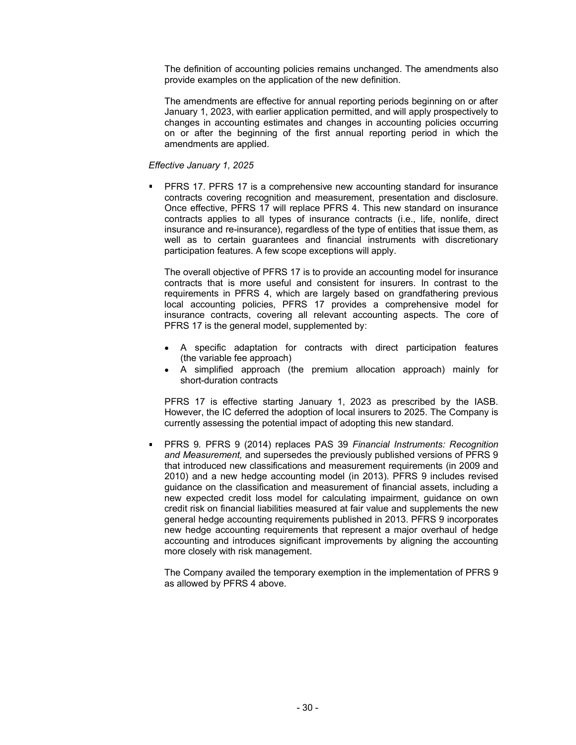The definition of accounting policies remains unchanged. The amendments also provide examples on the application of the new definition.

The amendments are effective for annual reporting periods beginning on or after January 1, 2023, with earlier application permitted, and will apply prospectively to changes in accounting estimates and changes in accounting policies occurring on or after the beginning of the first annual reporting period in which the amendments are applied.

## Effective January 1, 2025

 PFRS 17. PFRS 17 is a comprehensive new accounting standard for insurance contracts covering recognition and measurement, presentation and disclosure. Once effective, PFRS 17 will replace PFRS 4. This new standard on insurance contracts applies to all types of insurance contracts (i.e., life, nonlife, direct insurance and re-insurance), regardless of the type of entities that issue them, as well as to certain guarantees and financial instruments with discretionary participation features. A few scope exceptions will apply.

The overall objective of PFRS 17 is to provide an accounting model for insurance contracts that is more useful and consistent for insurers. In contrast to the requirements in PFRS 4, which are largely based on grandfathering previous local accounting policies, PFRS 17 provides a comprehensive model for insurance contracts, covering all relevant accounting aspects. The core of PFRS 17 is the general model, supplemented by:

- A specific adaptation for contracts with direct participation features (the variable fee approach)
- A simplified approach (the premium allocation approach) mainly for short-duration contracts

PFRS 17 is effective starting January 1, 2023 as prescribed by the IASB. However, the IC deferred the adoption of local insurers to 2025. The Company is currently assessing the potential impact of adopting this new standard.

**PFRS 9. PFRS 9 (2014) replaces PAS 39 Financial Instruments: Recognition** and Measurement, and supersedes the previously published versions of PFRS 9 that introduced new classifications and measurement requirements (in 2009 and 2010) and a new hedge accounting model (in 2013). PFRS 9 includes revised guidance on the classification and measurement of financial assets, including a new expected credit loss model for calculating impairment, guidance on own credit risk on financial liabilities measured at fair value and supplements the new general hedge accounting requirements published in 2013. PFRS 9 incorporates new hedge accounting requirements that represent a major overhaul of hedge accounting and introduces significant improvements by aligning the accounting more closely with risk management.

The Company availed the temporary exemption in the implementation of PFRS 9 as allowed by PFRS 4 above.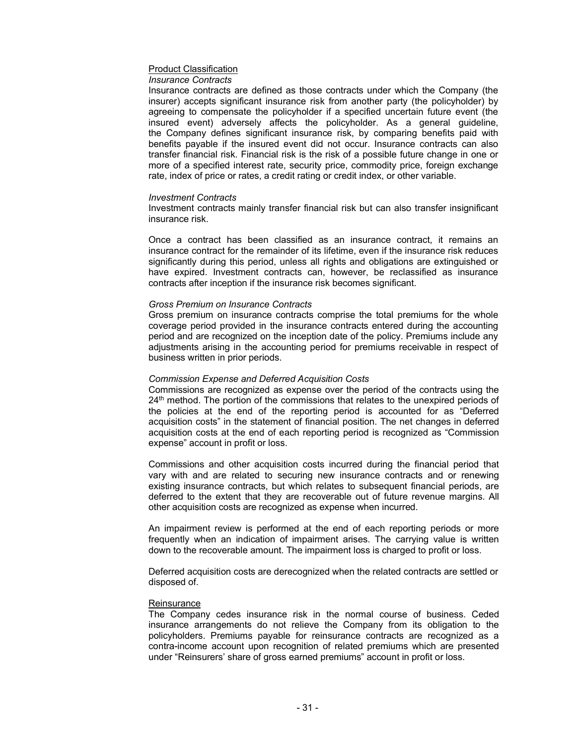# Product Classification

#### Insurance Contracts

Insurance contracts are defined as those contracts under which the Company (the insurer) accepts significant insurance risk from another party (the policyholder) by agreeing to compensate the policyholder if a specified uncertain future event (the insured event) adversely affects the policyholder. As a general guideline, the Company defines significant insurance risk, by comparing benefits paid with benefits payable if the insured event did not occur. Insurance contracts can also transfer financial risk. Financial risk is the risk of a possible future change in one or more of a specified interest rate, security price, commodity price, foreign exchange rate, index of price or rates, a credit rating or credit index, or other variable.

#### Investment Contracts

Investment contracts mainly transfer financial risk but can also transfer insignificant insurance risk.

Once a contract has been classified as an insurance contract, it remains an insurance contract for the remainder of its lifetime, even if the insurance risk reduces significantly during this period, unless all rights and obligations are extinguished or have expired. Investment contracts can, however, be reclassified as insurance contracts after inception if the insurance risk becomes significant.

## Gross Premium on Insurance Contracts

Gross premium on insurance contracts comprise the total premiums for the whole coverage period provided in the insurance contracts entered during the accounting period and are recognized on the inception date of the policy. Premiums include any adjustments arising in the accounting period for premiums receivable in respect of business written in prior periods.

## Commission Expense and Deferred Acquisition Costs

Commissions are recognized as expense over the period of the contracts using the  $24<sup>th</sup>$  method. The portion of the commissions that relates to the unexpired periods of the policies at the end of the reporting period is accounted for as "Deferred acquisition costs" in the statement of financial position. The net changes in deferred acquisition costs at the end of each reporting period is recognized as "Commission expense" account in profit or loss.

Commissions and other acquisition costs incurred during the financial period that vary with and are related to securing new insurance contracts and or renewing existing insurance contracts, but which relates to subsequent financial periods, are deferred to the extent that they are recoverable out of future revenue margins. All other acquisition costs are recognized as expense when incurred.

An impairment review is performed at the end of each reporting periods or more frequently when an indication of impairment arises. The carrying value is written down to the recoverable amount. The impairment loss is charged to profit or loss.

Deferred acquisition costs are derecognized when the related contracts are settled or disposed of.

#### **Reinsurance**

The Company cedes insurance risk in the normal course of business. Ceded insurance arrangements do not relieve the Company from its obligation to the policyholders. Premiums payable for reinsurance contracts are recognized as a contra-income account upon recognition of related premiums which are presented under "Reinsurers' share of gross earned premiums" account in profit or loss.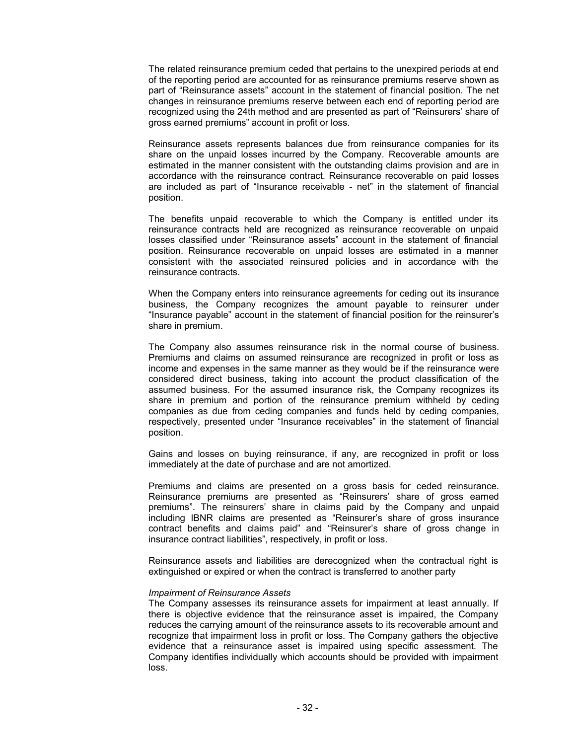The related reinsurance premium ceded that pertains to the unexpired periods at end of the reporting period are accounted for as reinsurance premiums reserve shown as part of "Reinsurance assets" account in the statement of financial position. The net changes in reinsurance premiums reserve between each end of reporting period are recognized using the 24th method and are presented as part of "Reinsurers' share of gross earned premiums" account in profit or loss.

Reinsurance assets represents balances due from reinsurance companies for its share on the unpaid losses incurred by the Company. Recoverable amounts are estimated in the manner consistent with the outstanding claims provision and are in accordance with the reinsurance contract. Reinsurance recoverable on paid losses are included as part of "Insurance receivable - net" in the statement of financial position.

The benefits unpaid recoverable to which the Company is entitled under its reinsurance contracts held are recognized as reinsurance recoverable on unpaid losses classified under "Reinsurance assets" account in the statement of financial position. Reinsurance recoverable on unpaid losses are estimated in a manner consistent with the associated reinsured policies and in accordance with the reinsurance contracts.

When the Company enters into reinsurance agreements for ceding out its insurance business, the Company recognizes the amount payable to reinsurer under "Insurance payable" account in the statement of financial position for the reinsurer's share in premium.

The Company also assumes reinsurance risk in the normal course of business. Premiums and claims on assumed reinsurance are recognized in profit or loss as income and expenses in the same manner as they would be if the reinsurance were considered direct business, taking into account the product classification of the assumed business. For the assumed insurance risk, the Company recognizes its share in premium and portion of the reinsurance premium withheld by ceding companies as due from ceding companies and funds held by ceding companies, respectively, presented under "Insurance receivables" in the statement of financial position.

Gains and losses on buying reinsurance, if any, are recognized in profit or loss immediately at the date of purchase and are not amortized.

Premiums and claims are presented on a gross basis for ceded reinsurance. Reinsurance premiums are presented as "Reinsurers' share of gross earned premiums". The reinsurers' share in claims paid by the Company and unpaid including IBNR claims are presented as "Reinsurer's share of gross insurance contract benefits and claims paid" and "Reinsurer's share of gross change in insurance contract liabilities", respectively, in profit or loss.

Reinsurance assets and liabilities are derecognized when the contractual right is extinguished or expired or when the contract is transferred to another party

#### Impairment of Reinsurance Assets

The Company assesses its reinsurance assets for impairment at least annually. If there is objective evidence that the reinsurance asset is impaired, the Company reduces the carrying amount of the reinsurance assets to its recoverable amount and recognize that impairment loss in profit or loss. The Company gathers the objective evidence that a reinsurance asset is impaired using specific assessment. The Company identifies individually which accounts should be provided with impairment loss.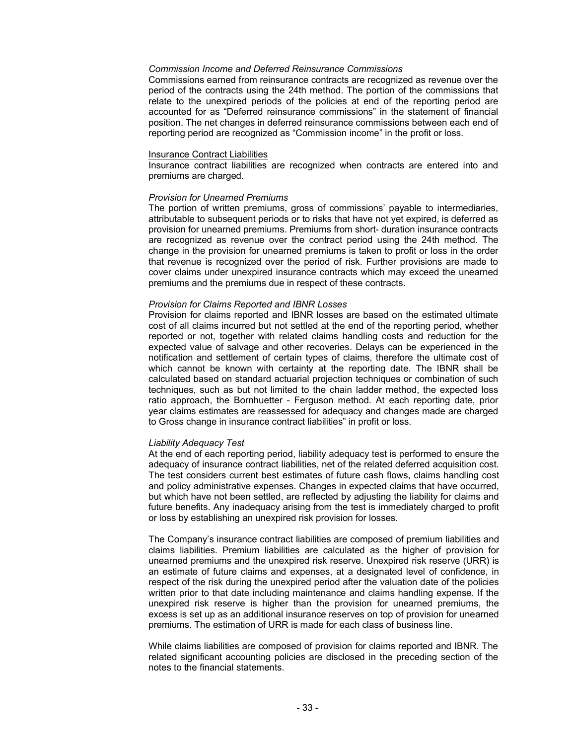## Commission Income and Deferred Reinsurance Commissions

Commissions earned from reinsurance contracts are recognized as revenue over the period of the contracts using the 24th method. The portion of the commissions that relate to the unexpired periods of the policies at end of the reporting period are accounted for as "Deferred reinsurance commissions" in the statement of financial position. The net changes in deferred reinsurance commissions between each end of reporting period are recognized as "Commission income" in the profit or loss.

#### **Insurance Contract Liabilities**

Insurance contract liabilities are recognized when contracts are entered into and premiums are charged.

#### Provision for Unearned Premiums

The portion of written premiums, gross of commissions' payable to intermediaries, attributable to subsequent periods or to risks that have not yet expired, is deferred as provision for unearned premiums. Premiums from short- duration insurance contracts are recognized as revenue over the contract period using the 24th method. The change in the provision for unearned premiums is taken to profit or loss in the order that revenue is recognized over the period of risk. Further provisions are made to cover claims under unexpired insurance contracts which may exceed the unearned premiums and the premiums due in respect of these contracts.

#### Provision for Claims Reported and IBNR Losses

Provision for claims reported and IBNR losses are based on the estimated ultimate cost of all claims incurred but not settled at the end of the reporting period, whether reported or not, together with related claims handling costs and reduction for the expected value of salvage and other recoveries. Delays can be experienced in the notification and settlement of certain types of claims, therefore the ultimate cost of which cannot be known with certainty at the reporting date. The IBNR shall be calculated based on standard actuarial projection techniques or combination of such techniques, such as but not limited to the chain ladder method, the expected loss ratio approach, the Bornhuetter - Ferguson method. At each reporting date, prior year claims estimates are reassessed for adequacy and changes made are charged to Gross change in insurance contract liabilities" in profit or loss.

#### Liability Adequacy Test

At the end of each reporting period, liability adequacy test is performed to ensure the adequacy of insurance contract liabilities, net of the related deferred acquisition cost. The test considers current best estimates of future cash flows, claims handling cost and policy administrative expenses. Changes in expected claims that have occurred, but which have not been settled, are reflected by adjusting the liability for claims and future benefits. Any inadequacy arising from the test is immediately charged to profit or loss by establishing an unexpired risk provision for losses.

The Company's insurance contract liabilities are composed of premium liabilities and claims liabilities. Premium liabilities are calculated as the higher of provision for unearned premiums and the unexpired risk reserve. Unexpired risk reserve (URR) is an estimate of future claims and expenses, at a designated level of confidence, in respect of the risk during the unexpired period after the valuation date of the policies written prior to that date including maintenance and claims handling expense. If the unexpired risk reserve is higher than the provision for unearned premiums, the excess is set up as an additional insurance reserves on top of provision for unearned premiums. The estimation of URR is made for each class of business line.

While claims liabilities are composed of provision for claims reported and IBNR. The related significant accounting policies are disclosed in the preceding section of the notes to the financial statements.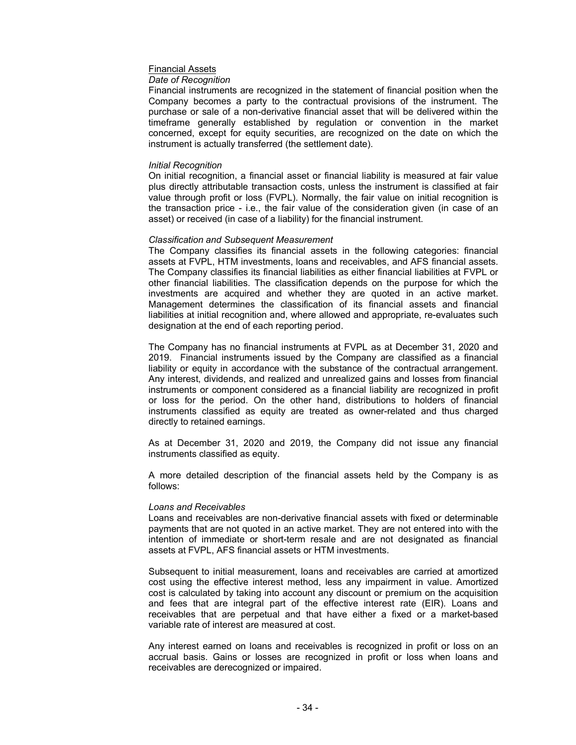#### Financial Assets

#### Date of Recognition

Financial instruments are recognized in the statement of financial position when the Company becomes a party to the contractual provisions of the instrument. The purchase or sale of a non-derivative financial asset that will be delivered within the timeframe generally established by regulation or convention in the market concerned, except for equity securities, are recognized on the date on which the instrument is actually transferred (the settlement date).

### Initial Recognition

On initial recognition, a financial asset or financial liability is measured at fair value plus directly attributable transaction costs, unless the instrument is classified at fair value through profit or loss (FVPL). Normally, the fair value on initial recognition is the transaction price - i.e., the fair value of the consideration given (in case of an asset) or received (in case of a liability) for the financial instrument.

#### Classification and Subsequent Measurement

The Company classifies its financial assets in the following categories: financial assets at FVPL, HTM investments, loans and receivables, and AFS financial assets. The Company classifies its financial liabilities as either financial liabilities at FVPL or other financial liabilities. The classification depends on the purpose for which the investments are acquired and whether they are quoted in an active market. Management determines the classification of its financial assets and financial liabilities at initial recognition and, where allowed and appropriate, re-evaluates such designation at the end of each reporting period.

The Company has no financial instruments at FVPL as at December 31, 2020 and 2019. Financial instruments issued by the Company are classified as a financial liability or equity in accordance with the substance of the contractual arrangement. Any interest, dividends, and realized and unrealized gains and losses from financial instruments or component considered as a financial liability are recognized in profit or loss for the period. On the other hand, distributions to holders of financial instruments classified as equity are treated as owner-related and thus charged directly to retained earnings.

As at December 31, 2020 and 2019, the Company did not issue any financial instruments classified as equity.

A more detailed description of the financial assets held by the Company is as follows:

#### Loans and Receivables

Loans and receivables are non-derivative financial assets with fixed or determinable payments that are not quoted in an active market. They are not entered into with the intention of immediate or short-term resale and are not designated as financial assets at FVPL, AFS financial assets or HTM investments.

Subsequent to initial measurement, loans and receivables are carried at amortized cost using the effective interest method, less any impairment in value. Amortized cost is calculated by taking into account any discount or premium on the acquisition and fees that are integral part of the effective interest rate (EIR). Loans and receivables that are perpetual and that have either a fixed or a market-based variable rate of interest are measured at cost.

Any interest earned on loans and receivables is recognized in profit or loss on an accrual basis. Gains or losses are recognized in profit or loss when loans and receivables are derecognized or impaired.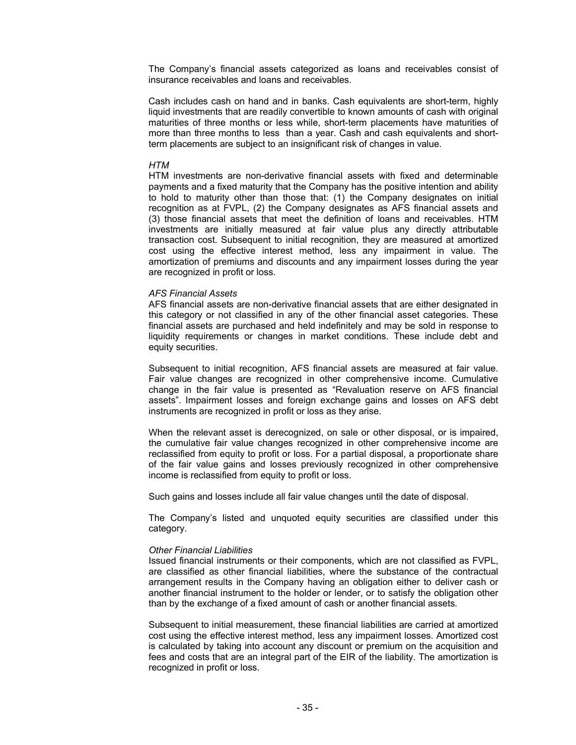The Company's financial assets categorized as loans and receivables consist of insurance receivables and loans and receivables.

Cash includes cash on hand and in banks. Cash equivalents are short-term, highly liquid investments that are readily convertible to known amounts of cash with original maturities of three months or less while, short-term placements have maturities of more than three months to less than a year. Cash and cash equivalents and shortterm placements are subject to an insignificant risk of changes in value.

#### **HTM**

HTM investments are non-derivative financial assets with fixed and determinable payments and a fixed maturity that the Company has the positive intention and ability to hold to maturity other than those that: (1) the Company designates on initial recognition as at FVPL, (2) the Company designates as AFS financial assets and (3) those financial assets that meet the definition of loans and receivables. HTM investments are initially measured at fair value plus any directly attributable transaction cost. Subsequent to initial recognition, they are measured at amortized cost using the effective interest method, less any impairment in value. The amortization of premiums and discounts and any impairment losses during the year are recognized in profit or loss.

#### AFS Financial Assets

AFS financial assets are non-derivative financial assets that are either designated in this category or not classified in any of the other financial asset categories. These financial assets are purchased and held indefinitely and may be sold in response to liquidity requirements or changes in market conditions. These include debt and equity securities.

Subsequent to initial recognition, AFS financial assets are measured at fair value. Fair value changes are recognized in other comprehensive income. Cumulative change in the fair value is presented as "Revaluation reserve on AFS financial assets". Impairment losses and foreign exchange gains and losses on AFS debt instruments are recognized in profit or loss as they arise.

When the relevant asset is derecognized, on sale or other disposal, or is impaired, the cumulative fair value changes recognized in other comprehensive income are reclassified from equity to profit or loss. For a partial disposal, a proportionate share of the fair value gains and losses previously recognized in other comprehensive income is reclassified from equity to profit or loss.

Such gains and losses include all fair value changes until the date of disposal.

The Company's listed and unquoted equity securities are classified under this category.

#### Other Financial Liabilities

Issued financial instruments or their components, which are not classified as FVPL, are classified as other financial liabilities, where the substance of the contractual arrangement results in the Company having an obligation either to deliver cash or another financial instrument to the holder or lender, or to satisfy the obligation other than by the exchange of a fixed amount of cash or another financial assets.

Subsequent to initial measurement, these financial liabilities are carried at amortized cost using the effective interest method, less any impairment losses. Amortized cost is calculated by taking into account any discount or premium on the acquisition and fees and costs that are an integral part of the EIR of the liability. The amortization is recognized in profit or loss.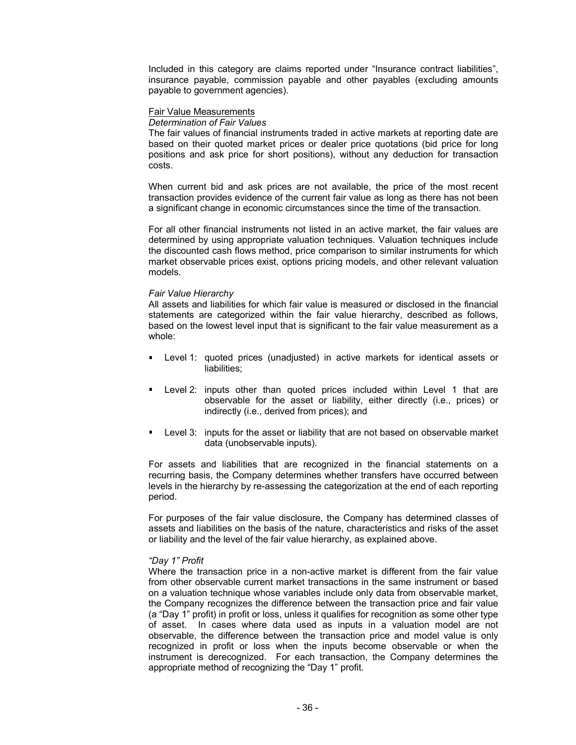Included in this category are claims reported under "Insurance contract liabilities", insurance payable, commission payable and other payables (excluding amounts payable to government agencies).

## Fair Value Measurements

### Determination of Fair Values

The fair values of financial instruments traded in active markets at reporting date are based on their quoted market prices or dealer price quotations (bid price for long positions and ask price for short positions), without any deduction for transaction costs.

When current bid and ask prices are not available, the price of the most recent transaction provides evidence of the current fair value as long as there has not been a significant change in economic circumstances since the time of the transaction.

For all other financial instruments not listed in an active market, the fair values are determined by using appropriate valuation techniques. Valuation techniques include the discounted cash flows method, price comparison to similar instruments for which market observable prices exist, options pricing models, and other relevant valuation models.

#### Fair Value Hierarchy

All assets and liabilities for which fair value is measured or disclosed in the financial statements are categorized within the fair value hierarchy, described as follows, based on the lowest level input that is significant to the fair value measurement as a whole:

- Level 1: quoted prices (unadjusted) in active markets for identical assets or liabilities;
- Level 2: inputs other than quoted prices included within Level 1 that are observable for the asset or liability, either directly (i.e., prices) or indirectly (i.e., derived from prices); and
- Level 3: inputs for the asset or liability that are not based on observable market data (unobservable inputs).

For assets and liabilities that are recognized in the financial statements on a recurring basis, the Company determines whether transfers have occurred between levels in the hierarchy by re-assessing the categorization at the end of each reporting period.

For purposes of the fair value disclosure, the Company has determined classes of assets and liabilities on the basis of the nature, characteristics and risks of the asset or liability and the level of the fair value hierarchy, as explained above.

#### "Day 1" Profit

Where the transaction price in a non-active market is different from the fair value from other observable current market transactions in the same instrument or based on a valuation technique whose variables include only data from observable market, the Company recognizes the difference between the transaction price and fair value (a "Day 1" profit) in profit or loss, unless it qualifies for recognition as some other type of asset. In cases where data used as inputs in a valuation model are not observable, the difference between the transaction price and model value is only recognized in profit or loss when the inputs become observable or when the instrument is derecognized. For each transaction, the Company determines the appropriate method of recognizing the "Day 1" profit.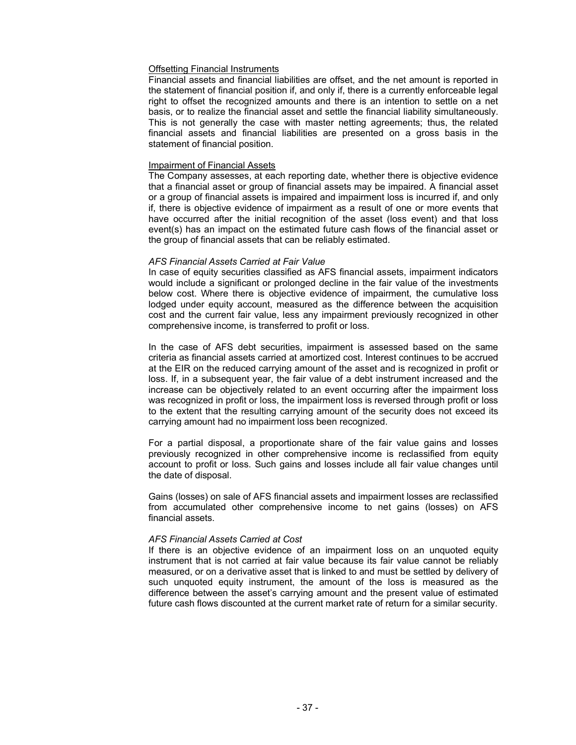### Offsetting Financial Instruments

Financial assets and financial liabilities are offset, and the net amount is reported in the statement of financial position if, and only if, there is a currently enforceable legal right to offset the recognized amounts and there is an intention to settle on a net basis, or to realize the financial asset and settle the financial liability simultaneously. This is not generally the case with master netting agreements; thus, the related financial assets and financial liabilities are presented on a gross basis in the statement of financial position.

## Impairment of Financial Assets

The Company assesses, at each reporting date, whether there is objective evidence that a financial asset or group of financial assets may be impaired. A financial asset or a group of financial assets is impaired and impairment loss is incurred if, and only if, there is objective evidence of impairment as a result of one or more events that have occurred after the initial recognition of the asset (loss event) and that loss event(s) has an impact on the estimated future cash flows of the financial asset or the group of financial assets that can be reliably estimated.

## AFS Financial Assets Carried at Fair Value

In case of equity securities classified as AFS financial assets, impairment indicators would include a significant or prolonged decline in the fair value of the investments below cost. Where there is objective evidence of impairment, the cumulative loss lodged under equity account, measured as the difference between the acquisition cost and the current fair value, less any impairment previously recognized in other comprehensive income, is transferred to profit or loss.

In the case of AFS debt securities, impairment is assessed based on the same criteria as financial assets carried at amortized cost. Interest continues to be accrued at the EIR on the reduced carrying amount of the asset and is recognized in profit or loss. If, in a subsequent year, the fair value of a debt instrument increased and the increase can be objectively related to an event occurring after the impairment loss was recognized in profit or loss, the impairment loss is reversed through profit or loss to the extent that the resulting carrying amount of the security does not exceed its carrying amount had no impairment loss been recognized.

For a partial disposal, a proportionate share of the fair value gains and losses previously recognized in other comprehensive income is reclassified from equity account to profit or loss. Such gains and losses include all fair value changes until the date of disposal.

Gains (losses) on sale of AFS financial assets and impairment losses are reclassified from accumulated other comprehensive income to net gains (losses) on AFS financial assets.

#### AFS Financial Assets Carried at Cost

If there is an objective evidence of an impairment loss on an unquoted equity instrument that is not carried at fair value because its fair value cannot be reliably measured, or on a derivative asset that is linked to and must be settled by delivery of such unquoted equity instrument, the amount of the loss is measured as the difference between the asset's carrying amount and the present value of estimated future cash flows discounted at the current market rate of return for a similar security.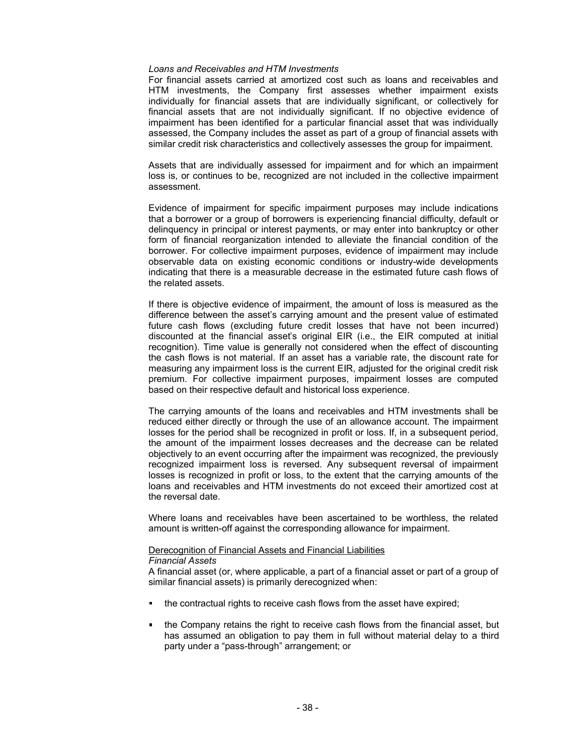## Loans and Receivables and HTM Investments

For financial assets carried at amortized cost such as loans and receivables and HTM investments, the Company first assesses whether impairment exists individually for financial assets that are individually significant, or collectively for financial assets that are not individually significant. If no objective evidence of impairment has been identified for a particular financial asset that was individually assessed, the Company includes the asset as part of a group of financial assets with similar credit risk characteristics and collectively assesses the group for impairment.

Assets that are individually assessed for impairment and for which an impairment loss is, or continues to be, recognized are not included in the collective impairment assessment.

Evidence of impairment for specific impairment purposes may include indications that a borrower or a group of borrowers is experiencing financial difficulty, default or delinquency in principal or interest payments, or may enter into bankruptcy or other form of financial reorganization intended to alleviate the financial condition of the borrower. For collective impairment purposes, evidence of impairment may include observable data on existing economic conditions or industry-wide developments indicating that there is a measurable decrease in the estimated future cash flows of the related assets.

If there is objective evidence of impairment, the amount of loss is measured as the difference between the asset's carrying amount and the present value of estimated future cash flows (excluding future credit losses that have not been incurred) discounted at the financial asset's original EIR (i.e., the EIR computed at initial recognition). Time value is generally not considered when the effect of discounting the cash flows is not material. If an asset has a variable rate, the discount rate for measuring any impairment loss is the current EIR, adjusted for the original credit risk premium. For collective impairment purposes, impairment losses are computed based on their respective default and historical loss experience.

The carrying amounts of the loans and receivables and HTM investments shall be reduced either directly or through the use of an allowance account. The impairment losses for the period shall be recognized in profit or loss. If, in a subsequent period, the amount of the impairment losses decreases and the decrease can be related objectively to an event occurring after the impairment was recognized, the previously recognized impairment loss is reversed. Any subsequent reversal of impairment losses is recognized in profit or loss, to the extent that the carrying amounts of the loans and receivables and HTM investments do not exceed their amortized cost at the reversal date.

Where loans and receivables have been ascertained to be worthless, the related amount is written-off against the corresponding allowance for impairment.

#### Derecognition of Financial Assets and Financial Liabilities

#### Financial Assets

A financial asset (or, where applicable, a part of a financial asset or part of a group of similar financial assets) is primarily derecognized when:

- the contractual rights to receive cash flows from the asset have expired;
- the Company retains the right to receive cash flows from the financial asset, but has assumed an obligation to pay them in full without material delay to a third party under a "pass-through" arrangement; or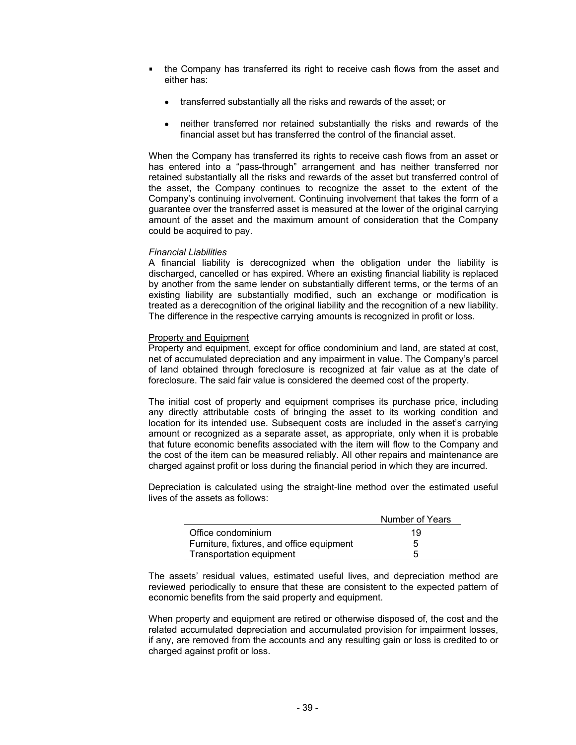- the Company has transferred its right to receive cash flows from the asset and either has:
	- transferred substantially all the risks and rewards of the asset; or
	- neither transferred nor retained substantially the risks and rewards of the financial asset but has transferred the control of the financial asset.

When the Company has transferred its rights to receive cash flows from an asset or has entered into a "pass-through" arrangement and has neither transferred nor retained substantially all the risks and rewards of the asset but transferred control of the asset, the Company continues to recognize the asset to the extent of the Company's continuing involvement. Continuing involvement that takes the form of a guarantee over the transferred asset is measured at the lower of the original carrying amount of the asset and the maximum amount of consideration that the Company could be acquired to pay.

## Financial Liabilities

A financial liability is derecognized when the obligation under the liability is discharged, cancelled or has expired. Where an existing financial liability is replaced by another from the same lender on substantially different terms, or the terms of an existing liability are substantially modified, such an exchange or modification is treated as a derecognition of the original liability and the recognition of a new liability. The difference in the respective carrying amounts is recognized in profit or loss.

## Property and Equipment

Property and equipment, except for office condominium and land, are stated at cost, net of accumulated depreciation and any impairment in value. The Company's parcel of land obtained through foreclosure is recognized at fair value as at the date of foreclosure. The said fair value is considered the deemed cost of the property.

The initial cost of property and equipment comprises its purchase price, including any directly attributable costs of bringing the asset to its working condition and location for its intended use. Subsequent costs are included in the asset's carrying amount or recognized as a separate asset, as appropriate, only when it is probable that future economic benefits associated with the item will flow to the Company and the cost of the item can be measured reliably. All other repairs and maintenance are charged against profit or loss during the financial period in which they are incurred.

Depreciation is calculated using the straight-line method over the estimated useful lives of the assets as follows:

|                                           | Number of Years |
|-------------------------------------------|-----------------|
| Office condominium                        | 19              |
| Furniture, fixtures, and office equipment | :               |
| Transportation equipment                  |                 |

The assets' residual values, estimated useful lives, and depreciation method are reviewed periodically to ensure that these are consistent to the expected pattern of economic benefits from the said property and equipment.

When property and equipment are retired or otherwise disposed of, the cost and the related accumulated depreciation and accumulated provision for impairment losses, if any, are removed from the accounts and any resulting gain or loss is credited to or charged against profit or loss.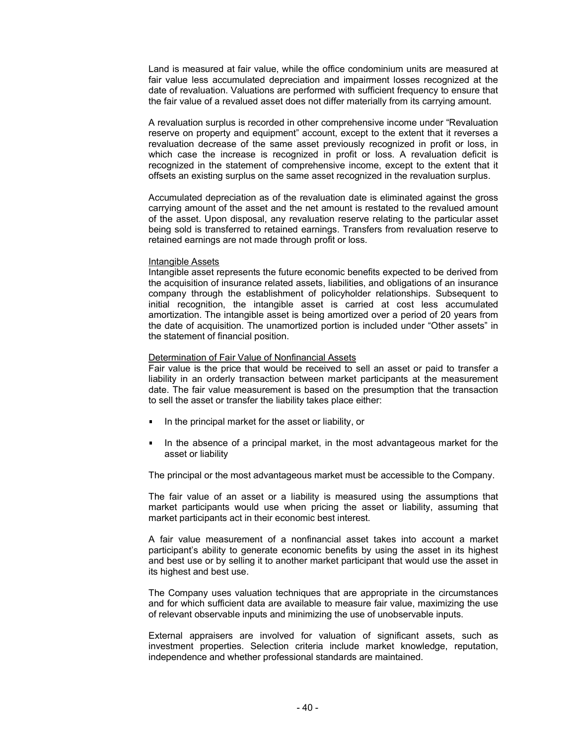Land is measured at fair value, while the office condominium units are measured at fair value less accumulated depreciation and impairment losses recognized at the date of revaluation. Valuations are performed with sufficient frequency to ensure that the fair value of a revalued asset does not differ materially from its carrying amount.

A revaluation surplus is recorded in other comprehensive income under "Revaluation reserve on property and equipment" account, except to the extent that it reverses a revaluation decrease of the same asset previously recognized in profit or loss, in which case the increase is recognized in profit or loss. A revaluation deficit is recognized in the statement of comprehensive income, except to the extent that it offsets an existing surplus on the same asset recognized in the revaluation surplus.

Accumulated depreciation as of the revaluation date is eliminated against the gross carrying amount of the asset and the net amount is restated to the revalued amount of the asset. Upon disposal, any revaluation reserve relating to the particular asset being sold is transferred to retained earnings. Transfers from revaluation reserve to retained earnings are not made through profit or loss.

#### Intangible Assets

Intangible asset represents the future economic benefits expected to be derived from the acquisition of insurance related assets, liabilities, and obligations of an insurance company through the establishment of policyholder relationships. Subsequent to initial recognition, the intangible asset is carried at cost less accumulated amortization. The intangible asset is being amortized over a period of 20 years from the date of acquisition. The unamortized portion is included under "Other assets" in the statement of financial position.

#### Determination of Fair Value of Nonfinancial Assets

Fair value is the price that would be received to sell an asset or paid to transfer a liability in an orderly transaction between market participants at the measurement date. The fair value measurement is based on the presumption that the transaction to sell the asset or transfer the liability takes place either:

- In the principal market for the asset or liability, or
- In the absence of a principal market, in the most advantageous market for the asset or liability

The principal or the most advantageous market must be accessible to the Company.

The fair value of an asset or a liability is measured using the assumptions that market participants would use when pricing the asset or liability, assuming that market participants act in their economic best interest.

A fair value measurement of a nonfinancial asset takes into account a market participant's ability to generate economic benefits by using the asset in its highest and best use or by selling it to another market participant that would use the asset in its highest and best use.

The Company uses valuation techniques that are appropriate in the circumstances and for which sufficient data are available to measure fair value, maximizing the use of relevant observable inputs and minimizing the use of unobservable inputs.

External appraisers are involved for valuation of significant assets, such as investment properties. Selection criteria include market knowledge, reputation, independence and whether professional standards are maintained.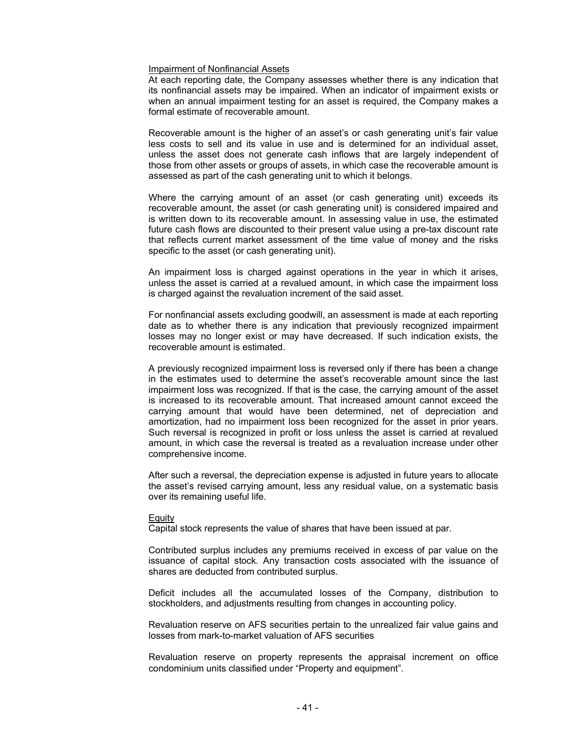### Impairment of Nonfinancial Assets

At each reporting date, the Company assesses whether there is any indication that its nonfinancial assets may be impaired. When an indicator of impairment exists or when an annual impairment testing for an asset is required, the Company makes a formal estimate of recoverable amount.

Recoverable amount is the higher of an asset's or cash generating unit's fair value less costs to sell and its value in use and is determined for an individual asset, unless the asset does not generate cash inflows that are largely independent of those from other assets or groups of assets, in which case the recoverable amount is assessed as part of the cash generating unit to which it belongs.

Where the carrying amount of an asset (or cash generating unit) exceeds its recoverable amount, the asset (or cash generating unit) is considered impaired and is written down to its recoverable amount. In assessing value in use, the estimated future cash flows are discounted to their present value using a pre-tax discount rate that reflects current market assessment of the time value of money and the risks specific to the asset (or cash generating unit).

An impairment loss is charged against operations in the year in which it arises, unless the asset is carried at a revalued amount, in which case the impairment loss is charged against the revaluation increment of the said asset.

For nonfinancial assets excluding goodwill, an assessment is made at each reporting date as to whether there is any indication that previously recognized impairment losses may no longer exist or may have decreased. If such indication exists, the recoverable amount is estimated.

A previously recognized impairment loss is reversed only if there has been a change in the estimates used to determine the asset's recoverable amount since the last impairment loss was recognized. If that is the case, the carrying amount of the asset is increased to its recoverable amount. That increased amount cannot exceed the carrying amount that would have been determined, net of depreciation and amortization, had no impairment loss been recognized for the asset in prior years. Such reversal is recognized in profit or loss unless the asset is carried at revalued amount, in which case the reversal is treated as a revaluation increase under other comprehensive income.

After such a reversal, the depreciation expense is adjusted in future years to allocate the asset's revised carrying amount, less any residual value, on a systematic basis over its remaining useful life.

#### Equity

Capital stock represents the value of shares that have been issued at par.

Contributed surplus includes any premiums received in excess of par value on the issuance of capital stock. Any transaction costs associated with the issuance of shares are deducted from contributed surplus.

Deficit includes all the accumulated losses of the Company, distribution to stockholders, and adjustments resulting from changes in accounting policy.

Revaluation reserve on AFS securities pertain to the unrealized fair value gains and losses from mark-to-market valuation of AFS securities

Revaluation reserve on property represents the appraisal increment on office condominium units classified under "Property and equipment".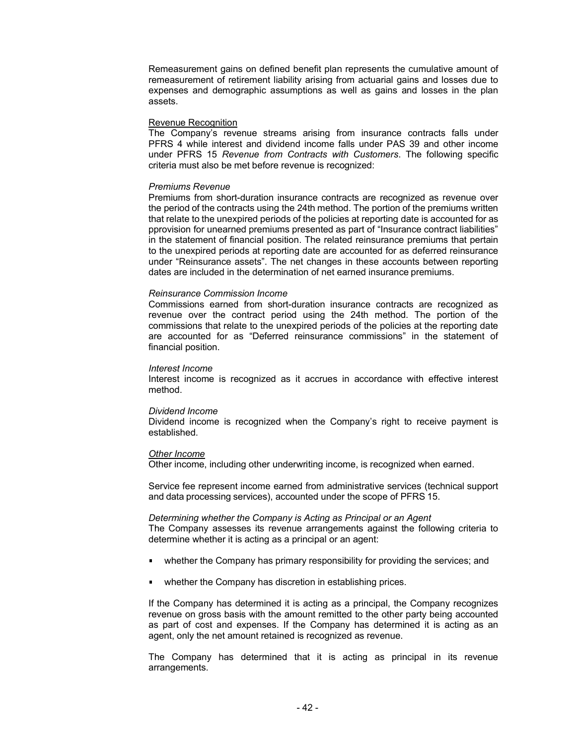Remeasurement gains on defined benefit plan represents the cumulative amount of remeasurement of retirement liability arising from actuarial gains and losses due to expenses and demographic assumptions as well as gains and losses in the plan assets.

#### Revenue Recognition

The Company's revenue streams arising from insurance contracts falls under PFRS 4 while interest and dividend income falls under PAS 39 and other income under PFRS 15 Revenue from Contracts with Customers. The following specific criteria must also be met before revenue is recognized:

#### Premiums Revenue

Premiums from short-duration insurance contracts are recognized as revenue over the period of the contracts using the 24th method. The portion of the premiums written that relate to the unexpired periods of the policies at reporting date is accounted for as pprovision for unearned premiums presented as part of "Insurance contract liabilities" in the statement of financial position. The related reinsurance premiums that pertain to the unexpired periods at reporting date are accounted for as deferred reinsurance under "Reinsurance assets". The net changes in these accounts between reporting dates are included in the determination of net earned insurance premiums.

#### Reinsurance Commission Income

Commissions earned from short-duration insurance contracts are recognized as revenue over the contract period using the 24th method. The portion of the commissions that relate to the unexpired periods of the policies at the reporting date are accounted for as "Deferred reinsurance commissions" in the statement of financial position.

#### Interest Income

Interest income is recognized as it accrues in accordance with effective interest method.

#### Dividend Income

Dividend income is recognized when the Company's right to receive payment is established.

#### Other Income

Other income, including other underwriting income, is recognized when earned.

Service fee represent income earned from administrative services (technical support and data processing services), accounted under the scope of PFRS 15.

#### Determining whether the Company is Acting as Principal or an Agent

The Company assesses its revenue arrangements against the following criteria to determine whether it is acting as a principal or an agent:

- whether the Company has primary responsibility for providing the services; and
- **whether the Company has discretion in establishing prices.**

If the Company has determined it is acting as a principal, the Company recognizes revenue on gross basis with the amount remitted to the other party being accounted as part of cost and expenses. If the Company has determined it is acting as an agent, only the net amount retained is recognized as revenue.

The Company has determined that it is acting as principal in its revenue arrangements.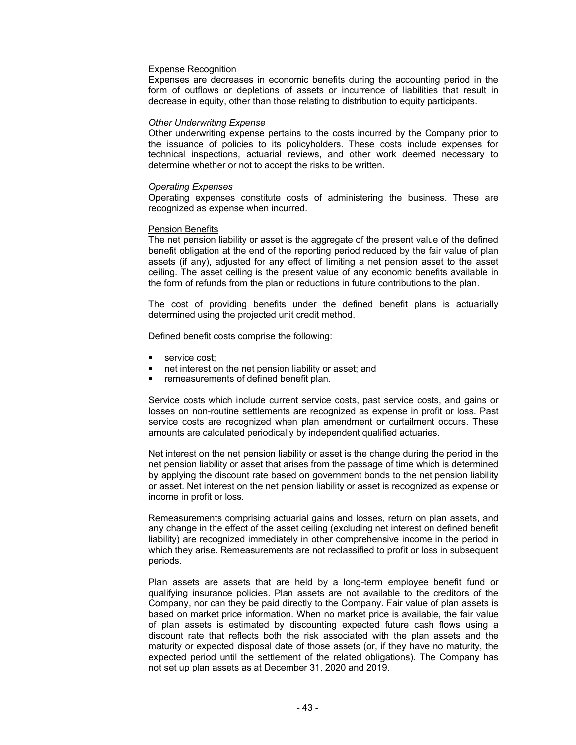#### Expense Recognition

Expenses are decreases in economic benefits during the accounting period in the form of outflows or depletions of assets or incurrence of liabilities that result in decrease in equity, other than those relating to distribution to equity participants.

### Other Underwriting Expense

Other underwriting expense pertains to the costs incurred by the Company prior to the issuance of policies to its policyholders. These costs include expenses for technical inspections, actuarial reviews, and other work deemed necessary to determine whether or not to accept the risks to be written.

## Operating Expenses

Operating expenses constitute costs of administering the business. These are recognized as expense when incurred.

## Pension Benefits

The net pension liability or asset is the aggregate of the present value of the defined benefit obligation at the end of the reporting period reduced by the fair value of plan assets (if any), adjusted for any effect of limiting a net pension asset to the asset ceiling. The asset ceiling is the present value of any economic benefits available in the form of refunds from the plan or reductions in future contributions to the plan.

The cost of providing benefits under the defined benefit plans is actuarially determined using the projected unit credit method.

Defined benefit costs comprise the following:

- service cost;
- net interest on the net pension liability or asset; and
- **F** remeasurements of defined benefit plan.

Service costs which include current service costs, past service costs, and gains or losses on non-routine settlements are recognized as expense in profit or loss. Past service costs are recognized when plan amendment or curtailment occurs. These amounts are calculated periodically by independent qualified actuaries.

Net interest on the net pension liability or asset is the change during the period in the net pension liability or asset that arises from the passage of time which is determined by applying the discount rate based on government bonds to the net pension liability or asset. Net interest on the net pension liability or asset is recognized as expense or income in profit or loss.

Remeasurements comprising actuarial gains and losses, return on plan assets, and any change in the effect of the asset ceiling (excluding net interest on defined benefit liability) are recognized immediately in other comprehensive income in the period in which they arise. Remeasurements are not reclassified to profit or loss in subsequent periods.

Plan assets are assets that are held by a long-term employee benefit fund or qualifying insurance policies. Plan assets are not available to the creditors of the Company, nor can they be paid directly to the Company. Fair value of plan assets is based on market price information. When no market price is available, the fair value of plan assets is estimated by discounting expected future cash flows using a discount rate that reflects both the risk associated with the plan assets and the maturity or expected disposal date of those assets (or, if they have no maturity, the expected period until the settlement of the related obligations). The Company has not set up plan assets as at December 31, 2020 and 2019.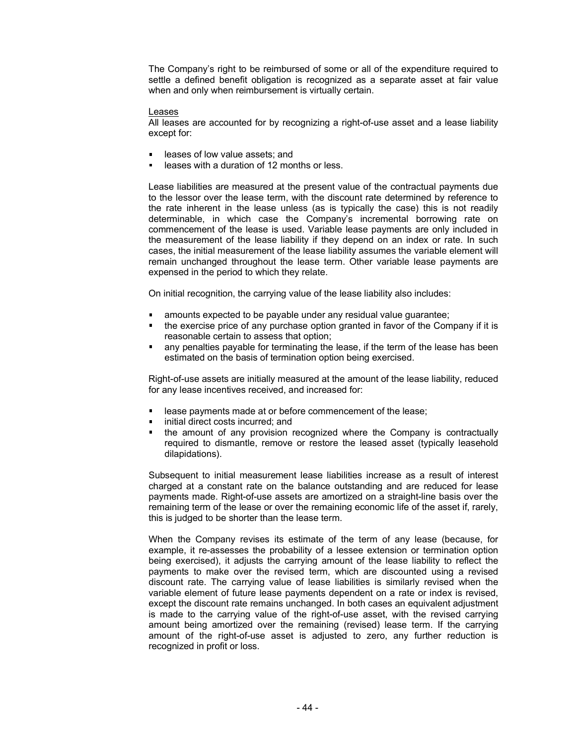The Company's right to be reimbursed of some or all of the expenditure required to settle a defined benefit obligation is recognized as a separate asset at fair value when and only when reimbursement is virtually certain.

### Leases

All leases are accounted for by recognizing a right-of-use asset and a lease liability except for:

- **leases of low value assets; and**
- leases with a duration of 12 months or less.

Lease liabilities are measured at the present value of the contractual payments due to the lessor over the lease term, with the discount rate determined by reference to the rate inherent in the lease unless (as is typically the case) this is not readily determinable, in which case the Company's incremental borrowing rate on commencement of the lease is used. Variable lease payments are only included in the measurement of the lease liability if they depend on an index or rate. In such cases, the initial measurement of the lease liability assumes the variable element will remain unchanged throughout the lease term. Other variable lease payments are expensed in the period to which they relate.

On initial recognition, the carrying value of the lease liability also includes:

- **EXED** amounts expected to be payable under any residual value guarantee;
- **the exercise price of any purchase option granted in favor of the Company if it is** reasonable certain to assess that option;
- **number 1** any penalties payable for terminating the lease, if the term of the lease has been estimated on the basis of termination option being exercised.

Right-of-use assets are initially measured at the amount of the lease liability, reduced for any lease incentives received, and increased for:

- **EXE** lease payments made at or before commencement of the lease;
- **initial direct costs incurred; and**
- **the amount of any provision recognized where the Company is contractually** required to dismantle, remove or restore the leased asset (typically leasehold dilapidations).

Subsequent to initial measurement lease liabilities increase as a result of interest charged at a constant rate on the balance outstanding and are reduced for lease payments made. Right-of-use assets are amortized on a straight-line basis over the remaining term of the lease or over the remaining economic life of the asset if, rarely, this is judged to be shorter than the lease term.

When the Company revises its estimate of the term of any lease (because, for example, it re-assesses the probability of a lessee extension or termination option being exercised), it adjusts the carrying amount of the lease liability to reflect the payments to make over the revised term, which are discounted using a revised discount rate. The carrying value of lease liabilities is similarly revised when the variable element of future lease payments dependent on a rate or index is revised, except the discount rate remains unchanged. In both cases an equivalent adjustment is made to the carrying value of the right-of-use asset, with the revised carrying amount being amortized over the remaining (revised) lease term. If the carrying amount of the right-of-use asset is adjusted to zero, any further reduction is recognized in profit or loss.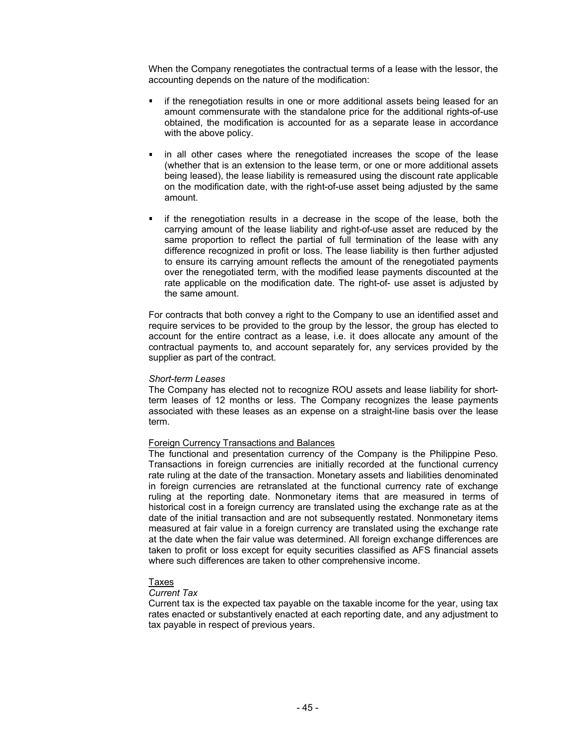When the Company renegotiates the contractual terms of a lease with the lessor, the accounting depends on the nature of the modification:

- **if the renegotiation results in one or more additional assets being leased for an** amount commensurate with the standalone price for the additional rights-of-use obtained, the modification is accounted for as a separate lease in accordance with the above policy.
- **in all other cases where the renegotiated increases the scope of the lease** (whether that is an extension to the lease term, or one or more additional assets being leased), the lease liability is remeasured using the discount rate applicable on the modification date, with the right-of-use asset being adjusted by the same amount.
- if the renegotiation results in a decrease in the scope of the lease, both the carrying amount of the lease liability and right-of-use asset are reduced by the same proportion to reflect the partial of full termination of the lease with any difference recognized in profit or loss. The lease liability is then further adjusted to ensure its carrying amount reflects the amount of the renegotiated payments over the renegotiated term, with the modified lease payments discounted at the rate applicable on the modification date. The right-of- use asset is adjusted by the same amount.

For contracts that both convey a right to the Company to use an identified asset and require services to be provided to the group by the lessor, the group has elected to account for the entire contract as a lease, i.e. it does allocate any amount of the contractual payments to, and account separately for, any services provided by the supplier as part of the contract.

#### Short-term Leases

The Company has elected not to recognize ROU assets and lease liability for shortterm leases of 12 months or less. The Company recognizes the lease payments associated with these leases as an expense on a straight-line basis over the lease term.

#### Foreign Currency Transactions and Balances

The functional and presentation currency of the Company is the Philippine Peso. Transactions in foreign currencies are initially recorded at the functional currency rate ruling at the date of the transaction. Monetary assets and liabilities denominated in foreign currencies are retranslated at the functional currency rate of exchange ruling at the reporting date. Nonmonetary items that are measured in terms of historical cost in a foreign currency are translated using the exchange rate as at the date of the initial transaction and are not subsequently restated. Nonmonetary items measured at fair value in a foreign currency are translated using the exchange rate at the date when the fair value was determined. All foreign exchange differences are taken to profit or loss except for equity securities classified as AFS financial assets where such differences are taken to other comprehensive income.

## Taxes

## Current Tax

Current tax is the expected tax payable on the taxable income for the year, using tax rates enacted or substantively enacted at each reporting date, and any adjustment to tax payable in respect of previous years.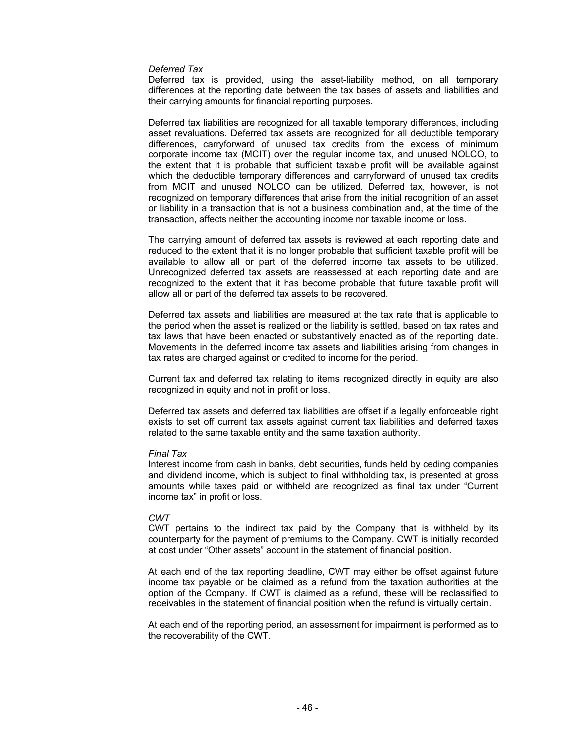#### Deferred Tax

Deferred tax is provided, using the asset-liability method, on all temporary differences at the reporting date between the tax bases of assets and liabilities and their carrying amounts for financial reporting purposes.

Deferred tax liabilities are recognized for all taxable temporary differences, including asset revaluations. Deferred tax assets are recognized for all deductible temporary differences, carryforward of unused tax credits from the excess of minimum corporate income tax (MCIT) over the regular income tax, and unused NOLCO, to the extent that it is probable that sufficient taxable profit will be available against which the deductible temporary differences and carryforward of unused tax credits from MCIT and unused NOLCO can be utilized. Deferred tax, however, is not recognized on temporary differences that arise from the initial recognition of an asset or liability in a transaction that is not a business combination and, at the time of the transaction, affects neither the accounting income nor taxable income or loss.

The carrying amount of deferred tax assets is reviewed at each reporting date and reduced to the extent that it is no longer probable that sufficient taxable profit will be available to allow all or part of the deferred income tax assets to be utilized. Unrecognized deferred tax assets are reassessed at each reporting date and are recognized to the extent that it has become probable that future taxable profit will allow all or part of the deferred tax assets to be recovered.

Deferred tax assets and liabilities are measured at the tax rate that is applicable to the period when the asset is realized or the liability is settled, based on tax rates and tax laws that have been enacted or substantively enacted as of the reporting date. Movements in the deferred income tax assets and liabilities arising from changes in tax rates are charged against or credited to income for the period.

Current tax and deferred tax relating to items recognized directly in equity are also recognized in equity and not in profit or loss.

Deferred tax assets and deferred tax liabilities are offset if a legally enforceable right exists to set off current tax assets against current tax liabilities and deferred taxes related to the same taxable entity and the same taxation authority.

#### Final Tax

Interest income from cash in banks, debt securities, funds held by ceding companies and dividend income, which is subject to final withholding tax, is presented at gross amounts while taxes paid or withheld are recognized as final tax under "Current income tax" in profit or loss.

#### CWT

CWT pertains to the indirect tax paid by the Company that is withheld by its counterparty for the payment of premiums to the Company. CWT is initially recorded at cost under "Other assets" account in the statement of financial position.

At each end of the tax reporting deadline, CWT may either be offset against future income tax payable or be claimed as a refund from the taxation authorities at the option of the Company. If CWT is claimed as a refund, these will be reclassified to receivables in the statement of financial position when the refund is virtually certain.

At each end of the reporting period, an assessment for impairment is performed as to the recoverability of the CWT.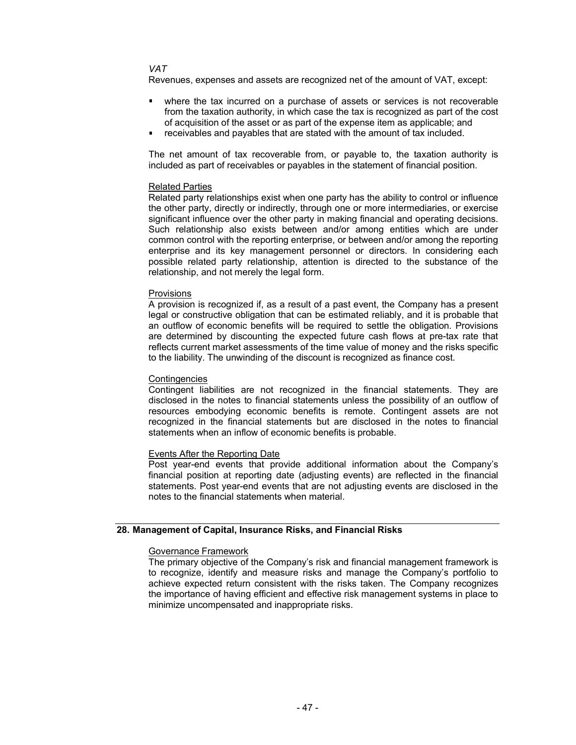## VAT

Revenues, expenses and assets are recognized net of the amount of VAT, except:

- where the tax incurred on a purchase of assets or services is not recoverable from the taxation authority, in which case the tax is recognized as part of the cost of acquisition of the asset or as part of the expense item as applicable; and
- **FX** receivables and payables that are stated with the amount of tax included.

The net amount of tax recoverable from, or payable to, the taxation authority is included as part of receivables or payables in the statement of financial position.

## Related Parties

Related party relationships exist when one party has the ability to control or influence the other party, directly or indirectly, through one or more intermediaries, or exercise significant influence over the other party in making financial and operating decisions. Such relationship also exists between and/or among entities which are under common control with the reporting enterprise, or between and/or among the reporting enterprise and its key management personnel or directors. In considering each possible related party relationship, attention is directed to the substance of the relationship, and not merely the legal form.

## Provisions

A provision is recognized if, as a result of a past event, the Company has a present legal or constructive obligation that can be estimated reliably, and it is probable that an outflow of economic benefits will be required to settle the obligation. Provisions are determined by discounting the expected future cash flows at pre-tax rate that reflects current market assessments of the time value of money and the risks specific to the liability. The unwinding of the discount is recognized as finance cost.

#### **Contingencies**

Contingent liabilities are not recognized in the financial statements. They are disclosed in the notes to financial statements unless the possibility of an outflow of resources embodying economic benefits is remote. Contingent assets are not recognized in the financial statements but are disclosed in the notes to financial statements when an inflow of economic benefits is probable.

#### Events After the Reporting Date

Post year-end events that provide additional information about the Company's financial position at reporting date (adjusting events) are reflected in the financial statements. Post year-end events that are not adjusting events are disclosed in the notes to the financial statements when material.

## 28. Management of Capital, Insurance Risks, and Financial Risks

## Governance Framework

The primary objective of the Company's risk and financial management framework is to recognize, identify and measure risks and manage the Company's portfolio to achieve expected return consistent with the risks taken. The Company recognizes the importance of having efficient and effective risk management systems in place to minimize uncompensated and inappropriate risks.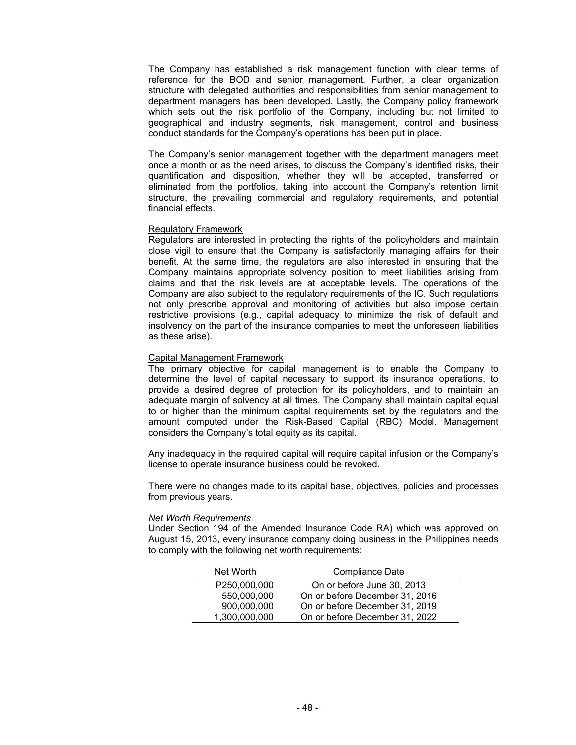The Company has established a risk management function with clear terms of reference for the BOD and senior management. Further, a clear organization structure with delegated authorities and responsibilities from senior management to department managers has been developed. Lastly, the Company policy framework which sets out the risk portfolio of the Company, including but not limited to geographical and industry segments, risk management, control and business conduct standards for the Company's operations has been put in place.

The Company's senior management together with the department managers meet once a month or as the need arises, to discuss the Company's identified risks, their quantification and disposition, whether they will be accepted, transferred or eliminated from the portfolios, taking into account the Company's retention limit structure, the prevailing commercial and regulatory requirements, and potential financial effects.

## Regulatory Framework

Regulators are interested in protecting the rights of the policyholders and maintain close vigil to ensure that the Company is satisfactorily managing affairs for their benefit. At the same time, the regulators are also interested in ensuring that the Company maintains appropriate solvency position to meet liabilities arising from claims and that the risk levels are at acceptable levels. The operations of the Company are also subject to the regulatory requirements of the IC. Such regulations not only prescribe approval and monitoring of activities but also impose certain restrictive provisions (e.g., capital adequacy to minimize the risk of default and insolvency on the part of the insurance companies to meet the unforeseen liabilities as these arise).

## Capital Management Framework

The primary objective for capital management is to enable the Company to determine the level of capital necessary to support its insurance operations, to provide a desired degree of protection for its policyholders, and to maintain an adequate margin of solvency at all times. The Company shall maintain capital equal to or higher than the minimum capital requirements set by the regulators and the amount computed under the Risk-Based Capital (RBC) Model. Management considers the Company's total equity as its capital.

Any inadequacy in the required capital will require capital infusion or the Company's license to operate insurance business could be revoked.

There were no changes made to its capital base, objectives, policies and processes from previous years.

#### Net Worth Requirements

Under Section 194 of the Amended Insurance Code RA) which was approved on August 15, 2013, every insurance company doing business in the Philippines needs to comply with the following net worth requirements:

| Net Worth     | Compliance Date                |
|---------------|--------------------------------|
| P250,000,000  | On or before June 30, 2013     |
| 550,000,000   | On or before December 31, 2016 |
| 900,000,000   | On or before December 31, 2019 |
| 1,300,000,000 | On or before December 31, 2022 |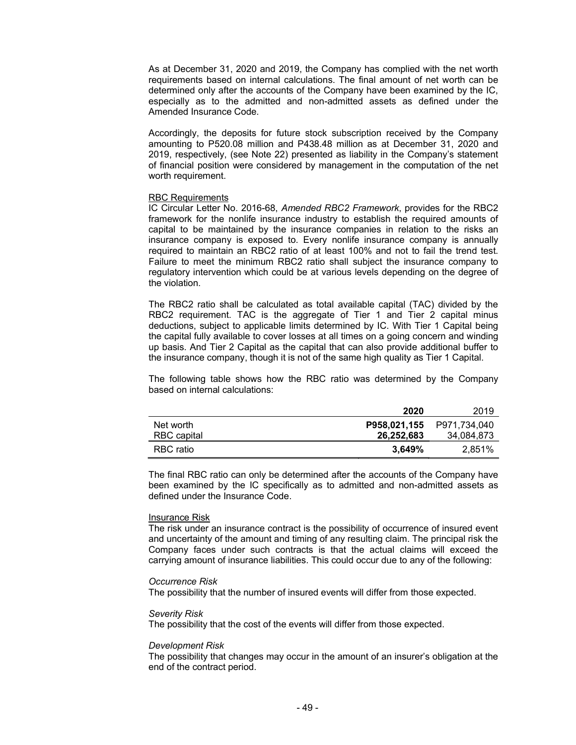As at December 31, 2020 and 2019, the Company has complied with the net worth requirements based on internal calculations. The final amount of net worth can be determined only after the accounts of the Company have been examined by the IC, especially as to the admitted and non-admitted assets as defined under the Amended Insurance Code.

Accordingly, the deposits for future stock subscription received by the Company amounting to P520.08 million and P438.48 million as at December 31, 2020 and 2019, respectively, (see Note 22) presented as liability in the Company's statement of financial position were considered by management in the computation of the net worth requirement.

#### RBC Requirements

IC Circular Letter No. 2016-68, Amended RBC2 Framework, provides for the RBC2 framework for the nonlife insurance industry to establish the required amounts of capital to be maintained by the insurance companies in relation to the risks an insurance company is exposed to. Every nonlife insurance company is annually required to maintain an RBC2 ratio of at least 100% and not to fail the trend test. Failure to meet the minimum RBC2 ratio shall subject the insurance company to regulatory intervention which could be at various levels depending on the degree of the violation.

The RBC2 ratio shall be calculated as total available capital (TAC) divided by the RBC2 requirement. TAC is the aggregate of Tier 1 and Tier 2 capital minus deductions, subject to applicable limits determined by IC. With Tier 1 Capital being the capital fully available to cover losses at all times on a going concern and winding up basis. And Tier 2 Capital as the capital that can also provide additional buffer to the insurance company, though it is not of the same high quality as Tier 1 Capital.

The following table shows how the RBC ratio was determined by the Company based on internal calculations:

|             | 2020         | 2019         |
|-------------|--------------|--------------|
| Net worth   | P958.021.155 | P971.734.040 |
| RBC capital | 26,252,683   | 34,084,873   |
| RBC ratio   | 3.649%       | 2.851%       |

The final RBC ratio can only be determined after the accounts of the Company have been examined by the IC specifically as to admitted and non-admitted assets as defined under the Insurance Code.

#### Insurance Risk

The risk under an insurance contract is the possibility of occurrence of insured event and uncertainty of the amount and timing of any resulting claim. The principal risk the Company faces under such contracts is that the actual claims will exceed the carrying amount of insurance liabilities. This could occur due to any of the following:

#### Occurrence Risk

The possibility that the number of insured events will differ from those expected.

#### Severity Risk

The possibility that the cost of the events will differ from those expected.

#### Development Risk

The possibility that changes may occur in the amount of an insurer's obligation at the end of the contract period.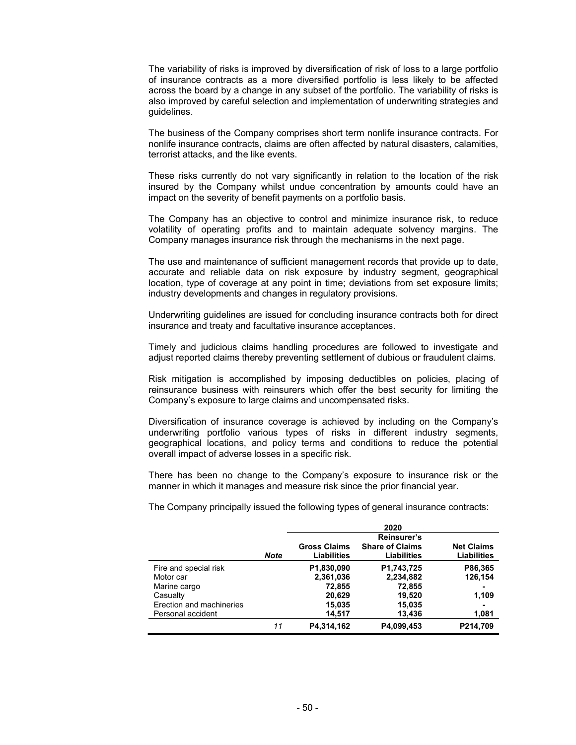The variability of risks is improved by diversification of risk of loss to a large portfolio of insurance contracts as a more diversified portfolio is less likely to be affected across the board by a change in any subset of the portfolio. The variability of risks is also improved by careful selection and implementation of underwriting strategies and guidelines.

The business of the Company comprises short term nonlife insurance contracts. For nonlife insurance contracts, claims are often affected by natural disasters, calamities, terrorist attacks, and the like events.

These risks currently do not vary significantly in relation to the location of the risk insured by the Company whilst undue concentration by amounts could have an impact on the severity of benefit payments on a portfolio basis.

The Company has an objective to control and minimize insurance risk, to reduce volatility of operating profits and to maintain adequate solvency margins. The Company manages insurance risk through the mechanisms in the next page.

The use and maintenance of sufficient management records that provide up to date, accurate and reliable data on risk exposure by industry segment, geographical location, type of coverage at any point in time; deviations from set exposure limits; industry developments and changes in regulatory provisions.

Underwriting guidelines are issued for concluding insurance contracts both for direct insurance and treaty and facultative insurance acceptances.

Timely and judicious claims handling procedures are followed to investigate and adjust reported claims thereby preventing settlement of dubious or fraudulent claims.

Risk mitigation is accomplished by imposing deductibles on policies, placing of reinsurance business with reinsurers which offer the best security for limiting the Company's exposure to large claims and uncompensated risks.

Diversification of insurance coverage is achieved by including on the Company's underwriting portfolio various types of risks in different industry segments, geographical locations, and policy terms and conditions to reduce the potential overall impact of adverse losses in a specific risk.

There has been no change to the Company's exposure to insurance risk or the manner in which it manages and measure risk since the prior financial year.

|                          |             |                     | 2020                   |                    |
|--------------------------|-------------|---------------------|------------------------|--------------------|
|                          |             |                     | Reinsurer's            |                    |
|                          |             | <b>Gross Claims</b> | <b>Share of Claims</b> | <b>Net Claims</b>  |
|                          | <b>Note</b> | <b>Liabilities</b>  | Liabilities            | <b>Liabilities</b> |
| Fire and special risk    |             | P1.830,090          | P1,743,725             | P86,365            |
| Motor car                |             | 2,361,036           | 2,234,882              | 126,154            |
| Marine cargo             |             | 72,855              | 72,855                 |                    |
| Casualty                 |             | 20,629              | 19,520                 | 1,109              |
| Erection and machineries |             | 15,035              | 15,035                 |                    |
| Personal accident        |             | 14,517              | 13,436                 | 1,081              |
|                          | 11          | P4,314,162          | P4,099,453             | P214,709           |

The Company principally issued the following types of general insurance contracts: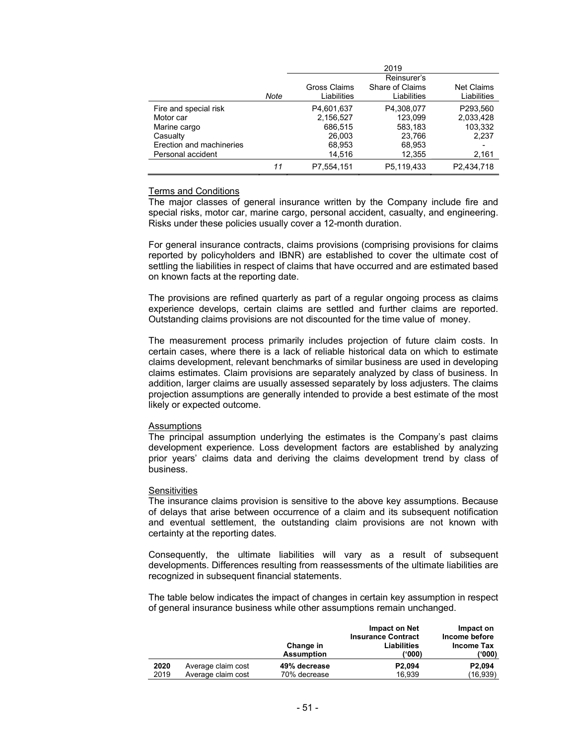|                          |      |              | 2019            |                          |
|--------------------------|------|--------------|-----------------|--------------------------|
|                          |      |              | Reinsurer's     |                          |
|                          |      | Gross Claims | Share of Claims | <b>Net Claims</b>        |
|                          | Note | Liabilities  | Liabilities     | Liabilities              |
| Fire and special risk    |      | P4,601,637   | P4,308,077      | P293.560                 |
| Motor car                |      | 2,156,527    | 123.099         | 2,033,428                |
| Marine cargo             |      | 686.515      | 583,183         | 103,332                  |
| Casualty                 |      | 26,003       | 23,766          | 2,237                    |
| Erection and machineries |      | 68,953       | 68,953          | $\overline{\phantom{0}}$ |
| Personal accident        |      | 14,516       | 12,355          | 2,161                    |
|                          | 11   | P7,554,151   | P5.119.433      | P2,434,718               |

## Terms and Conditions

The major classes of general insurance written by the Company include fire and special risks, motor car, marine cargo, personal accident, casualty, and engineering. Risks under these policies usually cover a 12-month duration.

For general insurance contracts, claims provisions (comprising provisions for claims reported by policyholders and IBNR) are established to cover the ultimate cost of settling the liabilities in respect of claims that have occurred and are estimated based on known facts at the reporting date.

The provisions are refined quarterly as part of a regular ongoing process as claims experience develops, certain claims are settled and further claims are reported. Outstanding claims provisions are not discounted for the time value of money.

The measurement process primarily includes projection of future claim costs. In certain cases, where there is a lack of reliable historical data on which to estimate claims development, relevant benchmarks of similar business are used in developing claims estimates. Claim provisions are separately analyzed by class of business. In addition, larger claims are usually assessed separately by loss adjusters. The claims projection assumptions are generally intended to provide a best estimate of the most likely or expected outcome.

## **Assumptions**

The principal assumption underlying the estimates is the Company's past claims development experience. Loss development factors are established by analyzing prior years' claims data and deriving the claims development trend by class of business.

## **Sensitivities**

The insurance claims provision is sensitive to the above key assumptions. Because of delays that arise between occurrence of a claim and its subsequent notification and eventual settlement, the outstanding claim provisions are not known with certainty at the reporting dates.

Consequently, the ultimate liabilities will vary as a result of subsequent developments. Differences resulting from reassessments of the ultimate liabilities are recognized in subsequent financial statements.

The table below indicates the impact of changes in certain key assumption in respect of general insurance business while other assumptions remain unchanged.

|      |                    | Change in<br><b>Assumption</b> | Impact on Net<br><b>Insurance Contract</b><br><b>Liabilities</b><br>('000) | Impact on<br>Income before<br><b>Income Tax</b><br>(000) |
|------|--------------------|--------------------------------|----------------------------------------------------------------------------|----------------------------------------------------------|
| 2020 | Average claim cost | 49% decrease                   | P <sub>2.094</sub>                                                         | P <sub>2</sub> ,094                                      |
| 2019 | Average claim cost | 70% decrease                   | 16.939                                                                     | (16,939)                                                 |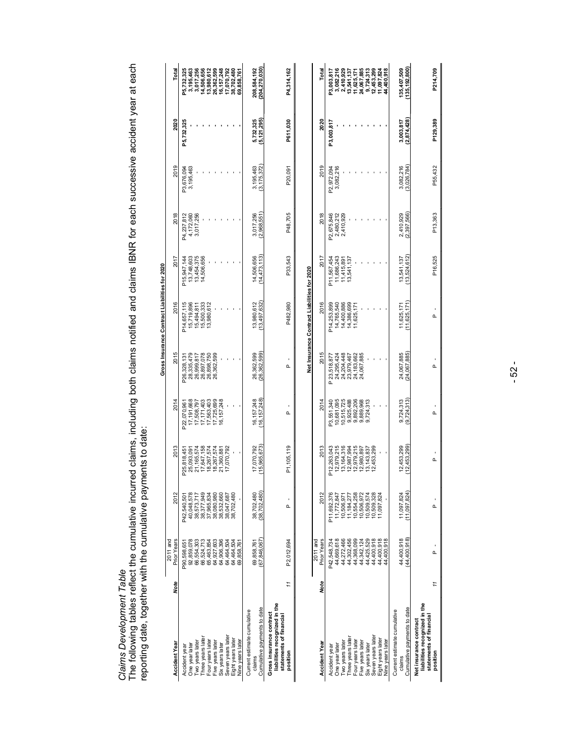| ׆<br>ה<br>i |  |
|-------------|--|
|             |  |
|             |  |
| i<br>Sacraí |  |
|             |  |
|             |  |
|             |  |
|             |  |
|             |  |
| Ξ           |  |
| í           |  |
|             |  |
|             |  |
| š<br>٦      |  |
|             |  |
| ;           |  |
|             |  |
|             |  |

| reporting date, together with the cumulative payments to date:                                 |            |                                                      |                                                                                                                                                                        |                                                                                                       |                                                                                   |                                                                                                                               | Gross Insurance Contract Liabilities for 2020                       |                                                       |                                      |                                 |                              |                                                                                                                                                                                                                                                                                           |
|------------------------------------------------------------------------------------------------|------------|------------------------------------------------------|------------------------------------------------------------------------------------------------------------------------------------------------------------------------|-------------------------------------------------------------------------------------------------------|-----------------------------------------------------------------------------------|-------------------------------------------------------------------------------------------------------------------------------|---------------------------------------------------------------------|-------------------------------------------------------|--------------------------------------|---------------------------------|------------------------------|-------------------------------------------------------------------------------------------------------------------------------------------------------------------------------------------------------------------------------------------------------------------------------------------|
| Accident Year                                                                                  | Note       | 2011 and<br>Prior Years                              | 2012                                                                                                                                                                   | 2013                                                                                                  | 2014                                                                              | 2015                                                                                                                          | 2016                                                                | 2017                                                  | 2018                                 | 2019                            | 2020                         | <b>Total</b>                                                                                                                                                                                                                                                                              |
| One year later<br>Accident year                                                                |            | 92,859,078<br>P90,598,651                            | P42,540,501                                                                                                                                                            | P25,818,451<br>25,093,091<br>25,093,091<br>21,165,574<br>17,574<br>18,267,574<br>21,574<br>21,070,792 | P22,070,961<br>17,191,668<br>17,508,797<br>17,171,403<br>17,725,699<br>16,157,248 | P26,328,131<br>28,335,479<br>28,399,817<br>26,898,750<br>26,898,750<br>26,362,599                                             | P14,657,115<br>15,719,896<br>15,494,811<br>15,500,333<br>13,980,612 | P15,947,144<br>13,748,603<br>13,454,375<br>14,506,656 | P4,237,812                           | P3,676,094<br>3,195,463         | P5,732,325                   | P5,732,325                                                                                                                                                                                                                                                                                |
| Two years later                                                                                |            | 66,554,303                                           | 40,048,578<br>38,573,717                                                                                                                                               |                                                                                                       |                                                                                   |                                                                                                                               |                                                                     |                                                       | 4,172,060<br>3,017,256               |                                 |                              |                                                                                                                                                                                                                                                                                           |
| Three years later<br>Four years later                                                          |            | 66,524,713<br>65,463,854                             |                                                                                                                                                                        |                                                                                                       |                                                                                   |                                                                                                                               |                                                                     |                                                       | $\mathbf{I}$                         | $\blacksquare$                  |                              |                                                                                                                                                                                                                                                                                           |
| Five years later<br>Six years later                                                            |            | 64,927,603<br>64,906,396                             | $\begin{array}{l} 38,377\\ 39,865\\ 37,965,834\\ 38,080,980\\ 38,532,660\\ 38,532,660\\ 38,047,687\\ 38,702,480 \end{array}$                                           |                                                                                                       |                                                                                   |                                                                                                                               | $\mathbf{r}$                                                        | $\mathbf{r}$                                          |                                      | $\sim$<br>$\sim$                | $\mathbf{1}=\mathbf{1}$      |                                                                                                                                                                                                                                                                                           |
| Seven years later                                                                              |            |                                                      |                                                                                                                                                                        |                                                                                                       |                                                                                   | $\mathbf{r}=\mathbf{r}$                                                                                                       | $\mathbf{r}=\mathbf{r}$                                             | $\mathbf{1}$                                          | 30,000,000                           | $\sim$ 1 $\sim$                 | $\mathbf{r}=\mathbf{r}$      |                                                                                                                                                                                                                                                                                           |
| Eight years later<br>Nine years later                                                          |            | 64,464,504<br>64,464,504<br>69,858,761               |                                                                                                                                                                        |                                                                                                       | $\blacksquare$                                                                    |                                                                                                                               |                                                                     |                                                       |                                      |                                 |                              | $\begin{array}{c} 3\, , 195, 463 \\ 3\, , 017, 256 \\ 3\, , 017, 256 \\ 4\, , 506, 656 \\ 1\, , 506, 657 \\ 1\, , 508, 362, 599 \\ 1\, , 617, 792, 480 \\ 1\, , 702, 480 \\ 1\, , 702, 480 \\ 69, 868, 761 \end{array}$                                                                   |
| Current estimate cumulative                                                                    |            |                                                      |                                                                                                                                                                        |                                                                                                       |                                                                                   |                                                                                                                               |                                                                     |                                                       |                                      |                                 |                              |                                                                                                                                                                                                                                                                                           |
| Cumulative payments to date<br>daims                                                           |            | 69,858,761<br>(67,846,067)                           | 38,702,480<br>(38,702,480)                                                                                                                                             | 17,070,792<br>(15,965,673)                                                                            | 16, 157, 248<br>(16, 157, 248)                                                    | 26,362,599<br>(26,362,599)                                                                                                    | 13,980,612<br>(13,497,632)                                          | 14,506,656<br>(14,473,113)                            | 3,017,256<br>(2,968,551)             | 3,195,463<br>(3,175,372)        | 5,732,325<br>(5,121,295)     | 208,584,192<br>(204,270,030)                                                                                                                                                                                                                                                              |
| liabilities recognized in the<br>statements of financial<br>Gross insurance contract           |            |                                                      |                                                                                                                                                                        |                                                                                                       |                                                                                   |                                                                                                                               |                                                                     |                                                       |                                      |                                 |                              |                                                                                                                                                                                                                                                                                           |
| position                                                                                       | $\ddot{ }$ | P2,012,694                                           | ٠<br>Δ.                                                                                                                                                                | P1,105,119                                                                                            | ٠<br>Δ.                                                                           | $\mathbf{r}$                                                                                                                  | P482,980                                                            | P33,543                                               | P48,705                              | P20,091                         | P611,030                     | P4,314,162                                                                                                                                                                                                                                                                                |
|                                                                                                |            |                                                      |                                                                                                                                                                        |                                                                                                       |                                                                                   |                                                                                                                               | Net Insurance Contract Liabilities for 2020                         |                                                       |                                      |                                 |                              |                                                                                                                                                                                                                                                                                           |
| Accident Year                                                                                  | Note       | $2011$ and<br>Prior Years                            | 2012                                                                                                                                                                   | 2013                                                                                                  | 2014                                                                              | 2015                                                                                                                          | 2016                                                                | 2017                                                  | 2018                                 | 2019                            | 2020                         | Total                                                                                                                                                                                                                                                                                     |
| Accident year                                                                                  |            | P42,548,734                                          | P11,692,376                                                                                                                                                            | P12,263,043                                                                                           |                                                                                   | $\mathbf{\Omega}$                                                                                                             | P14,                                                                |                                                       |                                      |                                 | P3,003,817                   | P3,003,817                                                                                                                                                                                                                                                                                |
| Two years later<br>One year later                                                              |            | 44,669,618<br>44,272,466                             | 11,772,847                                                                                                                                                             | 20120312<br>12, 184, 386<br>12, 186, 386, 387<br>12, 380, 387<br>12, 453, 299<br>12, 453, 299         | P3,551,340<br>10,681,095<br>10,515,725<br>10,515,725<br>9,889,968<br>9,724,313    | $\begin{array}{l} 23,518,877 \\ 24,295,424 \\ 24,204,448 \\ 24,307,467 \\ 23,979,467 \\ 24,183,662 \\ 24,183,662 \end{array}$ | 14,753,899<br>14,765,540                                            | P11,567,454<br>11,686,243<br>11,415,891<br>13,541,137 | P2,675,846<br>2,480,212<br>2,410,929 | P2,972,094<br>3,082,216         |                              |                                                                                                                                                                                                                                                                                           |
| Three years later                                                                              |            | 44,302,456<br>44,368,099                             |                                                                                                                                                                        |                                                                                                       |                                                                                   |                                                                                                                               | 14,400,886<br>14,386,699<br>11,625,171                              |                                                       |                                      | $\mathbf{u}$                    |                              |                                                                                                                                                                                                                                                                                           |
| Four years later<br>Five years later                                                           |            | 44,342,124                                           | $\begin{array}{l} 10.606\\ 11.606\\ 11.777\\ 11.84\\ 12.77\\ 13.64\\ 14.85\\ 15.77\\ 10.506\\ 10.509\\ 5.74\\ 10.509\\ 5.74\\ 11.097\\ 824\\ 11.097\\ 824 \end{array}$ |                                                                                                       |                                                                                   |                                                                                                                               |                                                                     |                                                       | $\overline{1}$                       | $\mathcal{A}$                   |                              |                                                                                                                                                                                                                                                                                           |
| Seven years later<br>Six years later                                                           |            |                                                      |                                                                                                                                                                        |                                                                                                       |                                                                                   | $\blacksquare$                                                                                                                | $\blacksquare$                                                      | $\blacksquare$                                        | $\sim$<br>$\mathbf{r}$               | $\mathcal{A}$<br>$\blacksquare$ |                              |                                                                                                                                                                                                                                                                                           |
| Eight years later<br>Nine years late                                                           |            | 44,425,529<br>44,400,918<br>44,400,918<br>44,400,918 |                                                                                                                                                                        |                                                                                                       | $\sim$ $\sim$                                                                     | $\sim$                                                                                                                        | $\mathcal{A}$                                                       |                                                       | $\sim$                               |                                 |                              | $\begin{array}{l} 3,082,216 \\ 3,082,216 \\ 2,410,322 \\ 2,441,137 \\ 2,455,171 \\ 2,541,137 \\ 2,656,731 \\ 2,724,323 \\ 2,731 \\ 2,745,232 \\ 2,754 \\ 2,754 \\ 2,754 \\ 2,824 \\ 2,824 \\ 2,824 \\ 2,824 \\ 2,824 \\ 2,824 \\ 2,824 \\ 2,824 \\ 2,824 \\ 2,824 \\ 2,824 \\ 2,824 \\ 2$ |
| Current estimate cumulative<br>daims                                                           |            | 44,400,918<br>(44,400,918)                           | 11,097,824<br>(11,097,824)                                                                                                                                             | 12,453,299<br>(12,453,299)                                                                            | 9,724,313<br>(9,724,313)                                                          | 24,067,885<br>(24,067,885)                                                                                                    | (11,625,171)                                                        | 1,541,137<br>1,524,612)<br>(13,                       | 2,410,929<br>(2,397,566)             | 3,082,216<br>(3,026,784)        | $3,003,817$<br>$(2,874,428)$ | 135,407,509<br>(135,192,800)                                                                                                                                                                                                                                                              |
| Cumulative payments to date                                                                    |            |                                                      |                                                                                                                                                                        |                                                                                                       |                                                                                   |                                                                                                                               |                                                                     |                                                       |                                      |                                 |                              |                                                                                                                                                                                                                                                                                           |
| liabilities recognized in the<br>statements of financial<br>Net insurance contract<br>position | 11         | ı<br>$\mathbf{a}$                                    | ٠<br>Δ.                                                                                                                                                                | ٠<br>$\mathtt{a}$                                                                                     | ٠<br>$\mathtt{\mathtt{a}}$                                                        | ٠<br>$\mathtt{a}$                                                                                                             | $\mathtt{a}$                                                        | P16,525                                               | P13,363                              | P55,432                         | P129,389                     | P214,709                                                                                                                                                                                                                                                                                  |
|                                                                                                |            |                                                      |                                                                                                                                                                        |                                                                                                       |                                                                                   |                                                                                                                               |                                                                     |                                                       |                                      |                                 |                              |                                                                                                                                                                                                                                                                                           |
|                                                                                                |            |                                                      |                                                                                                                                                                        |                                                                                                       |                                                                                   |                                                                                                                               |                                                                     |                                                       |                                      |                                 |                              |                                                                                                                                                                                                                                                                                           |
|                                                                                                |            |                                                      |                                                                                                                                                                        |                                                                                                       |                                                                                   |                                                                                                                               |                                                                     |                                                       |                                      |                                 |                              |                                                                                                                                                                                                                                                                                           |
|                                                                                                |            |                                                      |                                                                                                                                                                        |                                                                                                       |                                                                                   |                                                                                                                               |                                                                     |                                                       |                                      |                                 |                              |                                                                                                                                                                                                                                                                                           |
|                                                                                                |            |                                                      |                                                                                                                                                                        |                                                                                                       |                                                                                   |                                                                                                                               |                                                                     |                                                       |                                      |                                 |                              |                                                                                                                                                                                                                                                                                           |
|                                                                                                |            |                                                      |                                                                                                                                                                        |                                                                                                       |                                                                                   | $\blacksquare$<br>52                                                                                                          |                                                                     |                                                       |                                      |                                 |                              |                                                                                                                                                                                                                                                                                           |
|                                                                                                |            |                                                      |                                                                                                                                                                        |                                                                                                       |                                                                                   |                                                                                                                               |                                                                     |                                                       |                                      |                                 |                              |                                                                                                                                                                                                                                                                                           |
|                                                                                                |            |                                                      |                                                                                                                                                                        |                                                                                                       |                                                                                   |                                                                                                                               |                                                                     |                                                       |                                      |                                 |                              |                                                                                                                                                                                                                                                                                           |
|                                                                                                |            |                                                      |                                                                                                                                                                        |                                                                                                       |                                                                                   |                                                                                                                               |                                                                     |                                                       |                                      |                                 |                              |                                                                                                                                                                                                                                                                                           |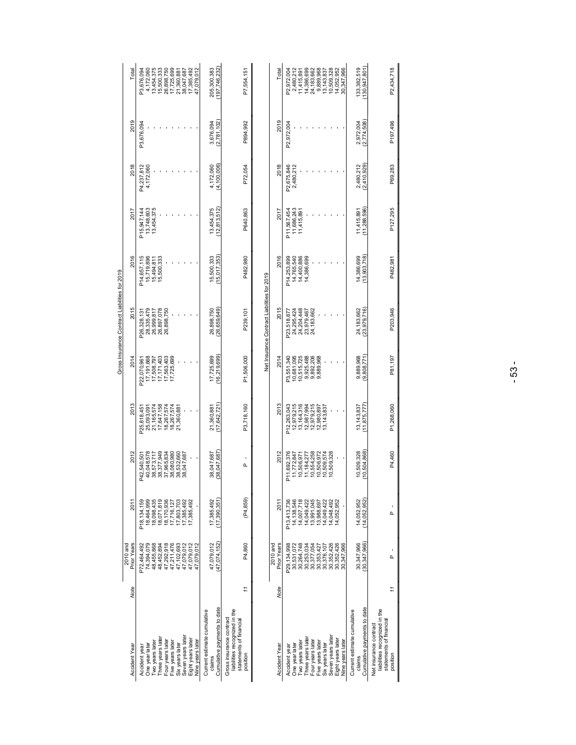|                                                                                                                                                                                                  |      |                                                                                                                                                                                                      |                                                                                                                       |                                                                                                                         |                                                                                                                                                                                                                                                                                                           |                                                                                                   | Gross Insurance Contract Liabilities for 2019                                                         |                                                                                                     |                                                                                                             |                                                      |                                                                   |                                                                                                                                                                                                                                                                                                                                                              |
|--------------------------------------------------------------------------------------------------------------------------------------------------------------------------------------------------|------|------------------------------------------------------------------------------------------------------------------------------------------------------------------------------------------------------|-----------------------------------------------------------------------------------------------------------------------|-------------------------------------------------------------------------------------------------------------------------|-----------------------------------------------------------------------------------------------------------------------------------------------------------------------------------------------------------------------------------------------------------------------------------------------------------|---------------------------------------------------------------------------------------------------|-------------------------------------------------------------------------------------------------------|-----------------------------------------------------------------------------------------------------|-------------------------------------------------------------------------------------------------------------|------------------------------------------------------|-------------------------------------------------------------------|--------------------------------------------------------------------------------------------------------------------------------------------------------------------------------------------------------------------------------------------------------------------------------------------------------------------------------------------------------------|
| Accident Year                                                                                                                                                                                    | Note | 2010 and<br>Prior Years                                                                                                                                                                              | 2011                                                                                                                  | 2012                                                                                                                    | 2013                                                                                                                                                                                                                                                                                                      | 2014                                                                                              | 2015                                                                                                  | 2016                                                                                                | 2017                                                                                                        | 2018                                                 | 2019                                                              | Total                                                                                                                                                                                                                                                                                                                                                        |
| Six years later<br>Seven years later<br>Eight years later<br>Three years later<br>Four years later<br>Five years later<br>Nine years later<br>Two years later<br>One year later<br>Accident year |      | P72,464,492<br>74,394,079<br>48,455,868<br>48,452,894<br>$\begin{array}{l} 47,292,918 \\ 47,211,476 \\ 47,711,476 \\ 47,102,693 \\ 47,102,693 \\ 47,079,012 \\ 47,079,012 \\ 47,079,012 \end{array}$ | PT8,134,159<br>18,464,999<br>18,098,435<br>18,071,818,205<br>17,385,492<br>17,385,492<br>17,385,492<br>P18,           | P42,540,501<br>40,048,578<br>38,573,717<br>38,377,948,832,660<br>38,532,660<br>38,532,660                               | P25,818,451<br>25,093,091<br>21,165,574<br>21,165,574<br>18,267,574<br>18,267,574<br>21,360,881                                                                                                                                                                                                           | 17,191,668<br>17,508,797<br>17,171,403<br>17,563,403<br>17,725,699<br>P22,070,961<br>$\mathbf{I}$ | P26,328,131<br>28,335,479<br>26,999,817<br>26,897,078<br>26,898,750<br>$\mathbf{r}$<br>$\blacksquare$ | P14,657,115<br>15,719,896<br>15,494,811<br>15,500,333<br>$\blacksquare$<br>$\blacksquare$<br>$\sim$ | P15,947,144<br>13,748,603<br>13,454,375<br>$\mathbf{r}$<br>$\mathbf{r}$<br>$\blacksquare$<br>$\blacksquare$ | P4,237,812<br>4,172,060<br><b>CONTRACTOR</b>         | P3,676,094<br>1.1.1.1<br>$\sim$<br>$\mathbf{I}$<br>$\overline{1}$ | $\begin{array}{l} \mathsf{P}3.676.094 \\ \mathsf{P}4.172.060 \\ \mathsf{4.173.375} \\ \mathsf{4.560.333} \\ \mathsf{F}3.600 \\ \mathsf{F}3.750 \\ \mathsf{F}3.333 \\ \mathsf{F}3.333 \\ \mathsf{F}3.333 \\ \mathsf{F}3.333 \\ \mathsf{F}3.333 \\ \mathsf{F}3.333 \\ \mathsf{F}3.333 \\ \mathsf{F}3.333 \\ \mathsf{F}3.333 \\ \mathsf{F}3.333 \\ \mathsf{F}3$ |
| Cumulative payments to date<br>Current estimate cumulative<br>claims                                                                                                                             |      | 47,079,012<br>(47,074,152)                                                                                                                                                                           | 17,385,492<br>(17,390,351)                                                                                            | 38,047,687<br>(38,047,687)                                                                                              | 21,360,881<br>(17,642,721)                                                                                                                                                                                                                                                                                | 17,725,699<br>(16,219,699)                                                                        | 26,898,750<br>(26,659,649)                                                                            | 15,500,333<br>(15,017,353)                                                                          | 13,454,375<br>(12,813,512)                                                                                  | 4,172,060<br>(4,100,006)                             | 3,676,094<br>(2,781,102)                                          | 205,300,383<br>(197,746,232)                                                                                                                                                                                                                                                                                                                                 |
| liabilities recognized in the<br>Gross insurance contract<br>statements of financial<br>position                                                                                                 | 77   | P4,860                                                                                                                                                                                               | (P4, 859)                                                                                                             | ٠<br>Δ.                                                                                                                 | P3,718,160                                                                                                                                                                                                                                                                                                | P1,506,000                                                                                        | P239,101                                                                                              | P482,980                                                                                            | P640,863                                                                                                    | P72,054                                              | P894,992                                                          | P7,554,151                                                                                                                                                                                                                                                                                                                                                   |
|                                                                                                                                                                                                  |      | 2010 and                                                                                                                                                                                             |                                                                                                                       |                                                                                                                         |                                                                                                                                                                                                                                                                                                           |                                                                                                   | Net Insurance Contract Liabilities for 2019                                                           |                                                                                                     | 2017                                                                                                        |                                                      |                                                                   |                                                                                                                                                                                                                                                                                                                                                              |
| Three years later<br>Four years later<br>Two years later<br>Accident year<br>One year later<br>Accident Year                                                                                     | Note | P29,134,998<br>Prior Years                                                                                                                                                                           | P13,413,736<br>14,138,546<br>14,007,718<br>2011                                                                       | P11,692,376<br>2012<br>11,772,847                                                                                       | 2013<br>$\begin{array}{l} \textbf{75.375} \\ \textbf{75.375} \\ \textbf{75.376} \\ \textbf{75.376} \\ \textbf{75.387} \\ \textbf{75.393} \\ \textbf{75.394} \\ \textbf{75.395} \\ \textbf{75.396} \\ \textbf{75.397} \\ \textbf{75.397} \\ \textbf{75.397} \\ \textbf{75.397} \end{array}$<br>P12,263,043 | P3,551,340<br>10,681,095<br>10,615,725<br>10,515,726<br>9,892,206<br>9,889,968<br>2014            | 2015<br>24,295,424<br>24,204,448<br>23,979,467<br>23,183,662<br>P23,518,877                           | P14,253,899<br>14,765,540<br>14,400,886<br>14,386,699<br>2016                                       | P11,567,454<br>11,686,243<br>11,415,891                                                                     | 2018<br>P2,675,846<br>2,480,212<br><b>ALC UNITED</b> | 2019<br>P <sub>2</sub> ,972,004<br>1.1.1<br>٠                     | 2,480,212<br>11,415,891<br>14,386,699<br>24,183,662<br>P2,972,004<br>Total                                                                                                                                                                                                                                                                                   |
| Seven years later<br>Eight years later<br>Five years later<br>Nine years later<br>Six years later                                                                                                |      |                                                                                                                                                                                                      | $11.322$<br>$14.333$<br>$15.342$<br>$15.391,0491,022$<br>$15.398,0422$<br>$14.398,04942$<br>$14.3952$<br>$14.052,052$ | $\begin{array}{l} 10,506,971\\ 11,184,277\\ 10,554,258\\ 10,506,972\\ 10,509,574\\ 10,509,574\\ 10,509,328 \end{array}$ |                                                                                                                                                                                                                                                                                                           | $\mathbf{r}$                                                                                      | $\mathbf{r} = \mathbf{r}$                                                                             | $\mathbf{r}$<br>$\mathcal{A}=\mathcal{A}$                                                           | $\blacksquare$<br>$\mathbf{r}$<br>$\mathbf{r}=\mathbf{r}$                                                   | <b>CONTRACTOR</b>                                    | $\mathbf{L}$<br>$\sim 10-10$                                      | 9,889,968<br>13,143,837<br>10,509,328<br>14,052,952<br>30,347,966                                                                                                                                                                                                                                                                                            |
| Cumulative payments to date<br>Current estimate cumulative<br>daims                                                                                                                              |      | 30,347,966<br>(30,347,966)                                                                                                                                                                           | (14, 052, 952)<br>14,052,952                                                                                          | 10,509,328<br>(10,504,868)                                                                                              | $13,143,837$<br>(11,875,777)                                                                                                                                                                                                                                                                              | 9,889,968<br>(9,808,771)                                                                          | 24,183,662<br>(23,979,716)                                                                            | 14,386,699<br>(13,903,718)                                                                          | 11,415,891<br>(11,288,596)                                                                                  | 2,480,212<br>(2,410,929)                             | 2,972,004<br>(2,774,508)                                          | 133,382,519<br>(130,947,801)                                                                                                                                                                                                                                                                                                                                 |
| liabilities recognized in the<br>statements of financial<br>Net insurance contract<br>position                                                                                                   | 11   | ٠<br>$\mathbf{r}$                                                                                                                                                                                    | ٠<br>$\mathbf{r}$                                                                                                     | P4,460                                                                                                                  | P1,268,060                                                                                                                                                                                                                                                                                                | P81,197                                                                                           | P203,946                                                                                              | P482,981                                                                                            | P127,295                                                                                                    | P69,283                                              | P197,496                                                          | P2,434,718                                                                                                                                                                                                                                                                                                                                                   |
|                                                                                                                                                                                                  |      |                                                                                                                                                                                                      |                                                                                                                       |                                                                                                                         |                                                                                                                                                                                                                                                                                                           |                                                                                                   |                                                                                                       |                                                                                                     |                                                                                                             |                                                      |                                                                   |                                                                                                                                                                                                                                                                                                                                                              |
|                                                                                                                                                                                                  |      |                                                                                                                                                                                                      |                                                                                                                       |                                                                                                                         |                                                                                                                                                                                                                                                                                                           | 53<br>$\mathbf I$                                                                                 |                                                                                                       |                                                                                                     |                                                                                                             |                                                      |                                                                   |                                                                                                                                                                                                                                                                                                                                                              |
|                                                                                                                                                                                                  |      |                                                                                                                                                                                                      |                                                                                                                       |                                                                                                                         |                                                                                                                                                                                                                                                                                                           |                                                                                                   |                                                                                                       |                                                                                                     |                                                                                                             |                                                      |                                                                   |                                                                                                                                                                                                                                                                                                                                                              |
|                                                                                                                                                                                                  |      |                                                                                                                                                                                                      |                                                                                                                       |                                                                                                                         |                                                                                                                                                                                                                                                                                                           |                                                                                                   |                                                                                                       |                                                                                                     |                                                                                                             |                                                      |                                                                   |                                                                                                                                                                                                                                                                                                                                                              |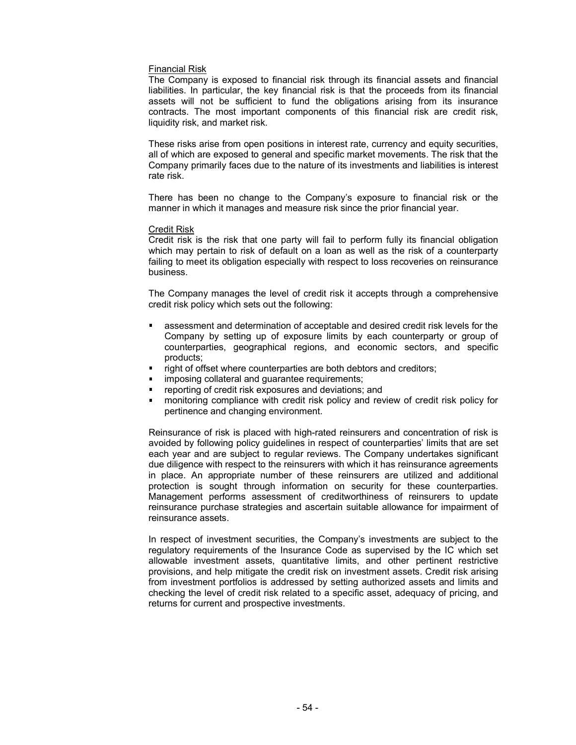## Financial Risk

The Company is exposed to financial risk through its financial assets and financial liabilities. In particular, the key financial risk is that the proceeds from its financial assets will not be sufficient to fund the obligations arising from its insurance contracts. The most important components of this financial risk are credit risk, liquidity risk, and market risk.

These risks arise from open positions in interest rate, currency and equity securities, all of which are exposed to general and specific market movements. The risk that the Company primarily faces due to the nature of its investments and liabilities is interest rate risk.

There has been no change to the Company's exposure to financial risk or the manner in which it manages and measure risk since the prior financial year.

### Credit Risk

Credit risk is the risk that one party will fail to perform fully its financial obligation which may pertain to risk of default on a loan as well as the risk of a counterparty failing to meet its obligation especially with respect to loss recoveries on reinsurance business.

The Company manages the level of credit risk it accepts through a comprehensive credit risk policy which sets out the following:

- assessment and determination of acceptable and desired credit risk levels for the Company by setting up of exposure limits by each counterparty or group of counterparties, geographical regions, and economic sectors, and specific products;
- **F** right of offset where counterparties are both debtors and creditors;
- **imposing collateral and guarantee requirements;**
- **Fig. 2** reporting of credit risk exposures and deviations; and
- monitoring compliance with credit risk policy and review of credit risk policy for pertinence and changing environment.

Reinsurance of risk is placed with high-rated reinsurers and concentration of risk is avoided by following policy guidelines in respect of counterparties' limits that are set each year and are subject to regular reviews. The Company undertakes significant due diligence with respect to the reinsurers with which it has reinsurance agreements in place. An appropriate number of these reinsurers are utilized and additional protection is sought through information on security for these counterparties. Management performs assessment of creditworthiness of reinsurers to update reinsurance purchase strategies and ascertain suitable allowance for impairment of reinsurance assets.

In respect of investment securities, the Company's investments are subject to the regulatory requirements of the Insurance Code as supervised by the IC which set allowable investment assets, quantitative limits, and other pertinent restrictive provisions, and help mitigate the credit risk on investment assets. Credit risk arising from investment portfolios is addressed by setting authorized assets and limits and checking the level of credit risk related to a specific asset, adequacy of pricing, and returns for current and prospective investments.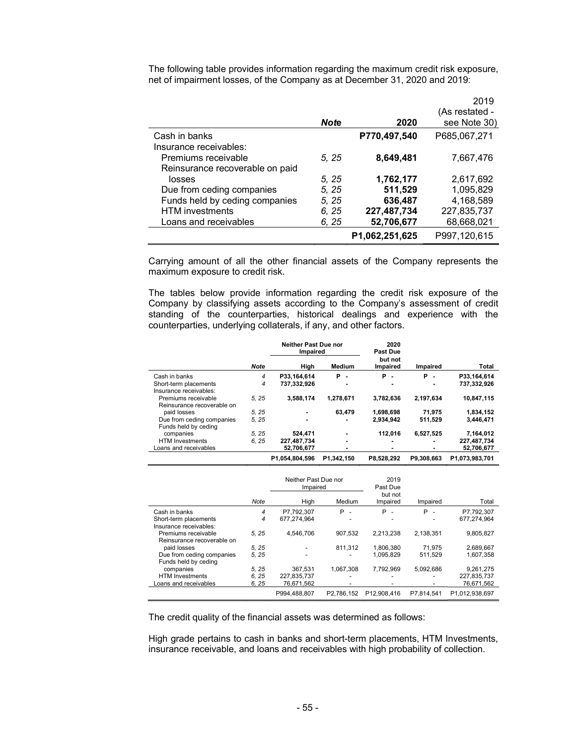The following table provides information regarding the maximum credit risk exposure, net of impairment losses, of the Company as at December 31, 2020 and 2019:

|                                 |             |                | 2019<br>(As restated - |
|---------------------------------|-------------|----------------|------------------------|
|                                 | <b>Note</b> | 2020           | see Note 30)           |
| Cash in banks                   |             | P770,497,540   | P685,067,271           |
| Insurance receivables:          |             |                |                        |
| Premiums receivable             | 5, 25       | 8,649,481      | 7,667,476              |
| Reinsurance recoverable on paid |             |                |                        |
| losses                          | 5, 25       | 1,762,177      | 2,617,692              |
| Due from ceding companies       | 5, 25       | 511,529        | 1,095,829              |
| Funds held by ceding companies  | 5, 25       | 636,487        | 4,168,589              |
| <b>HTM</b> investments          | 6, 25       | 227,487,734    | 227,835,737            |
| Loans and receivables           | 6, 25       | 52,706,677     | 68,668,021             |
|                                 |             | P1,062,251,625 | P997,120,615           |

Carrying amount of all the other financial assets of the Company represents the maximum exposure to credit risk.

The tables below provide information regarding the credit risk exposure of the Company by classifying assets according to the Company's assessment of credit standing of the counterparties, historical dealings and experience with the counterparties, underlying collaterals, if any, and other factors.

|                                                   |             | <b>Neither Past Due nor</b><br><b>Impaired</b> |                     | 2020<br>Past Due    |                               |                |
|---------------------------------------------------|-------------|------------------------------------------------|---------------------|---------------------|-------------------------------|----------------|
|                                                   | <b>Note</b> | High                                           | Medium              | but not<br>Impaired | Impaired                      | Total          |
| Cash in banks                                     | 4           | P33.164.614                                    | P<br>$\blacksquare$ | P<br>٠.             | P<br>$\overline{\phantom{a}}$ | P33.164.614    |
| Short-term placements<br>Insurance receivables:   | 4           | 737.332.926                                    |                     |                     |                               | 737,332,926    |
| Premiums receivable<br>Reinsurance recoverable on | 5.25        | 3.588.174                                      | 1.278.671           | 3.782.636           | 2.197.634                     | 10,847,115     |
| paid losses                                       | 5, 25       |                                                | 63.479              | 1,698,698           | 71.975                        | 1,834,152      |
| Due from ceding companies<br>Funds held by ceding | 5, 25       | ۰                                              | ۰                   | 2.934.942           | 511,529                       | 3,446,471      |
| companies                                         | 5, 25       | 524.471                                        |                     | 112.016             | 6.527.525                     | 7,164,012      |
| <b>HTM</b> Investments                            | 6.25        | 227.487.734                                    | ۰                   |                     |                               | 227.487.734    |
| Loans and receivables                             |             | 52,706,677                                     | ٠                   |                     |                               | 52,706,677     |
|                                                   |             | P1.054.804.596                                 | P1.342.150          | P8.528.292          | P9.308.663                    | P1,073,983,701 |

|                                                   |       | Neither Past Due nor<br>Impaired |                               | 2019<br>Past Due              |                               |                |
|---------------------------------------------------|-------|----------------------------------|-------------------------------|-------------------------------|-------------------------------|----------------|
|                                                   | Note  | High                             | Medium                        | but not<br>Impaired           | Impaired                      | Total          |
| Cash in banks                                     | 4     | P7,792,307                       | P<br>$\overline{\phantom{a}}$ | P<br>$\overline{\phantom{a}}$ | P<br>$\overline{\phantom{a}}$ | P7,792,307     |
| Short-term placements<br>Insurance receivables:   | 4     | 677.274.964                      |                               |                               |                               | 677.274.964    |
| Premiums receivable<br>Reinsurance recoverable on | 5.25  | 4.546.706                        | 907.532                       | 2.213.238                     | 2.138.351                     | 9.805.827      |
| paid losses                                       | 5, 25 |                                  | 811,312                       | 1,806,380                     | 71.975                        | 2,689,667      |
| Due from ceding companies<br>Funds held by ceding | 5, 25 |                                  |                               | 1.095.829                     | 511.529                       | 1.607.358      |
| companies                                         | 5, 25 | 367.531                          | 1.067.308                     | 7.792.969                     | 5.092.686                     | 9.261.275      |
| <b>HTM</b> Investments                            | 6.25  | 227,835,737                      |                               |                               |                               | 227,835,737    |
| Loans and receivables                             | 6, 25 | 76.671.562                       |                               |                               |                               | 76,671,562     |
|                                                   |       | P994.488.807                     | P2.786.152                    | P12.908.416                   | P7.814.541                    | P1.012.938.697 |

The credit quality of the financial assets was determined as follows:

High grade pertains to cash in banks and short-term placements, HTM Investments, insurance receivable, and loans and receivables with high probability of collection.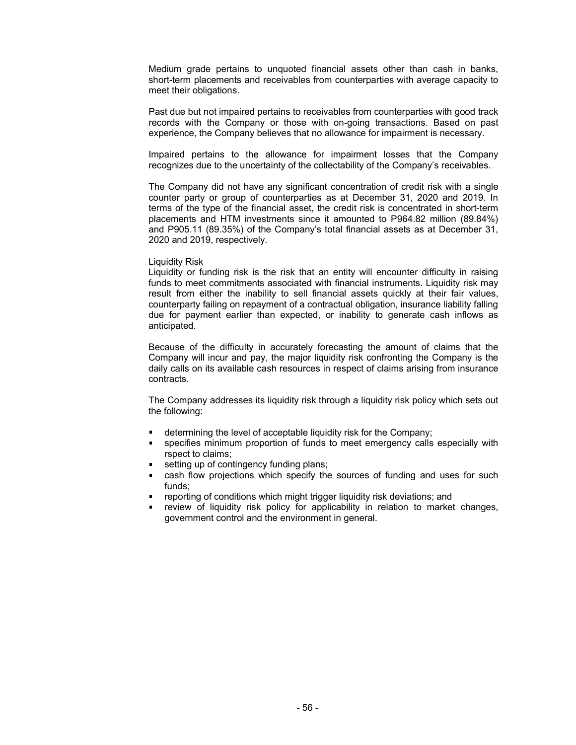Medium grade pertains to unquoted financial assets other than cash in banks, short-term placements and receivables from counterparties with average capacity to meet their obligations.

Past due but not impaired pertains to receivables from counterparties with good track records with the Company or those with on-going transactions. Based on past experience, the Company believes that no allowance for impairment is necessary.

Impaired pertains to the allowance for impairment losses that the Company recognizes due to the uncertainty of the collectability of the Company's receivables.

The Company did not have any significant concentration of credit risk with a single counter party or group of counterparties as at December 31, 2020 and 2019. In terms of the type of the financial asset, the credit risk is concentrated in short-term placements and HTM investments since it amounted to P964.82 million (89.84%) and P905.11 (89.35%) of the Company's total financial assets as at December 31, 2020 and 2019, respectively.

#### Liquidity Risk

Liquidity or funding risk is the risk that an entity will encounter difficulty in raising funds to meet commitments associated with financial instruments. Liquidity risk may result from either the inability to sell financial assets quickly at their fair values, counterparty failing on repayment of a contractual obligation, insurance liability falling due for payment earlier than expected, or inability to generate cash inflows as anticipated.

Because of the difficulty in accurately forecasting the amount of claims that the Company will incur and pay, the major liquidity risk confronting the Company is the daily calls on its available cash resources in respect of claims arising from insurance contracts.

The Company addresses its liquidity risk through a liquidity risk policy which sets out the following:

- determining the level of acceptable liquidity risk for the Company;
- **s** specifies minimum proportion of funds to meet emergency calls especially with rspect to claims;
- setting up of contingency funding plans;
- cash flow projections which specify the sources of funding and uses for such funds;
- **Figure 2** reporting of conditions which might trigger liquidity risk deviations; and
- **Fackler** review of liquidity risk policy for applicability in relation to market changes, government control and the environment in general.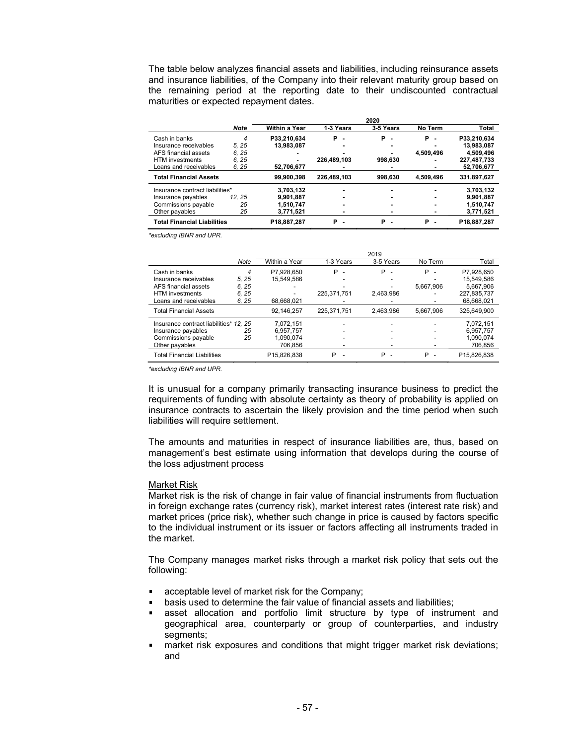The table below analyzes financial assets and liabilities, including reinsurance assets and insurance liabilities, of the Company into their relevant maturity group based on the remaining period at the reporting date to their undiscounted contractual maturities or expected repayment dates.

|                                    |             |               |                               | 2020      |                               |             |
|------------------------------------|-------------|---------------|-------------------------------|-----------|-------------------------------|-------------|
|                                    | <b>Note</b> | Within a Year | 1-3 Years                     | 3-5 Years | No Term                       | Total       |
| Cash in banks                      | 4           | P33.210.634   | P<br>$\overline{\phantom{a}}$ | P         | P<br>$\overline{\phantom{a}}$ | P33.210.634 |
| Insurance receivables              | 5.25        | 13,983,087    |                               |           |                               | 13.983.087  |
| AFS financial assets               | 6, 25       |               |                               |           | 4,509,496                     | 4.509.496   |
| <b>HTM</b> investments             | 6, 25       |               | 226,489,103                   | 998.630   |                               | 227,487,733 |
| Loans and receivables              | 6.25        | 52,706,677    |                               |           |                               | 52,706,677  |
| <b>Total Financial Assets</b>      |             | 99.900.398    | 226.489.103                   | 998.630   | 4.509.496                     | 331.897.627 |
| Insurance contract liabilities*    |             | 3.703.132     |                               |           |                               | 3.703.132   |
| Insurance payables                 | 12.25       | 9.901.887     |                               |           |                               | 9,901,887   |
| Commissions payable                | 25          | 1.510.747     |                               |           |                               | 1.510.747   |
| Other pavables                     | 25          | 3.771.521     |                               |           |                               | 3,771,521   |
| <b>Total Financial Liabilities</b> |             | P18.887.287   | P<br>$\overline{\phantom{a}}$ | P         | P                             | P18.887.287 |

\*excluding IBNR and UPR.

|                                        |      |               |             | 2019      |            |             |
|----------------------------------------|------|---------------|-------------|-----------|------------|-------------|
|                                        | Note | Within a Year | 1-3 Years   | 3-5 Years | No Term    | Total       |
| Cash in banks                          | 4    | P7.928.650    | P           | P         | <b>P</b> - | P7.928.650  |
| Insurance receivables                  | 5.25 | 15.549.586    |             |           |            | 15.549.586  |
| AFS financial assets                   | 6.25 |               |             |           | 5.667.906  | 5.667.906   |
| <b>HTM</b> investments                 | 6.25 |               | 225.371.751 | 2.463.986 |            | 227.835.737 |
| Loans and receivables                  | 6.25 | 68.668.021    |             |           |            | 68.668.021  |
| <b>Total Financial Assets</b>          |      | 92.146.257    | 225.371.751 | 2.463.986 | 5.667.906  | 325.649.900 |
| Insurance contract liabilities* 12, 25 |      | 7.072.151     |             |           |            | 7.072.151   |
| Insurance payables                     | 25   | 6.957.757     |             |           |            | 6.957.757   |
| Commissions payable                    | 25   | 1.090.074     |             |           |            | 1.090.074   |
| Other payables                         |      | 706.856       |             |           |            | 706,856     |
| <b>Total Financial Liabilities</b>     |      | P15.826.838   | P           | P         | P          | P15.826.838 |

\*excluding IBNR and UPR.

It is unusual for a company primarily transacting insurance business to predict the requirements of funding with absolute certainty as theory of probability is applied on insurance contracts to ascertain the likely provision and the time period when such liabilities will require settlement.

The amounts and maturities in respect of insurance liabilities are, thus, based on management's best estimate using information that develops during the course of the loss adjustment process

#### Market Risk

Market risk is the risk of change in fair value of financial instruments from fluctuation in foreign exchange rates (currency risk), market interest rates (interest rate risk) and market prices (price risk), whether such change in price is caused by factors specific to the individual instrument or its issuer or factors affecting all instruments traded in the market.

The Company manages market risks through a market risk policy that sets out the following:

- **acceptable level of market risk for the Company;**
- **basis used to determine the fair value of financial assets and liabilities;**
- asset allocation and portfolio limit structure by type of instrument and geographical area, counterparty or group of counterparties, and industry segments;
- **EXECT** market risk exposures and conditions that might trigger market risk deviations; and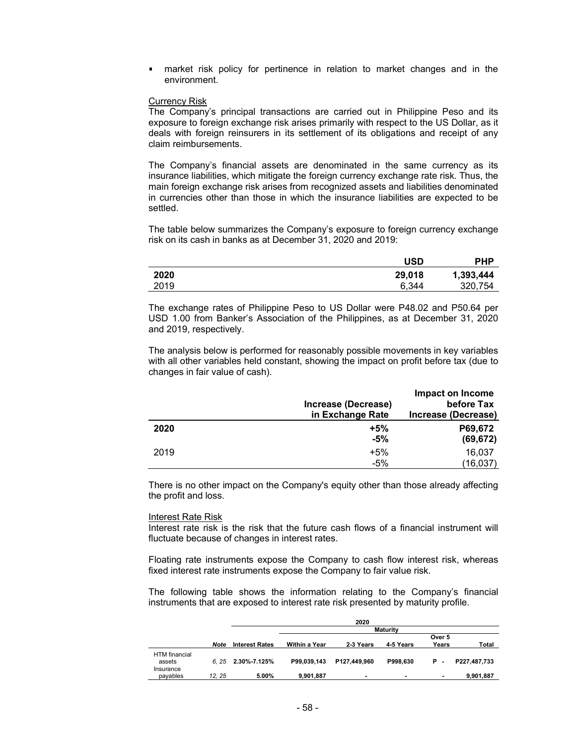market risk policy for pertinence in relation to market changes and in the environment.

#### Currency Risk

The Company's principal transactions are carried out in Philippine Peso and its exposure to foreign exchange risk arises primarily with respect to the US Dollar, as it deals with foreign reinsurers in its settlement of its obligations and receipt of any claim reimbursements.

The Company's financial assets are denominated in the same currency as its insurance liabilities, which mitigate the foreign currency exchange rate risk. Thus, the main foreign exchange risk arises from recognized assets and liabilities denominated in currencies other than those in which the insurance liabilities are expected to be settled.

The table below summarizes the Company's exposure to foreign currency exchange risk on its cash in banks as at December 31, 2020 and 2019:

|      | USD    | PHP       |
|------|--------|-----------|
| 2020 | 29,018 | 1,393,444 |
| 2019 | 6.344  | 320,754   |

The exchange rates of Philippine Peso to US Dollar were P48.02 and P50.64 per USD 1.00 from Banker's Association of the Philippines, as at December 31, 2020 and 2019, respectively.

The analysis below is performed for reasonably possible movements in key variables with all other variables held constant, showing the impact on profit before tax (due to changes in fair value of cash).

|      | Increase (Decrease)<br>in Exchange Rate | Impact on Income<br>before Tax<br>Increase (Decrease) |
|------|-----------------------------------------|-------------------------------------------------------|
| 2020 | $+5%$                                   | P69,672                                               |
|      | $-5%$                                   | (69, 672)                                             |
| 2019 | $+5%$                                   | 16,037                                                |
|      | $-5%$                                   | (16,037)                                              |

There is no other impact on the Company's equity other than those already affecting the profit and loss.

## Interest Rate Risk

Interest rate risk is the risk that the future cash flows of a financial instrument will fluctuate because of changes in interest rates.

Floating rate instruments expose the Company to cash flow interest risk, whereas fixed interest rate instruments expose the Company to fair value risk.

The following table shows the information relating to the Company's financial instruments that are exposed to interest rate risk presented by maturity profile.

|                                             |       |                       | 2020                 |              |                          |                 |              |  |
|---------------------------------------------|-------|-----------------------|----------------------|--------------|--------------------------|-----------------|--------------|--|
|                                             |       |                       | <b>Maturity</b>      |              |                          |                 |              |  |
|                                             | Note  | <b>Interest Rates</b> | <b>Within a Year</b> | 2-3 Years    | 4-5 Years                | Over 5<br>Years | Total        |  |
| <b>HTM</b> financial<br>assets<br>Insurance |       | $6, 25$ 2.30%-7.125%  | P99.039.143          | P127.449.960 | P998.630                 | <b>P</b> -      | P227.487.733 |  |
| payables                                    | 12.25 | 5.00%                 | 9,901,887            | ۰            | $\overline{\phantom{a}}$ |                 | 9,901,887    |  |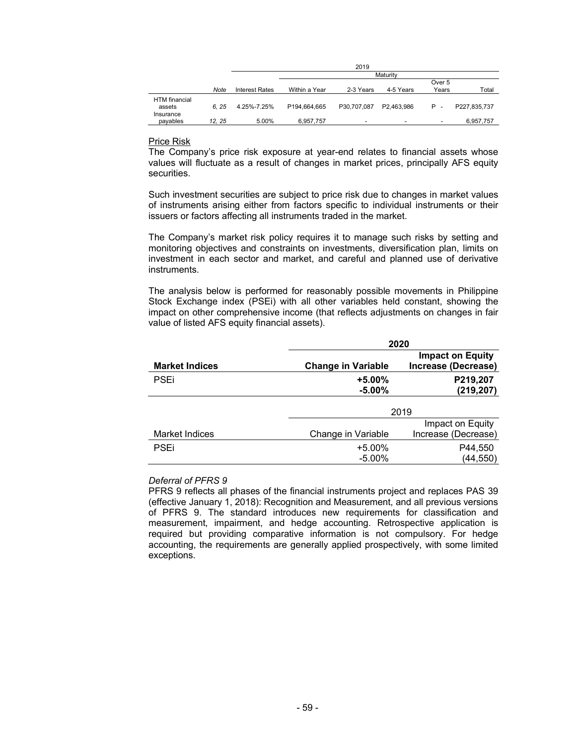|                                             |       |                       | 2019          |                          |                          |                          |              |  |  |
|---------------------------------------------|-------|-----------------------|---------------|--------------------------|--------------------------|--------------------------|--------------|--|--|
|                                             |       |                       | Maturity      |                          |                          |                          |              |  |  |
|                                             | Note  | <b>Interest Rates</b> | Within a Year | 2-3 Years                | 4-5 Years                | Over 5<br>Years          | Total        |  |  |
| <b>HTM</b> financial<br>assets<br>Insurance | 6.25  | 4.25%-7.25%           | P194.664.665  | P30.707.087              | P2.463.986               | P -                      | P227.835.737 |  |  |
| payables                                    | 12.25 | 5.00%                 | 6,957,757     | $\overline{\phantom{a}}$ | $\overline{\phantom{0}}$ | $\overline{\phantom{a}}$ | 6,957,757    |  |  |

## Price Risk

The Company's price risk exposure at year-end relates to financial assets whose values will fluctuate as a result of changes in market prices, principally AFS equity securities.

Such investment securities are subject to price risk due to changes in market values of instruments arising either from factors specific to individual instruments or their issuers or factors affecting all instruments traded in the market.

The Company's market risk policy requires it to manage such risks by setting and monitoring objectives and constraints on investments, diversification plan, limits on investment in each sector and market, and careful and planned use of derivative instruments.

The analysis below is performed for reasonably possible movements in Philippine Stock Exchange index (PSEi) with all other variables held constant, showing the impact on other comprehensive income (that reflects adjustments on changes in fair value of listed AFS equity financial assets).

| 2020                      |                                                |  |  |  |
|---------------------------|------------------------------------------------|--|--|--|
| <b>Change in Variable</b> | <b>Impact on Equity</b><br>Increase (Decrease) |  |  |  |
| $+5.00\%$<br>$-5.00%$     | P219,207<br>(219, 207)                         |  |  |  |
| 2019                      |                                                |  |  |  |
|                           | Impact on Equity                               |  |  |  |
| Change in Variable        | Increase (Decrease)                            |  |  |  |
| $+5.00\%$                 | P44,550                                        |  |  |  |
| $-5.00%$                  | (44,550)                                       |  |  |  |
|                           |                                                |  |  |  |

## Deferral of PFRS 9

PFRS 9 reflects all phases of the financial instruments project and replaces PAS 39 (effective January 1, 2018): Recognition and Measurement, and all previous versions of PFRS 9. The standard introduces new requirements for classification and measurement, impairment, and hedge accounting. Retrospective application is required but providing comparative information is not compulsory. For hedge accounting, the requirements are generally applied prospectively, with some limited exceptions.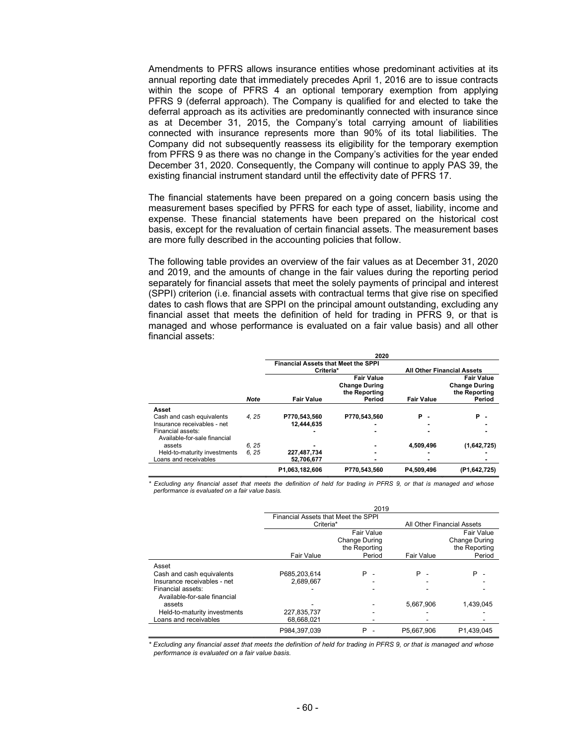Amendments to PFRS allows insurance entities whose predominant activities at its annual reporting date that immediately precedes April 1, 2016 are to issue contracts within the scope of PFRS 4 an optional temporary exemption from applying PFRS 9 (deferral approach). The Company is qualified for and elected to take the deferral approach as its activities are predominantly connected with insurance since as at December 31, 2015, the Company's total carrying amount of liabilities connected with insurance represents more than 90% of its total liabilities. The Company did not subsequently reassess its eligibility for the temporary exemption from PFRS 9 as there was no change in the Company's activities for the year ended December 31, 2020. Consequently, the Company will continue to apply PAS 39, the existing financial instrument standard until the effectivity date of PFRS 17.

The financial statements have been prepared on a going concern basis using the measurement bases specified by PFRS for each type of asset, liability, income and expense. These financial statements have been prepared on the historical cost basis, except for the revaluation of certain financial assets. The measurement bases are more fully described in the accounting policies that follow.

The following table provides an overview of the fair values as at December 31, 2020 and 2019, and the amounts of change in the fair values during the reporting period separately for financial assets that meet the solely payments of principal and interest (SPPI) criterion (i.e. financial assets with contractual terms that give rise on specified dates to cash flows that are SPPI on the principal amount outstanding, excluding any financial asset that meets the definition of held for trading in PFRS 9, or that is managed and whose performance is evaluated on a fair value basis) and all other financial assets:

|                              |             |                                            | 2020                                  |                   |                                       |
|------------------------------|-------------|--------------------------------------------|---------------------------------------|-------------------|---------------------------------------|
|                              |             | <b>Financial Assets that Meet the SPPI</b> |                                       |                   |                                       |
|                              |             | Criteria*                                  |                                       |                   | <b>All Other Financial Assets</b>     |
|                              |             |                                            | <b>Fair Value</b>                     |                   | <b>Fair Value</b>                     |
|                              |             |                                            | <b>Change During</b><br>the Reporting |                   | <b>Change During</b><br>the Reporting |
|                              | <b>Note</b> | <b>Fair Value</b>                          | Period                                | <b>Fair Value</b> | Period                                |
| Asset                        |             |                                            |                                       |                   |                                       |
| Cash and cash equivalents    | 4.25        | P770,543,560                               | P770.543.560                          | <b>P</b> -        | <b>P</b> -                            |
| Insurance receivables - net  |             | 12.444.635                                 | ٠                                     |                   |                                       |
| Financial assets:            |             |                                            | ٠                                     |                   |                                       |
| Available-for-sale financial |             |                                            |                                       |                   |                                       |
| assets                       | 6.25        |                                            |                                       | 4,509,496         | (1,642,725)                           |
| Held-to-maturity investments | 6.25        | 227,487,734                                | ۰                                     |                   |                                       |
| Loans and receivables        |             | 52,706,677                                 |                                       |                   |                                       |
|                              |             | P1.063.182.606                             | P770.543.560                          | P4.509.496        | (P1,642,725)                          |

\* Excluding any financial asset that meets the definition of held for trading in PFRS 9, or that is managed and whose performance is evaluated on a fair value basis.

|                              | 2019                                    |                      |                   |               |  |
|------------------------------|-----------------------------------------|----------------------|-------------------|---------------|--|
|                              | Financial Assets that Meet the SPPI     |                      |                   |               |  |
|                              | All Other Financial Assets<br>Criteria* |                      |                   |               |  |
|                              |                                         | Fair Value           |                   | Fair Value    |  |
|                              |                                         | <b>Change During</b> |                   | Change During |  |
|                              |                                         | the Reporting        |                   | the Reporting |  |
|                              | <b>Fair Value</b>                       | Period               | <b>Fair Value</b> | Period        |  |
| Asset                        |                                         |                      |                   |               |  |
| Cash and cash equivalents    | P685,203,614                            | P                    | P                 | P             |  |
| Insurance receivables - net  | 2.689.667                               |                      |                   |               |  |
| Financial assets:            |                                         |                      |                   |               |  |
| Available-for-sale financial |                                         |                      |                   |               |  |
| assets                       |                                         |                      | 5,667,906         | 1,439,045     |  |
| Held-to-maturity investments | 227,835,737                             |                      |                   |               |  |
| Loans and receivables        | 68.668.021                              |                      |                   |               |  |
|                              | P984.397.039                            | P                    | P5.667.906        | P1.439.045    |  |

\* Excluding any financial asset that meets the definition of held for trading in PFRS 9, or that is managed and whose performance is evaluated on a fair value basis.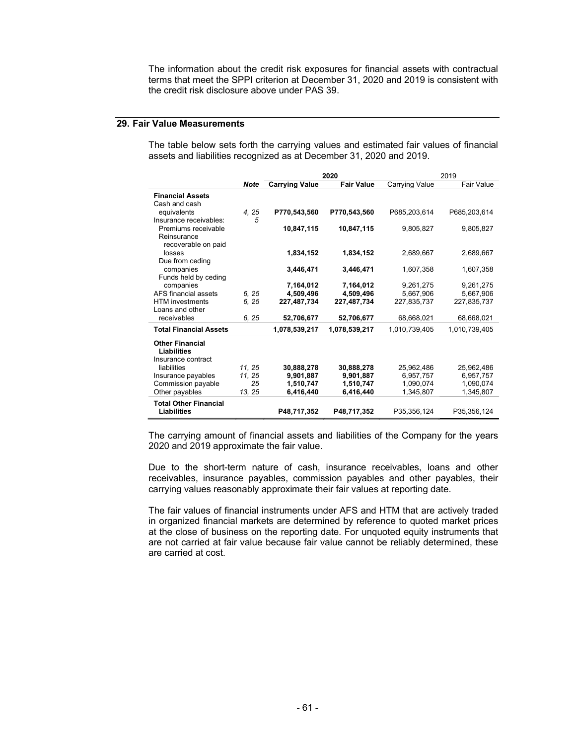The information about the credit risk exposures for financial assets with contractual terms that meet the SPPI criterion at December 31, 2020 and 2019 is consistent with the credit risk disclosure above under PAS 39.

# 29. Fair Value Measurements

The table below sets forth the carrying values and estimated fair values of financial assets and liabilities recognized as at December 31, 2020 and 2019.

|                                                                    |             |                       | 2020              | 2019                  |               |
|--------------------------------------------------------------------|-------------|-----------------------|-------------------|-----------------------|---------------|
|                                                                    | <b>Note</b> | <b>Carrying Value</b> | <b>Fair Value</b> | <b>Carrying Value</b> | Fair Value    |
| <b>Financial Assets</b><br>Cash and cash                           |             |                       |                   |                       |               |
| equivalents<br>Insurance receivables:                              | 4, 25<br>5  | P770,543,560          | P770,543,560      | P685,203,614          | P685,203,614  |
| Premiums receivable<br>Reinsurance<br>recoverable on paid          |             | 10.847.115            | 10.847.115        | 9.805.827             | 9.805.827     |
| losses<br>Due from ceding                                          |             | 1,834,152             | 1,834,152         | 2,689,667             | 2,689,667     |
| companies<br>Funds held by ceding                                  |             | 3.446.471             | 3,446,471         | 1,607,358             | 1,607,358     |
| companies                                                          |             | 7,164,012             | 7,164,012         | 9,261,275             | 9,261,275     |
| AFS financial assets                                               | 6, 25       | 4,509,496             | 4,509,496         | 5,667,906             | 5,667,906     |
| <b>HTM</b> investments<br>Loans and other                          | 6, 25       | 227,487,734           | 227,487,734       | 227,835,737           | 227,835,737   |
| receivables                                                        | 6.25        | 52,706,677            | 52,706,677        | 68.668.021            | 68,668,021    |
| <b>Total Financial Assets</b>                                      |             | 1,078,539,217         | 1,078,539,217     | 1,010,739,405         | 1,010,739,405 |
| <b>Other Financial</b><br><b>Liabilities</b><br>Insurance contract |             |                       |                   |                       |               |
| liabilities                                                        | 11, 25      | 30,888,278            | 30,888,278        | 25,962,486            | 25,962,486    |
| Insurance payables                                                 | 11, 25      | 9.901.887             | 9.901.887         | 6.957.757             | 6.957.757     |
| Commission payable                                                 | 25          | 1,510,747             | 1,510,747         | 1.090.074             | 1.090.074     |
| Other payables                                                     | 13, 25      | 6,416,440             | 6,416,440         | 1,345,807             | 1,345,807     |
| <b>Total Other Financial</b><br>Liabilities                        |             | P48,717,352           | P48.717.352       | P35.356.124           | P35.356.124   |

The carrying amount of financial assets and liabilities of the Company for the years 2020 and 2019 approximate the fair value.

Due to the short-term nature of cash, insurance receivables, loans and other receivables, insurance payables, commission payables and other payables, their carrying values reasonably approximate their fair values at reporting date.

The fair values of financial instruments under AFS and HTM that are actively traded in organized financial markets are determined by reference to quoted market prices at the close of business on the reporting date. For unquoted equity instruments that are not carried at fair value because fair value cannot be reliably determined, these are carried at cost.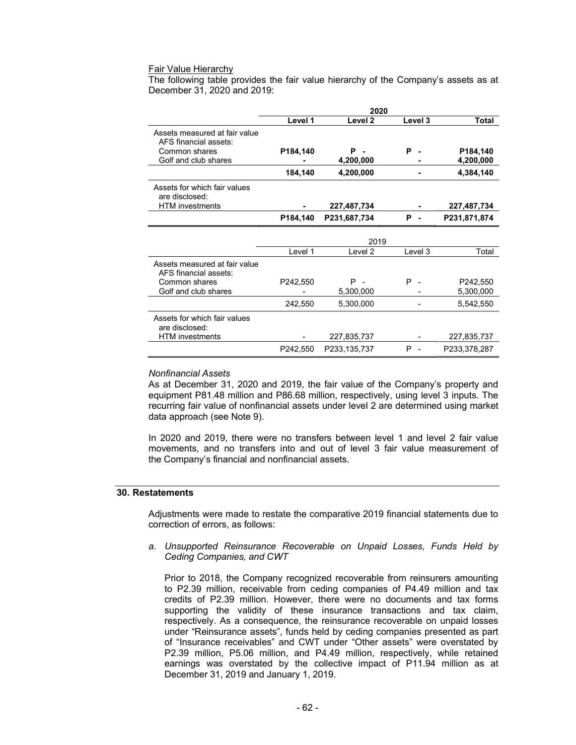#### Fair Value Hierarchy

The following table provides the fair value hierarchy of the Company's assets as at December 31, 2020 and 2019:

|                                                        |          | 2020               |         |              |
|--------------------------------------------------------|----------|--------------------|---------|--------------|
|                                                        | Level 1  | Level <sub>2</sub> | Level 3 | Total        |
| Assets measured at fair value<br>AFS financial assets: |          |                    |         |              |
| Common shares                                          | P184,140 | P                  | P       | P184,140     |
| Golf and club shares                                   |          | 4,200,000          |         | 4,200,000    |
|                                                        | 184,140  | 4,200,000          |         | 4,384,140    |
| Assets for which fair values<br>are disclosed:         |          |                    |         |              |
| <b>HTM</b> investments                                 |          | 227,487,734        |         | 227,487,734  |
|                                                        | P184,140 | P231,687,734       | Р.      | P231,871,874 |
|                                                        |          | 2019               |         |              |
|                                                        | Level 1  | Level <sub>2</sub> | Level 3 | Total        |
| Assets measured at fair value<br>AFS financial assets: |          |                    |         |              |
| Common shares                                          | P242,550 | P                  | P       | P242,550     |
| Golf and club shares                                   |          | 5,300,000          |         | 5,300,000    |
|                                                        | 242,550  | 5,300,000          |         | 5,542,550    |
| Assets for which fair values<br>are disclosed:         |          |                    |         |              |
| <b>HTM</b> investments                                 |          | 227,835,737        |         | 227,835,737  |
|                                                        | P242,550 | P233,135,737       | P       | P233,378,287 |

### Nonfinancial Assets

As at December 31, 2020 and 2019, the fair value of the Company's property and equipment P81.48 million and P86.68 million, respectively, using level 3 inputs. The recurring fair value of nonfinancial assets under level 2 are determined using market data approach (see Note 9).

In 2020 and 2019, there were no transfers between level 1 and level 2 fair value movements, and no transfers into and out of level 3 fair value measurement of the Company's financial and nonfinancial assets.

### 30. Restatements

Adjustments were made to restate the comparative 2019 financial statements due to correction of errors, as follows:

a. Unsupported Reinsurance Recoverable on Unpaid Losses, Funds Held by Ceding Companies, and CWT

Prior to 2018, the Company recognized recoverable from reinsurers amounting to P2.39 million, receivable from ceding companies of P4.49 million and tax credits of P2.39 million. However, there were no documents and tax forms supporting the validity of these insurance transactions and tax claim, respectively. As a consequence, the reinsurance recoverable on unpaid losses under "Reinsurance assets", funds held by ceding companies presented as part of "Insurance receivables" and CWT under "Other assets" were overstated by P2.39 million, P5.06 million, and P4.49 million, respectively, while retained earnings was overstated by the collective impact of P11.94 million as at December 31, 2019 and January 1, 2019.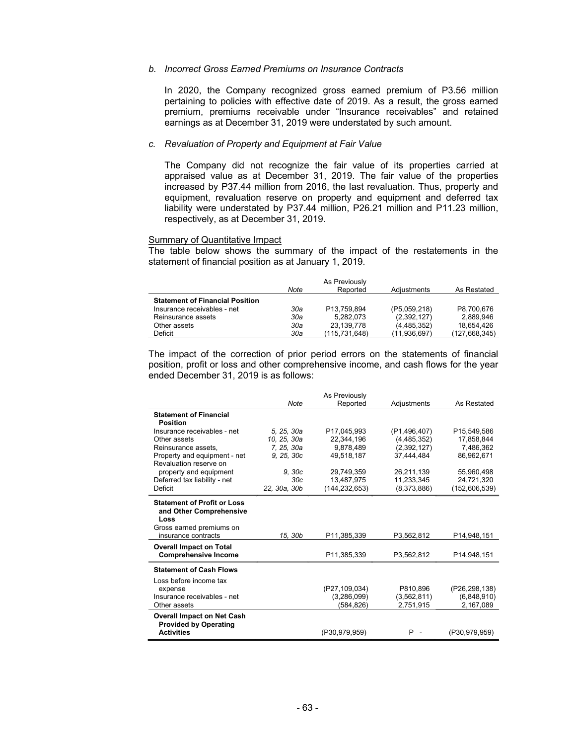### b. Incorrect Gross Earned Premiums on Insurance Contracts

In 2020, the Company recognized gross earned premium of P3.56 million pertaining to policies with effective date of 2019. As a result, the gross earned premium, premiums receivable under "Insurance receivables" and retained earnings as at December 31, 2019 were understated by such amount.

### c. Revaluation of Property and Equipment at Fair Value

The Company did not recognize the fair value of its properties carried at appraised value as at December 31, 2019. The fair value of the properties increased by P37.44 million from 2016, the last revaluation. Thus, property and equipment, revaluation reserve on property and equipment and deferred tax liability were understated by P37.44 million, P26.21 million and P11.23 million, respectively, as at December 31, 2019.

### Summary of Quantitative Impact

The table below shows the summary of the impact of the restatements in the statement of financial position as at January 1, 2019.

|                                        | As Previously |               |              |                 |
|----------------------------------------|---------------|---------------|--------------|-----------------|
|                                        | Note          | Reported      | Adiustments  | As Restated     |
| <b>Statement of Financial Position</b> |               |               |              |                 |
| Insurance receivables - net            | 30a           | P13.759.894   | (P5.059.218) | P8.700.676      |
| Reinsurance assets                     | 30a           | 5.282.073     | (2,392,127)  | 2.889.946       |
| Other assets                           | 30a           | 23.139.778    | (4,485,352)  | 18.654.426      |
| Deficit                                | 30a           | (115,731,648) | (11,936,697) | (127, 668, 345) |

The impact of the correction of prior period errors on the statements of financial position, profit or loss and other comprehensive income, and cash flows for the year ended December 31, 2019 is as follows:

|                                                                                                                             | Note                                       | As Previously<br>Reported                                 | Adjustments                                           | As Restated                                               |
|-----------------------------------------------------------------------------------------------------------------------------|--------------------------------------------|-----------------------------------------------------------|-------------------------------------------------------|-----------------------------------------------------------|
| <b>Statement of Financial</b><br><b>Position</b>                                                                            |                                            |                                                           |                                                       |                                                           |
| Insurance receivables - net<br>Other assets<br>Reinsurance assets,                                                          | 5, 25, 30a<br>10, 25, 30a<br>7, 25, 30a    | P17.045.993<br>22,344,196<br>9,878,489                    | (P1, 496, 407)<br>(4,485,352)<br>(2,392,127)          | P <sub>15.549.586</sub><br>17,858,844<br>7,486,362        |
| Property and equipment - net<br>Revaluation reserve on<br>property and equipment<br>Deferred tax liability - net<br>Deficit | 9. 25. 30c<br>9.30c<br>30c<br>22. 30a. 30b | 49,518,187<br>29,749,359<br>13.487.975<br>(144, 232, 653) | 37.444.484<br>26,211,139<br>11,233,345<br>(8,373,886) | 86,962,671<br>55,960,498<br>24,721,320<br>(152, 606, 539) |
| <b>Statement of Profit or Loss</b><br>and Other Comprehensive<br>Loss<br>Gross earned premiums on<br>insurance contracts    | 15.30b                                     | P11,385,339                                               | P3,562,812                                            | P14,948,151                                               |
| <b>Overall Impact on Total</b><br><b>Comprehensive Income</b>                                                               |                                            | P11,385,339                                               | P3,562,812                                            | P14,948,151                                               |
| <b>Statement of Cash Flows</b>                                                                                              |                                            |                                                           |                                                       |                                                           |
| Loss before income tax<br>expense<br>Insurance receivables - net<br>Other assets                                            |                                            | (P27,109,034)<br>(3,286,099)<br>(584,826)                 | P810.896<br>(3,562,811)<br>2,751,915                  | (P26,298,138)<br>(6,848,910)<br>2,167,089                 |
| <b>Overall Impact on Net Cash</b><br><b>Provided by Operating</b><br><b>Activities</b>                                      |                                            | (P30,979,959)                                             | P                                                     | (P30,979,959)                                             |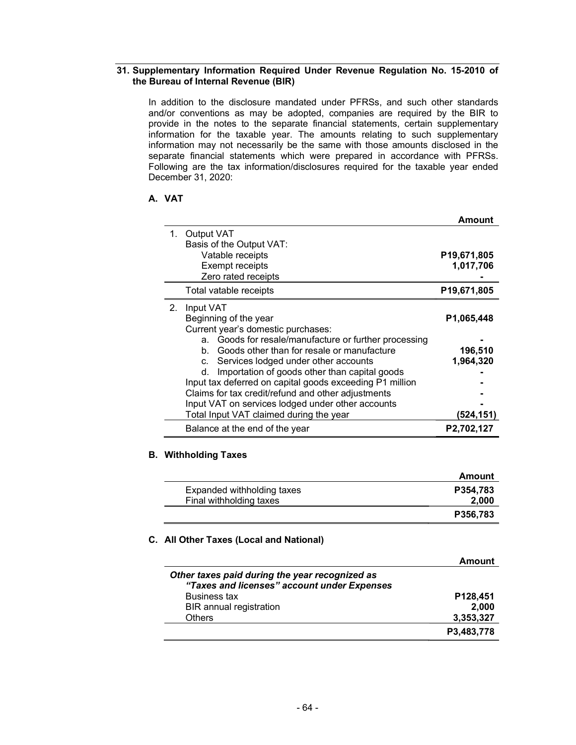## 31. Supplementary Information Required Under Revenue Regulation No. 15-2010 of the Bureau of Internal Revenue (BIR)

In addition to the disclosure mandated under PFRSs, and such other standards and/or conventions as may be adopted, companies are required by the BIR to provide in the notes to the separate financial statements, certain supplementary information for the taxable year. The amounts relating to such supplementary information may not necessarily be the same with those amounts disclosed in the separate financial statements which were prepared in accordance with PFRSs. Following are the tax information/disclosures required for the taxable year ended December 31, 2020:

# A. VAT

|                                                                                                                                                                                                                                                                                                                                                                                                                                                                                                                 | Amount                                                       |
|-----------------------------------------------------------------------------------------------------------------------------------------------------------------------------------------------------------------------------------------------------------------------------------------------------------------------------------------------------------------------------------------------------------------------------------------------------------------------------------------------------------------|--------------------------------------------------------------|
| 1. Output VAT<br>Basis of the Output VAT:<br>Vatable receipts<br><b>Exempt receipts</b>                                                                                                                                                                                                                                                                                                                                                                                                                         | P <sub>19</sub> ,671,805<br>1,017,706                        |
| Zero rated receipts                                                                                                                                                                                                                                                                                                                                                                                                                                                                                             |                                                              |
| Total vatable receipts                                                                                                                                                                                                                                                                                                                                                                                                                                                                                          | P19,671,805                                                  |
| 2.<br>Input VAT<br>Beginning of the year<br>Current year's domestic purchases:<br>a. Goods for resale/manufacture or further processing<br>b. Goods other than for resale or manufacture<br>Services lodged under other accounts<br>C.<br>Importation of goods other than capital goods<br>d.<br>Input tax deferred on capital goods exceeding P1 million<br>Claims for tax credit/refund and other adjustments<br>Input VAT on services lodged under other accounts<br>Total Input VAT claimed during the year | P <sub>1</sub> ,065,448<br>196,510<br>1,964,320<br>(524,151) |
| Balance at the end of the year                                                                                                                                                                                                                                                                                                                                                                                                                                                                                  | P2,702,127                                                   |

### B. Withholding Taxes

|                            | Amount   |
|----------------------------|----------|
| Expanded withholding taxes | P354,783 |
| Final withholding taxes    | 2.000    |
|                            | P356,783 |

## C. All Other Taxes (Local and National)

|                                                | Amount     |
|------------------------------------------------|------------|
| Other taxes paid during the year recognized as |            |
| "Taxes and licenses" account under Expenses    |            |
| Business tax                                   | P128,451   |
| <b>BIR</b> annual registration                 | 2,000      |
| <b>Others</b>                                  | 3,353,327  |
|                                                | P3,483,778 |